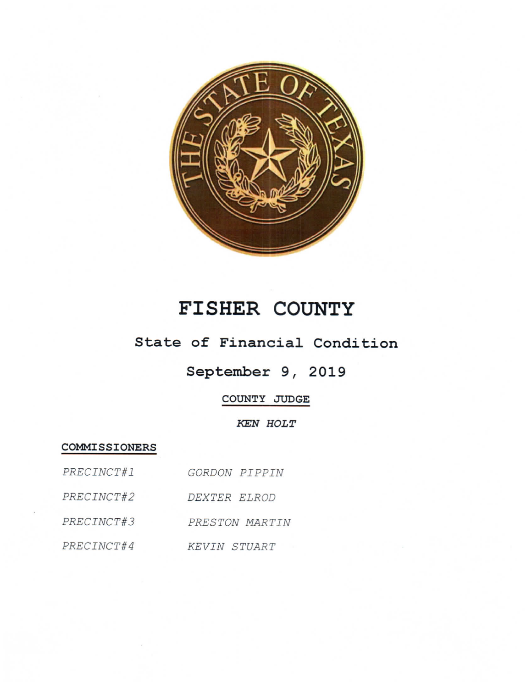

# FISHER COUNTY

## State of Financial Condition

## September 9, 2019

### COUNTY JUDGE

**KEN HOLT** 

### COMMISSIONERS

| PRECINCT#1 | GORDON PIPPIN  |
|------------|----------------|
| PRECINCT#2 | DEXTER ELROD   |
| PRECINCT#3 | PRESTON MARTIN |
| PRECINCT#4 | KEVIN STUART   |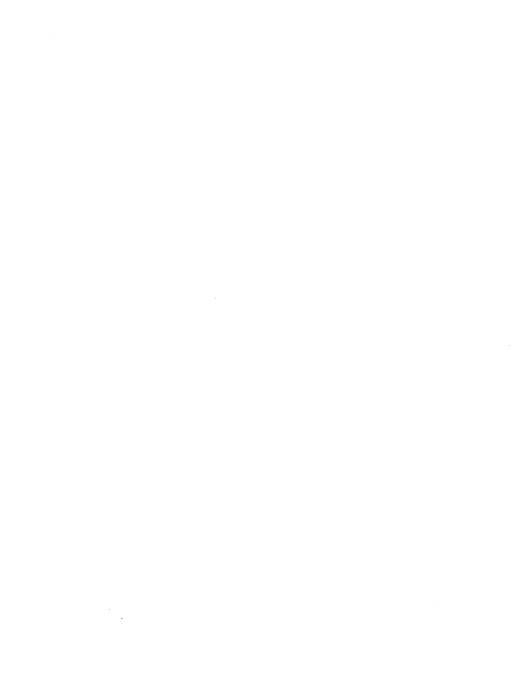$\label{eq:2.1} \frac{1}{\sqrt{2}}\left(\frac{1}{\sqrt{2}}\right)^{2} \left(\frac{1}{\sqrt{2}}\right)^{2} \left(\frac{1}{\sqrt{2}}\right)^{2} \left(\frac{1}{\sqrt{2}}\right)^{2} \left(\frac{1}{\sqrt{2}}\right)^{2} \left(\frac{1}{\sqrt{2}}\right)^{2} \left(\frac{1}{\sqrt{2}}\right)^{2} \left(\frac{1}{\sqrt{2}}\right)^{2} \left(\frac{1}{\sqrt{2}}\right)^{2} \left(\frac{1}{\sqrt{2}}\right)^{2} \left(\frac{1}{\sqrt{2}}\right)^{2} \left(\$  $\label{eq:2.1} \frac{1}{\sqrt{2}}\int_{\mathbb{R}^3}\frac{1}{\sqrt{2}}\left(\frac{1}{\sqrt{2}}\right)^2\frac{1}{\sqrt{2}}\left(\frac{1}{\sqrt{2}}\right)^2\frac{1}{\sqrt{2}}\left(\frac{1}{\sqrt{2}}\right)^2\frac{1}{\sqrt{2}}\left(\frac{1}{\sqrt{2}}\right)^2.$ 

 $\label{eq:2.1} \frac{1}{\sqrt{2}}\int_{\mathbb{R}^3}\frac{1}{\sqrt{2}}\left(\frac{1}{\sqrt{2}}\right)^2\frac{1}{\sqrt{2}}\left(\frac{1}{\sqrt{2}}\right)^2\frac{1}{\sqrt{2}}\left(\frac{1}{\sqrt{2}}\right)^2\frac{1}{\sqrt{2}}\left(\frac{1}{\sqrt{2}}\right)^2.$ 

 $\label{eq:2.1} \frac{1}{\sqrt{2}}\int_{\mathbb{R}^3}\frac{1}{\sqrt{2}}\left(\frac{1}{\sqrt{2}}\right)^2\frac{1}{\sqrt{2}}\left(\frac{1}{\sqrt{2}}\right)^2\frac{1}{\sqrt{2}}\left(\frac{1}{\sqrt{2}}\right)^2.$ 

 $\label{eq:2} \mathcal{L} = \mathcal{L} \left( \mathcal{L} \right) \left( \mathcal{L} \right) \left( \mathcal{L} \right)$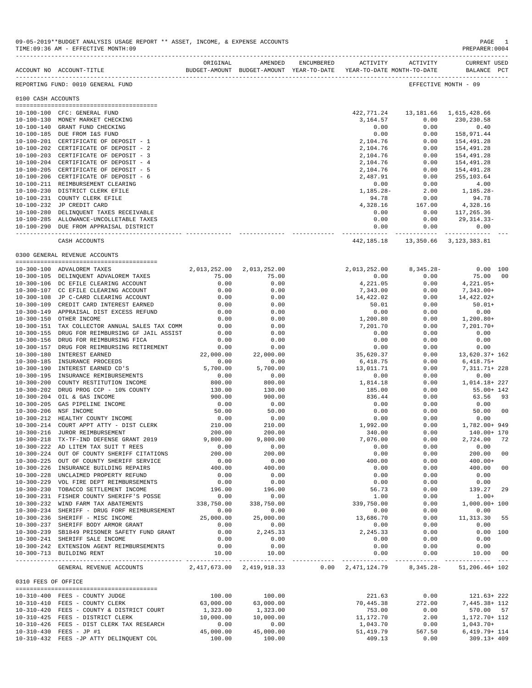|                     | ACCOUNT NO ACCOUNT-TITLE TO BUDGET-AMOUNT BUDGET-AMOUNT YEAR-TO-DATE YEAR-TO-DATE MONTH-TO-DATE | ORIGINAL     | AMENDED                   | ENCUMBERED | ACTIVITY                  | ACTIVITY                                     | CURRENT USED<br>BALANCE PCT |                |
|---------------------|-------------------------------------------------------------------------------------------------|--------------|---------------------------|------------|---------------------------|----------------------------------------------|-----------------------------|----------------|
|                     | REPORTING FUND: 0010 GENERAL FUND                                                               |              |                           |            |                           |                                              | EFFECTIVE MONTH - 09        |                |
| 0100 CASH ACCOUNTS  |                                                                                                 |              |                           |            |                           |                                              |                             |                |
|                     |                                                                                                 |              |                           |            |                           |                                              |                             |                |
|                     | 10-100-100 CFC: GENERAL FUND                                                                    |              |                           |            |                           | 422,771.24   13,181.66   1,615,428.66        |                             |                |
|                     | 10-100-130 MONEY MARKET CHECKING                                                                |              |                           |            | 3,164.57                  | 0.00                                         | 230,230.58                  |                |
|                     | 10-100-140 GRANT FUND CHECKING                                                                  |              |                           |            | 0.00                      | 0.00                                         | 0.40                        |                |
|                     | 10-100-185 DUE FROM I&S FUND                                                                    |              |                           |            | 0.00                      | 0.00                                         | 158,971.44                  |                |
|                     | 10-100-201 CERTIFICATE OF DEPOSIT - 1                                                           |              |                           |            | 2,104.76                  | 0.00                                         | 154,491.28                  |                |
|                     | 10-100-202 CERTIFICATE OF DEPOSIT - 2                                                           |              |                           |            | 2,104.76                  | 0.00                                         | 154,491.28                  |                |
|                     | 10-100-203 CERTIFICATE OF DEPOSIT - 3                                                           |              |                           |            | 2,104.76                  | 0.00                                         | 154,491.28                  |                |
|                     | 10-100-204 CERTIFICATE OF DEPOSIT - 4                                                           |              |                           |            | 2,104.76                  | 0.00                                         | 154,491.28                  |                |
|                     | 10-100-205 CERTIFICATE OF DEPOSIT - 5                                                           |              |                           |            |                           |                                              |                             |                |
|                     |                                                                                                 |              |                           |            | 2,104.76                  | 0.00                                         | 154,491.28                  |                |
|                     | 10-100-206 CERTIFICATE OF DEPOSIT - 6                                                           |              |                           |            | 2,487.91                  | 0.00                                         | 255,103.64                  |                |
|                     | 10-100-211 REIMBURSEMENT CLEARING                                                               |              |                           |            | 0.00                      | 0.00                                         | 4.00                        |                |
|                     | 10-100-230 DISTRICT CLERK EFILE                                                                 |              |                           |            | 1,185.28-                 |                                              | $2.00$ 1, 185.28-           |                |
|                     | 10-100-231 COUNTY CLERK EFILE                                                                   |              |                           |            | 94.78                     | 0.00                                         | 94.78                       |                |
|                     | 10-100-232 JP CREDIT CARD                                                                       |              |                           |            | 4,328.16                  | 167.00                                       | 4,328.16                    |                |
|                     | 10-100-280 DELINQUENT TAXES RECEIVABLE                                                          |              |                           |            | 0.00                      |                                              | 117,265.36                  |                |
|                     | 10-100-285 ALLOWANCE-UNCOLLETABLE TAXES                                                         |              |                           |            | 0.00                      | 0.00                                         | 29,314.33-                  |                |
|                     | 10-100-290 DUE FROM APPRAISAL DISTRICT                                                          |              |                           |            | 0.00                      | 0.00                                         | 0.00                        |                |
|                     |                                                                                                 |              |                           |            | ------------              | ------------                                 | -------------               |                |
|                     | CASH ACCOUNTS                                                                                   |              |                           |            |                           | 442, 185. 18   13, 350. 66   3, 123, 383. 81 |                             |                |
|                     | 0300 GENERAL REVENUE ACCOUNTS                                                                   |              |                           |            |                           |                                              |                             |                |
|                     |                                                                                                 |              |                           |            |                           |                                              |                             |                |
|                     | 10-300-100 ADVALOREM TAXES                                                                      | 2,013,252.00 | 2,013,252.00              |            | 2,013,252.00              | 8,345.28-                                    | $0.00$ 100                  |                |
|                     | 10-300-105 DELINQUENT ADVALOREM TAXES                                                           | 75.00        | 75.00                     |            | 0.00                      | 0.00                                         | 75.00                       | 00             |
|                     | 10-300-106 DC EFILE CLEARING ACCOUNT                                                            | 0.00         | 0.00                      |            | 4,221.05                  | 0.00                                         | 4,221.05+                   |                |
|                     | 10-300-107 CC EFILE CLEARING ACCOUNT                                                            | 0.00         | 0.00                      |            | 7,343.00                  | 0.00                                         | $7, 343.00+$                |                |
|                     | 10-300-108 JP C-CARD CLEARING ACCOUNT                                                           | 0.00         | 0.00                      |            | 14,422.02                 | 0.00                                         | 14,422.02+                  |                |
|                     | 10-300-109 CREDIT CARD INTEREST EARNED                                                          | 0.00         | 0.00                      |            | 50.01                     | 0.00                                         | $50.01+$                    |                |
|                     | 10-300-149 APPRAISAL DIST EXCESS REFUND                                                         | 0.00         | 0.00                      |            | 0.00                      | 0.00                                         | 0.00                        |                |
|                     | 10-300-150 OTHER INCOME                                                                         | 0.00         | 0.00                      |            | 1,200.80                  | 0.00                                         | $1,200.80+$                 |                |
|                     | 10-300-151 TAX COLLECTOR ANNUAL SALES TAX COMM                                                  | 0.00         | 0.00                      |            | 7,201.70                  | 0.00                                         | $7,201.70+$                 |                |
|                     |                                                                                                 |              |                           |            |                           |                                              |                             |                |
|                     | 10-300-155 DRUG FOR REIMBURSING GF JAIL ASSIST                                                  | 0.00         | 0.00                      |            | 0.00                      | 0.00                                         | 0.00                        |                |
|                     | 10-300-156 DRUG FOR REIMBURSING FICA                                                            | 0.00         | 0.00                      |            | 0.00                      | 0.00                                         | 0.00                        |                |
|                     | 10-300-157 DRUG FOR REIMBURSING RETIREMENT                                                      | 0.00         | 0.00                      |            | 0.00                      | 0.00                                         | 0.00                        |                |
| $10 - 300 - 180$    | INTEREST EARNED                                                                                 | 22,000.00    | 22,000.00                 |            | 35,620.37                 | 0.00                                         | 13,620.37+ 162              |                |
|                     | 10-300-185 INSURANCE PROCEEDS                                                                   | 0.00         | 0.00                      |            | 6,418.75                  | 0.00                                         | $6,418.75+$                 |                |
|                     | 10-300-190 INTEREST EARNED CD'S                                                                 | 5,700.00     | 5,700.00                  |            | 13,011.71                 | 0.00                                         | 7,311.71+ 228               |                |
|                     | 10-300-195 INSURANCE REMIBURSEMENTS                                                             | 0.00         | 0.00                      |            | 0.00                      | 0.00                                         | 0.00                        |                |
| $10 - 300 - 200$    | COUNTY RESTITUTION INCOME                                                                       | 800.00       | 800.00                    |            | 1,814.18                  | 0.00                                         | 1,014.18+ 227               |                |
|                     | 10-300-202 DRUG PROG CCP - 10% COUNTY                                                           | 130.00       | 130.00                    |            | 185.00                    | 0.00                                         | $55.00 + 142$               |                |
|                     | 10-300-204 OIL & GAS INCOME                                                                     | 900.00       | 900.00                    |            | 836.44                    | 0.00                                         | 63.56 93                    |                |
|                     |                                                                                                 |              |                           |            |                           |                                              |                             |                |
|                     | 10-300-205 GAS PIPELINE INCOME                                                                  | 0.00         | 0.00                      |            | 0.00                      | 0.00                                         | 0.00                        |                |
|                     | 10-300-206 NSF INCOME                                                                           | 50.00        | 50.00                     |            | 0.00                      | 0.00                                         | 50.00 00                    |                |
| 10-300-212          | HEALTHY COUNTY INCOME                                                                           | 0.00         | 0.00                      |            | 0.00                      | 0.00                                         | 0.00                        |                |
|                     | 10-300-214 COURT APPT ATTY - DIST CLERK                                                         | 210.00       | 210.00                    |            | 1,992.00                  | 0.00                                         | 1,782.00+ 949               |                |
| 10-300-216          | JUROR REIMBURSEMENT                                                                             | 200.00       | 200.00                    |            | 340.00                    | 0.00                                         | 140.00+ 170                 |                |
|                     | 10-300-218 TX-TF-IND DEFENSE GRANT 2019                                                         | 9,800.00     | 9,800.00                  |            | 7,076.00                  | 0.00                                         | 2,724.00                    | 72             |
|                     | 10-300-222 AD LITEM TAX SUIT T REES                                                             | 0.00         | 0.00                      |            | 0.00                      | 0.00                                         | 0.00                        |                |
|                     | 10-300-224 OUT OF COUNTY SHERIFF CITATIONS                                                      | 200.00       | 200.00                    |            | 0.00                      | 0.00                                         | 200.00                      | 00             |
|                     | 10-300-225 OUT OF COUNTY SHERIFF SERVICE                                                        | 0.00         | 0.00                      |            | 400.00                    | 0.00                                         | $400.00+$                   |                |
|                     | 10-300-226 INSURANCE BUILDING REPAIRS                                                           | 400.00       | 400.00                    |            | 0.00                      | 0.00                                         | 400.00                      | 0 <sub>0</sub> |
|                     |                                                                                                 |              |                           |            |                           |                                              |                             |                |
|                     | 10-300-228 UNCLAIMED PROPERTY REFUND                                                            | 0.00         | 0.00                      |            | 0.00                      | 0.00                                         | 0.00                        |                |
|                     | 10-300-229 VOL FIRE DEPT REIMBURSEMENTS                                                         | 0.00         | 0.00                      |            | 0.00                      | 0.00                                         | 0.00                        |                |
|                     | 10-300-230 TOBACCO SETTLEMENT INCOME                                                            | 196.00       | 196.00                    |            | 56.73                     | 0.00                                         | 139.27                      | 29             |
|                     | 10-300-231 FISHER COUNTY SHERIFF'S POSSE                                                        | 0.00         | 0.00                      |            | 1.00                      | 0.00                                         | $1.00+$                     |                |
|                     | 10-300-232 WIND FARM TAX ABATEMENTS                                                             | 338,750.00   | 338,750.00                |            | 339,750.00                | 0.00                                         | $1,000.00+100$              |                |
|                     | 10-300-234 SHERIFF - DRUG FORF REIMBURSEMENT                                                    | 0.00         | 0.00                      |            | 0.00                      | 0.00                                         | 0.00                        |                |
|                     | 10-300-236 SHERIFF - MISC INCOME                                                                | 25,000.00    | 25,000.00                 |            | 13,686.70                 | 0.00                                         | 11, 313.30 55               |                |
|                     | 10-300-237 SHERIFF BODY ARMOR GRANT                                                             | 0.00         | 0.00                      |            | 0.00                      | 0.00                                         | 0.00                        |                |
|                     |                                                                                                 |              |                           |            |                           |                                              |                             |                |
|                     | 10-300-239 SB1849 PRISONER SAFETY FUND GRANT                                                    | 0.00         | 2,245.33                  |            | 2,245.33                  | 0.00                                         | 0.00 100                    |                |
|                     | 10-300-241 SHERIFF SALE INCOME                                                                  | 0.00         | 0.00                      |            | 0.00                      | 0.00                                         | 0.00                        |                |
|                     | 10-300-242 EXTENSION AGENT REIMBURSEMENTS                                                       | 0.00         | 0.00                      |            | 0.00                      | 0.00                                         | 0.00                        |                |
|                     | 10-300-713 BUILDING RENT                                                                        | 10.00        | 10.00                     |            | 0.00                      | 0.00                                         | 10.00 00                    |                |
|                     | GENERAL REVENUE ACCOUNTS                                                                        |              | 2,417,673.00 2,419,918.33 |            | $0.00 \quad 2,471,124.79$ | $8,345.28-$                                  | 51,206.46+ 102              |                |
| 0310 FEES OF OFFICE |                                                                                                 |              |                           |            |                           |                                              |                             |                |
|                     |                                                                                                 |              |                           |            |                           |                                              |                             |                |
|                     | 10-310-400 FEES - COUNTY JUDGE                                                                  | 100.00       | 100.00                    |            | 221.63                    | 0.00                                         | 121.63+ 222                 |                |
|                     | 10-310-410 FEES - COUNTY CLERK                                                                  | 63,000.00    | 63,000.00                 |            | 70,445.38                 | 272.00                                       | 7,445.38+ 112               |                |
|                     | 10-310-420 FEES - COUNTY & DISTRICT COURT                                                       | 1,323.00     | 1,323.00                  |            | 753.00                    | 0.00                                         | 570.00 57                   |                |
|                     | 10-310-425 FEES - DISTRICT CLERK                                                                | 10,000.00    | 10,000.00                 |            | 11,172.70                 | 2.00                                         | 1,172.70+ 112               |                |
|                     | 10-310-426 FEES - DIST CLERK TAX RESEARCH                                                       | 0.00         | 0.00                      |            | 1,043.70                  | 0.00                                         | $1,043.70+$                 |                |
|                     |                                                                                                 |              |                           |            |                           |                                              |                             |                |
|                     | 10-310-430 FEES - JP #1                                                                         | 45,000.00    | 45,000.00                 |            | 51, 419.79                | 567.50                                       | $6,419.79+114$              |                |
|                     | 10-310-432 FEES -JP ATTY DELINQUENT COL                                                         | 100.00       | 100.00                    |            | 409.13                    | 0.00                                         | $309.13 + 409$              |                |

09-05-2019\*\*BUDGET ANALYSIS USAGE REPORT \*\* ASSET, INCOME, & EXPENSE ACCOUNTS PAGE 1<br>TIME:09:36 AM - EFFECTIVE MONTH:09

 $TIME:09:36 AM - EFFECTIVE MOMTH:09$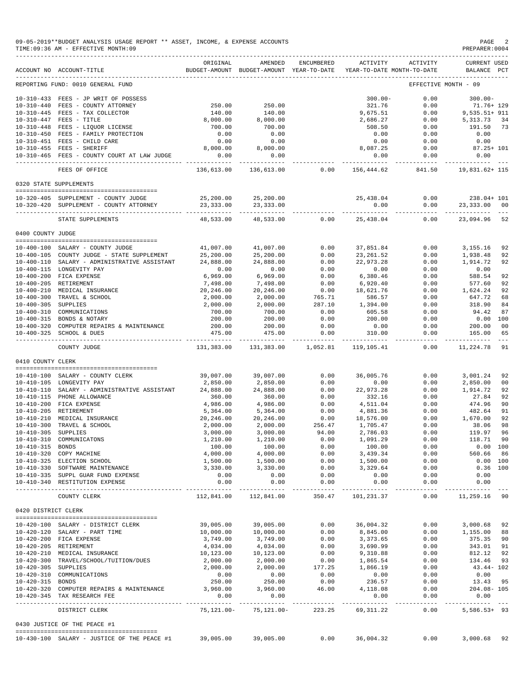|                     | 09-05-2019**BUDGET ANALYSIS USAGE REPORT ** ASSET, INCOME, & EXPENSE ACCOUNTS<br>TIME: 09:36 AM - EFFECTIVE MONTH: 09 |                        |                                                     |                      |                             |                                                 | PAGE<br>PREPARER: 0004             |                |
|---------------------|-----------------------------------------------------------------------------------------------------------------------|------------------------|-----------------------------------------------------|----------------------|-----------------------------|-------------------------------------------------|------------------------------------|----------------|
|                     | ACCOUNT NO ACCOUNT-TITLE                                                                                              | ORIGINAL               | AMENDED<br>BUDGET-AMOUNT BUDGET-AMOUNT YEAR-TO-DATE | ENCUMBERED           |                             | ACTIVITY ACTIVITY<br>YEAR-TO-DATE MONTH-TO-DATE | <b>CURRENT USED</b><br>BALANCE PCT |                |
|                     | REPORTING FUND: 0010 GENERAL FUND                                                                                     |                        |                                                     |                      |                             |                                                 | EFFECTIVE MONTH - 09               |                |
|                     | 10-310-433 FEES - JP WRIT OF POSSESS                                                                                  |                        |                                                     |                      | $300.00 -$                  | 0.00                                            | $300.00 -$                         |                |
|                     | 10-310-440 FEES - COUNTY ATTORNEY                                                                                     | 250.00                 | 250.00                                              |                      | 321.76                      | 0.00                                            | 71.76+ 129                         |                |
|                     | 10-310-445 FEES - TAX COLLECTOR                                                                                       | 140.00                 | 140.00                                              |                      | 9,675.51                    | 0.00                                            | 9,535.51+ 911                      |                |
|                     | 10-310-447 FEES - TITLE                                                                                               | 8,000.00               | 8,000.00                                            |                      | 2,686.27                    | 0.00                                            | 5, 313.73                          | 34             |
|                     | 10-310-448 FEES - LIQUOR LICENSE                                                                                      | 700.00                 | 700.00                                              |                      | 508.50                      | 0.00                                            | 191.50                             | 73             |
|                     | 10-310-450 FEES - FAMILY PROTECTION<br>10-310-451 FEES - CHILD CARE                                                   | 0.00                   | 0.00                                                |                      | 0.00                        | 0.00                                            | 0.00                               |                |
|                     | 10-310-455 FEES - SHERIFF                                                                                             | 0.00<br>8,000.00       | 0.00<br>8,000.00                                    |                      | 0.00<br>8,087.25            | 0.00<br>0.00                                    | 0.00<br>$87.25 + 101$              |                |
|                     | 10-310-465 FEES - COUNTY COURT AT LAW JUDGE                                                                           | 0.00<br>-------------- | 0.00<br>-----------                                 |                      | 0.00<br>. <u>.</u> .        | 0.00<br>------------                            | 0.00<br>------------               |                |
|                     | FEES OF OFFICE                                                                                                        | 136,613.00             | 136,613.00                                          | 0.00                 | 156,444.62                  | 841.50                                          | 19,831.62+ 115                     |                |
|                     | 0320 STATE SUPPLEMENTS                                                                                                |                        |                                                     |                      |                             |                                                 |                                    |                |
|                     | 10-320-405 SUPPLEMENT - COUNTY JUDGE                                                                                  |                        | 25, 200.00 25, 200.00                               |                      | 25,438.04                   | 0.00                                            | 238.04+ 101                        |                |
|                     | 10-320-420 SUPPLEMENT - COUNTY ATTORNEY                                                                               | 23,333.00<br>--------- | 23,333.00<br>. _ _ _ _ _ _ _ _ _ _                  |                      | 0.00                        | 0.00                                            | 23,333.00 00<br>______________     |                |
|                     | STATE SUPPLEMENTS                                                                                                     | 48,533.00              |                                                     | 48,533.00 0.00       | 25,438.04                   | 0.00                                            | 23,094.96 52                       |                |
| 0400 COUNTY JUDGE   |                                                                                                                       |                        |                                                     |                      |                             |                                                 |                                    |                |
|                     |                                                                                                                       | 41,007.00              |                                                     | 0.00                 |                             |                                                 | 3, 155, 16                         |                |
|                     | 10-400-100 SALARY - COUNTY JUDGE<br>10-400-105 COUNTY JUDGE - STATE SUPPLEMENT                                        | 25,200.00              | 41,007.00<br>25,200.00                              | 0.00                 | 37,851.84<br>23, 261.52     | 0.00<br>0.00                                    | 1,938.48                           | 92<br>92       |
|                     | 10-400-110 SALARY - ADMINISTRATIVE ASSISTANT                                                                          | 24,888.00              | 24,888.00                                           | 0.00                 | 22,973.28                   | 0.00                                            | 1,914.72                           | 92             |
|                     | 10-400-115 LONGEVITY PAY                                                                                              | 0.00                   | 0.00                                                | 0.00                 | 0.00                        | 0.00                                            | 0.00                               |                |
|                     | 10-400-200 FICA EXPENSE                                                                                               | 6,969.00               | 6,969.00                                            | 0.00                 | 6,380.46                    | 0.00                                            | 588.54                             | 92             |
|                     | 10-400-205 RETIREMENT                                                                                                 | 7,498.00               | 7,498.00                                            | 0.00                 | 6,920.40                    | 0.00                                            | 577.60                             | 92             |
|                     | 10-400-210 MEDICAL INSURANCE                                                                                          | 20,246.00              | 20,246.00                                           | 0.00                 | 18,621.76                   | 0.00                                            | 1,624.24                           | 92             |
|                     | 10-400-300 TRAVEL & SCHOOL                                                                                            | 2,000.00               | 2,000.00                                            | 765.71               | 586.57                      | 0.00                                            | 647.72                             | 68             |
| 10-400-305 SUPPLIES |                                                                                                                       | 2,000.00               | 2,000.00                                            | 287.10               | 1,394.00                    | 0.00                                            | 318.90                             | 84             |
|                     | 10-400-310 COMMUNICATIONS                                                                                             | 700.00                 | 700.00                                              | 0.00                 | 605.58                      | 0.00                                            | 94.42                              | 87             |
|                     | 10-400-315 BONDS & NOTARY                                                                                             | 200.00                 | 200.00                                              | 0.00                 | 200.00                      | 0.00                                            | $0.00$ 100                         |                |
|                     | 10-400-320 COMPUTER REPAIRS & MAINTENANCE                                                                             | 200.00                 | 200.00                                              | 0.00                 | 0.00                        | 0.00                                            | 200.00                             | 0 <sup>0</sup> |
|                     | 10-400-325 SCHOOL & DUES                                                                                              | 475.00<br>-----------  | 475.00<br>-------------                             | 0.00<br>. <b>.</b> . | 310.00<br>-------------     | 0.00<br>--------                                | 165.00<br>-----------              | 65             |
|                     | COUNTY JUDGE                                                                                                          | 131,383.00             | 131,383.00                                          | 1,052.81             | 119,105.41                  | 0.00                                            | 11,224.78                          | 91             |
| 0410 COUNTY CLERK   |                                                                                                                       |                        |                                                     |                      |                             |                                                 |                                    |                |
|                     | 10-410-100 SALARY - COUNTY CLERK                                                                                      | 39,007.00              | 39,007.00                                           | 0.00                 | 36,005.76                   | 0.00                                            | 3,001.24                           | 92             |
|                     | 10-410-105 LONGEVITY PAY                                                                                              | 2,850.00               | 2,850.00                                            | 0.00                 | 0.00                        | 0.00                                            | 2,850.00                           | 0 <sub>0</sub> |
|                     | 10-410-110 SALARY - ADMINISTRATIVE ASSISTANT 24,888.00                                                                |                        | 24,888.00                                           | 0.00                 | 22,973.28                   | 0.00                                            | 1,914.72                           | 92             |
|                     | 10-410-115 PHONE ALLOWANCE                                                                                            | 360.00                 | 360.00                                              | 0.00                 | 332.16                      | 0.00                                            | 27.84                              | 92             |
|                     | 10-410-200 FICA EXPENSE                                                                                               | 4,986.00               | 4,986.00                                            | 0.00                 | 4,511.04                    | 0.00                                            | 474.96                             | 90             |
|                     | 10-410-205 RETIREMENT<br>10-410-210 MEDICAL INSURANCE                                                                 | 5,364.00               | 5,364.00                                            | 0.00<br>0.00         | 4,881.36                    | 0.00<br>0.00                                    | 482.64<br>1,670.00                 | 91<br>92       |
|                     | 10-410-300 TRAVEL & SCHOOL                                                                                            | 20,246.00<br>2,000.00  | 20,246.00<br>2,000.00                               | 256.47               | 18,576.00<br>1,705.47       | 0.00                                            | 38.06                              | 98             |
| 10-410-305 SUPPLIES |                                                                                                                       | 3,000.00               | 3,000.00                                            | 94.00                | 2,786.03                    | 0.00                                            | 119.97                             | -96            |
|                     | 10-410-310 COMMUNICATONS                                                                                              | 1,210.00               | 1,210.00                                            | 0.00                 | 1,091.29                    | 0.00                                            | 118.71                             | 90             |
| 10-410-315 BONDS    |                                                                                                                       | 100.00                 | 100.00                                              | 0.00                 | 100.00                      | 0.00                                            | 0.00 100                           |                |
|                     | 10-410-320 COPY MACHINE                                                                                               | 4,000.00               | 4,000.00                                            | 0.00                 | 3,439.34                    | 0.00                                            | 560.66                             | 86             |
|                     | 10-410-325 ELECTION SCHOOL                                                                                            | 1,500.00               | 1,500.00                                            | 0.00                 | 1,500.00                    | 0.00                                            | 0.00 100                           |                |
|                     | 10-410-330 SOFTWARE MAINTENANCE                                                                                       | 3,330.00               | 3,330.00                                            | 0.00                 | 3,329.64                    | 0.00                                            | $0.36$ 100                         |                |
|                     | 10-410-335 SUPPL GUAR FUND EXPENSE<br>10-410-340 RESTITUTION EXPENSE                                                  | 0.00<br>0.00           | 0.00<br>0.00                                        | 0.00<br>0.00         | 0.00<br>0.00                | 0.00<br>0.00                                    | 0.00<br>0.00                       |                |
|                     | COUNTY CLERK                                                                                                          | -------<br>112,841.00  | 112,841.00                                          | ------<br>350.47     | 101,231.37                  | -----<br>0.00                                   | -------<br>11,259.16 90            |                |
| 0420 DISTRICT CLERK |                                                                                                                       |                        |                                                     |                      |                             |                                                 |                                    |                |
|                     |                                                                                                                       |                        |                                                     |                      |                             |                                                 |                                    |                |
|                     | 10-420-100 SALARY - DISTRICT CLERK                                                                                    | 39,005.00              | 39,005.00                                           | 0.00                 | 36,004.32                   | 0.00                                            | 3,000.68                           | 92             |
|                     | 10-420-120 SALARY - PART TIME                                                                                         | 10,000.00              | 10,000.00                                           | 0.00                 | 8,845.00                    | 0.00                                            | 1,155.00                           | 88             |
|                     | 10-420-200 FICA EXPENSE                                                                                               | 3,749.00               | 3,749.00                                            | 0.00                 | 3,373.65                    | 0.00                                            | 375.35                             | 90             |
|                     | 10-420-205 RETIREMENT                                                                                                 | 4,034.00               | 4,034.00                                            | 0.00                 | 3,690.99                    | 0.00                                            | 343.01                             | 91             |
|                     | 10-420-210 MEDICAL INSURANCE                                                                                          | 10,123.00              | 10,123.00                                           | 0.00                 | 9,310.88                    | 0.00                                            | 812.12                             | 92             |
|                     | 10-420-300 TRAVEL/SCHOOL/TUITION/DUES                                                                                 | 2,000.00               | 2,000.00                                            | 0.00                 | 1,865.54                    | 0.00                                            | 134.46<br>$43.44 - 102$            | -93            |
| 10-420-305 SUPPLIES |                                                                                                                       | 2,000.00               | 2,000.00                                            | 177.25               | 1,866.19                    | 0.00                                            |                                    |                |
| 10-420-315 BONDS    | 10-420-310 COMMUNICATIONS                                                                                             | 0.00<br>250.00         | 0.00<br>250.00                                      | 0.00<br>0.00         | 0.00<br>236.57              | 0.00<br>0.00                                    | 0.00<br>13.43 95                   |                |
|                     | 10-420-320 COMPUTER REPAIRS & MAINTENANCE                                                                             | 3,960.00               | 3,960.00                                            | 46.00                | 4,118.08                    | 0.00                                            | $204.08 - 105$                     |                |
|                     | 10-420-345 TAX RESEARCH FEE                                                                                           | 0.00                   | 0.00                                                |                      | 0.00                        | 0.00                                            | 0.00                               |                |
|                     | DISTRICT CLERK                                                                                                        | 75,121.00-             | -------------<br>75,121.00-                         | 223.25               | --------------<br>69,311.22 | ------------<br>0.00                            | $5,586.53+93$                      |                |
|                     | 0430 JUSTICE OF THE PEACE #1                                                                                          |                        |                                                     |                      |                             |                                                 |                                    |                |
|                     |                                                                                                                       |                        |                                                     |                      |                             |                                                 |                                    |                |
|                     | $10-430-100$ SALARY - JUSTICE OF THE PEACE #1 39,005.00                                                               |                        | 39,005.00                                           | 0.00                 | 36,004.32                   | 0.00                                            | 3,000.68 92                        |                |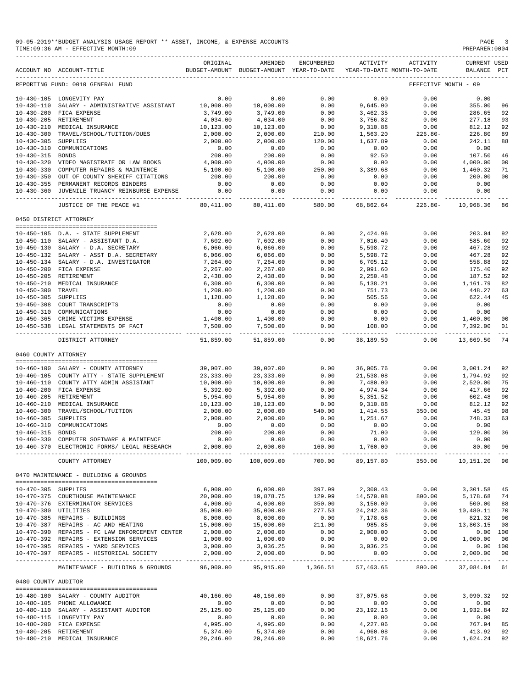|                                      | 09-05-2019**BUDGET ANALYSIS USAGE REPORT ** ASSET, INCOME, & EXPENSE ACCOUNTS<br>TIME: 09:36 AM - EFFECTIVE MONTH: 09 |                          |                                                     |                    |                          |                                        | PAGE<br>PREPARER: 0004         |                     |
|--------------------------------------|-----------------------------------------------------------------------------------------------------------------------|--------------------------|-----------------------------------------------------|--------------------|--------------------------|----------------------------------------|--------------------------------|---------------------|
|                                      | ACCOUNT NO ACCOUNT-TITLE                                                                                              | ORIGINAL                 | AMENDED<br>BUDGET-AMOUNT BUDGET-AMOUNT YEAR-TO-DATE | ENCUMBERED         | ACTIVITY                 | ACTIVITY<br>YEAR-TO-DATE MONTH-TO-DATE | <b>CURRENT USED</b><br>BALANCE | PCT                 |
|                                      | REPORTING FUND: 0010 GENERAL FUND                                                                                     |                          |                                                     |                    |                          |                                        | EFFECTIVE MONTH - 09           |                     |
|                                      | 10-430-105 LONGEVITY PAY                                                                                              | 0.00                     | 0.00                                                | 0.00               | 0.00                     | 0.00                                   | 0.00                           |                     |
| $10 - 430 - 110$                     | SALARY - ADMINISTRATIVE ASSISTANT                                                                                     | 10,000.00                | 10,000.00                                           | 0.00               | 9,645.00                 | 0.00                                   | 355.00                         | 96                  |
|                                      | 10-430-200 FICA EXPENSE                                                                                               | 3,749.00                 | 3,749.00                                            | 0.00               | 3,462.35                 | 0.00                                   | 286.65                         | 92                  |
| $10 - 430 - 205$                     | RETIREMENT                                                                                                            | 4,034.00                 | 4,034.00                                            | 0.00               | 3,756.82                 | 0.00                                   | 277.18                         | 93                  |
|                                      | 10-430-210 MEDICAL INSURANCE                                                                                          | 10,123.00                | 10,123.00                                           | 0.00               | 9,310.88                 | 0.00                                   | 812.12                         | 92                  |
| $10 - 430 - 300$<br>$10 - 430 - 305$ | TRAVEL/SCHOOL/TUITION/DUES<br>SUPPLIES                                                                                | 2,000.00<br>2,000.00     | 2,000.00<br>2,000.00                                | 210.00<br>120.00   | 1,563.20<br>1,637.89     | $226.80 -$<br>0.00                     | 226.80<br>242.11               | 89<br>88            |
|                                      | 10-430-310 COMMUNICATIONS                                                                                             | 0.00                     | 0.00                                                | 0.00               | 0.00                     | 0.00                                   | 0.00                           |                     |
| $10 - 430 - 315$                     | <b>BONDS</b>                                                                                                          | 200.00                   | 200.00                                              | 0.00               | 92.50                    | 0.00                                   | 107.50                         | 46                  |
|                                      | 10-430-320 VIDEO MAGISTRATE OR LAW BOOKS                                                                              | 4,000.00                 | 4,000.00                                            | 0.00               | 0.00                     | 0.00                                   | 4,000.00                       | 00                  |
| $10 - 430 - 330$                     | COMPUTER REPAIRS & MAINTENCE                                                                                          | 5,100.00                 | 5,100.00                                            | 250.00             | 3,389.68                 | 0.00                                   | 1,460.32                       | 71                  |
|                                      | 10-430-350 OUT OF COUNTY SHERIFF CITATIONS                                                                            | 200.00                   | 200.00                                              | 0.00               | 0.00                     | 0.00                                   | 200.00                         | 00                  |
|                                      | 10-430-355 PERMANENT RECORDS BINDERS<br>10-430-360 JUVENILE TRUANCY REINBURSE EXPENSE                                 | 0.00<br>0.00             | 0.00<br>0.00                                        | 0.00<br>0.00       | 0.00<br>0.00             | 0.00<br>0.00                           | 0.00<br>0.00                   |                     |
|                                      | JUSTICE OF THE PEACE #1                                                                                               | 80,411.00                | 80,411.00                                           | 580.00             | 68,862.64                | $226.80 -$                             | 10,968.36                      | 86                  |
|                                      | 0450 DISTRICT ATTORNEY                                                                                                |                          |                                                     |                    |                          |                                        |                                |                     |
|                                      | --------------------------------------                                                                                |                          |                                                     |                    |                          |                                        |                                |                     |
|                                      | 10-450-105 D.A. - STATE SUPPLEMENT                                                                                    | 2,628.00                 | 2,628.00                                            | 0.00               | 2,424.96                 | 0.00                                   | 203.04                         | 92                  |
|                                      | 10-450-110 SALARY - ASSISTANT D.A.                                                                                    | 7,602.00                 | 7,602.00                                            | 0.00               | 7,016.40                 | 0.00                                   | 585.60                         | 92                  |
|                                      | 10-450-130 SALARY - D.A. SECRETARY<br>10-450-132 SALARY - ASST D.A. SECRETARY                                         | 6,066.00<br>6,066.00     | 6,066.00                                            | 0.00<br>0.00       | 5,598.72<br>5,598.72     | 0.00<br>0.00                           | 467.28<br>467.28               | 92<br>92            |
|                                      | 10-450-134 SALARY - D.A. INVESTIGATOR                                                                                 | 7,264.00                 | 6,066.00<br>7,264.00                                | 0.00               | 6,705.12                 | 0.00                                   | 558.88                         | 92                  |
|                                      | 10-450-200 FICA EXPENSE                                                                                               | 2,267.00                 | 2,267.00                                            | 0.00               | 2,091.60                 | 0.00                                   | 175.40                         | 92                  |
|                                      | 10-450-205 RETIREMENT                                                                                                 | 2,438.00                 | 2,438.00                                            | 0.00               | 2,250.48                 | 0.00                                   | 187.52                         | 92                  |
|                                      | 10-450-210 MEDICAL INSURANCE                                                                                          | 6,300.00                 | 6,300.00                                            | 0.00               | 5,138.21                 | 0.00                                   | 1,161.79                       | 82                  |
| $10 - 450 - 300$                     | TRAVEL                                                                                                                | 1,200.00                 | 1,200.00                                            | 0.00               | 751.73                   | 0.00                                   | 448.27                         | 63                  |
| 10-450-305 SUPPLIES                  | 10-450-308 COURT TRANSCRIPTS                                                                                          | 1,128.00<br>0.00         | 1,128.00<br>0.00                                    | 0.00<br>0.00       | 505.56<br>0.00           | 0.00<br>0.00                           | 622.44<br>0.00                 | 45                  |
|                                      | 10-450-310 COMMUNICATIONS                                                                                             | 0.00                     | 0.00                                                | 0.00               | 0.00                     | 0.00                                   | 0.00                           |                     |
|                                      | 10-450-365 CRIME VICTIMS EXPENSE                                                                                      | 1,400.00                 | 1,400.00                                            | 0.00               | 0.00                     | 0.00                                   | 1,400.00                       | 00                  |
| $10 - 450 - 538$                     | LEGAL STATEMENTS OF FACT                                                                                              | 7,500.00                 | 7,500.00                                            | 0.00               | 108.00                   | 0.00<br>$- - - -$                      | 7,392.00                       | 01<br>$\frac{1}{2}$ |
|                                      | DISTRICT ATTORNEY                                                                                                     | 51,859.00                | 51,859.00                                           | 0.00               | 38,189.50                | 0.00                                   | 13,669.50                      | 74                  |
| 0460 COUNTY ATTORNEY                 |                                                                                                                       |                          |                                                     |                    |                          |                                        |                                |                     |
|                                      |                                                                                                                       |                          |                                                     |                    |                          |                                        |                                |                     |
|                                      | 10-460-100 SALARY - COUNTY ATTORNEY                                                                                   | 39,007.00                | 39,007.00                                           | 0.00               | 36,005.76                | 0.00                                   | 3,001.24                       | 92                  |
|                                      | 10-460-105 COUNTY ATTY - STATE SUPPLEMENT<br>10-460-110 COUNTY ATTY ADMIN ASSISTANT                                   | 23, 333.00<br>10,000.00  | 23, 333.00<br>10,000.00                             | 0.00<br>0.00       | 21,538.08<br>7,480.00    | 0.00<br>0.00                           | 1,794.92<br>2,520.00           | 92<br>75            |
|                                      | 10-460-200 FICA EXPENSE                                                                                               | 5,392.00                 | 5,392.00                                            | 0.00               | 4,974.34                 | 0.00                                   | 417.66                         | 92                  |
|                                      | 10-460-205 RETIREMENT                                                                                                 | 5,954.00                 | 5,954.00                                            | 0.00               | 5,351.52                 | 0.00                                   | 602.48                         | 90                  |
| 10-460-210                           | MEDICAL INSURANCE                                                                                                     | 10,123.00                | 10,123.00                                           | 0.00               | 9,310.88                 | 0.00                                   | 812.12                         | 92                  |
| $10 - 460 - 300$                     | TRAVEL/SCHOOL/TUITION                                                                                                 | 2,000.00                 | 2,000.00                                            | 540.00             | 1,414.55                 | 350.00                                 | 45.45                          | 98                  |
| $10 - 460 - 305$                     | SUPPLIES                                                                                                              | 2,000.00                 | 2,000.00                                            | 0.00               | 1,251.67                 | 0.00                                   | 748.33                         | 63                  |
| $10 - 460 - 310$<br>10-460-315 BONDS | COMMUNICATIONS                                                                                                        | 0.00<br>200.00           | 0.00<br>200.00                                      | 0.00<br>0.00       | 0.00<br>71.00            | 0.00<br>0.00                           | 0.00<br>129.00                 | 36                  |
|                                      | 10-460-330 COMPUTER SOFTWARE & MAINTENCE                                                                              | 0.00                     | 0.00                                                | 0.00               | 0.00                     | 0.00                                   | 0.00                           |                     |
|                                      | 10-460-370 ELECTRONIC FORMS/ LEGAL RESEARCH                                                                           | 2,000.00                 | 2,000.00                                            | 160.00             | 1,760.00                 | 0.00                                   | 80.00                          | 96                  |
|                                      | COUNTY ATTORNEY                                                                                                       | ----------<br>100,009.00 | ----------<br>100,009.00                            | 700.00             | -----------<br>89,157.80 | 350.00                                 | 10,151.20 90                   | $---$               |
|                                      |                                                                                                                       |                          |                                                     |                    |                          |                                        |                                |                     |
|                                      | 0470 MAINTENANCE - BUILDING & GROUNDS                                                                                 |                          |                                                     |                    |                          |                                        |                                |                     |
| 10-470-305 SUPPLIES                  |                                                                                                                       | 6,000.00                 | 6,000.00                                            | 397.99             | 2,300.43                 | 0.00                                   | 3,301.58                       | 45                  |
|                                      | 10-470-375 COURTHOUSE MAINTENANCE                                                                                     | 20,000.00                | 19,878.75                                           | 129.99             | 14,570.08                | 800.00                                 | 5,178.68                       | 74                  |
|                                      | 10-470-376 EXTERMINATOR SERVICES                                                                                      | 4,000.00                 | 4,000.00                                            | 350.00             | 3,150.00                 | 0.00                                   | 500.00                         | 88                  |
| 10-470-380 UTILITIES                 |                                                                                                                       | 35,000.00<br>8,000.00    | 35,000.00<br>8,000.00                               | 277.53             | 24, 242.36<br>7,178.68   | 0.00                                   | 10,480.11<br>821.32 90         | 70                  |
|                                      | 10-470-385 REPAIRS - BUILDINGS<br>10-470-387 REPAIRS - AC AND HEATING                                                 | 15,000.00                | 15,000.00                                           | 0.00<br>211.00     | 985.85                   | 0.00<br>0.00                           | 13,803.15                      | 08                  |
|                                      | 10-470-390 REPAIRS - FC LAW ENFORCEMENT CENTER                                                                        | 2,000.00                 | 2,000.00                                            | 0.00               | 2,000.00                 | 0.00                                   |                                | 0.00 100            |
|                                      | 10-470-392 REPAIRS - EXTENSION SERVICES                                                                               | 1,000.00                 | 1,000.00                                            | 0.00               | 0.00                     | 0.00                                   | 1,000.00                       | 00                  |
|                                      | 10-470-395 REPAIRS - YARD SERVICES                                                                                    | 3,000.00                 | 3,036.25                                            | 0.00               | 3,036.25                 | 0.00                                   | 0.00 100                       |                     |
|                                      | 10-470-397 REPAIRS - HISTORICAL SOCIETY                                                                               | 2,000.00<br>----------   | 2,000.00<br>-----------                             | 0.00<br>---------- | 0.00<br>-------          | 0.00<br>---------                      | 2,000.00                       | 00                  |
|                                      | MAINTENANCE - BUILDING & GROUNDS                                                                                      | 96,000.00                |                                                     | 95,915.00 1,366.51 | 57,463.65                | 800.00                                 | 37,084.84 61                   |                     |
| 0480 COUNTY AUDITOR                  |                                                                                                                       |                          |                                                     |                    |                          |                                        |                                |                     |
|                                      | 10-480-100 SALARY - COUNTY AUDITOR                                                                                    | 40,166.00                | 40,166.00                                           | 0.00               | 37,075.68                | 0.00                                   | 3,090.32                       | 92                  |
|                                      | 10-480-105 PHONE ALLOWANCE                                                                                            | 0.00                     | 0.00                                                | 0.00               | 0.00                     | 0.00                                   | 0.00                           |                     |
|                                      | 10-480-110 SALARY - ASSISTANT AUDITOR                                                                                 | 25,125.00                | 25,125.00                                           | 0.00               | 23, 192. 16              | 0.00                                   | 1,932.84                       | 92                  |
|                                      | 10-480-115 LONGEVITY PAY                                                                                              | 0.00                     | 0.00                                                | 0.00               | 0.00                     | 0.00                                   | 0.00                           |                     |
|                                      | 10-480-200 FICA EXPENSE                                                                                               | 4,995.00                 | 4,995.00                                            | 0.00               | 4,227.06                 | 0.00                                   | 767.94                         | 85                  |
|                                      | 10-480-205 RETIREMENT<br>10-480-210 MEDICAL INSURANCE                                                                 | 5,374.00<br>20,246.00    | 5,374.00<br>20,246.00                               | 0.00<br>0.00       | 4,960.08<br>18,621.76    | 0.00<br>0.00                           | 413.92<br>1,624.24             | 92<br>92            |
|                                      |                                                                                                                       |                          |                                                     |                    |                          |                                        |                                |                     |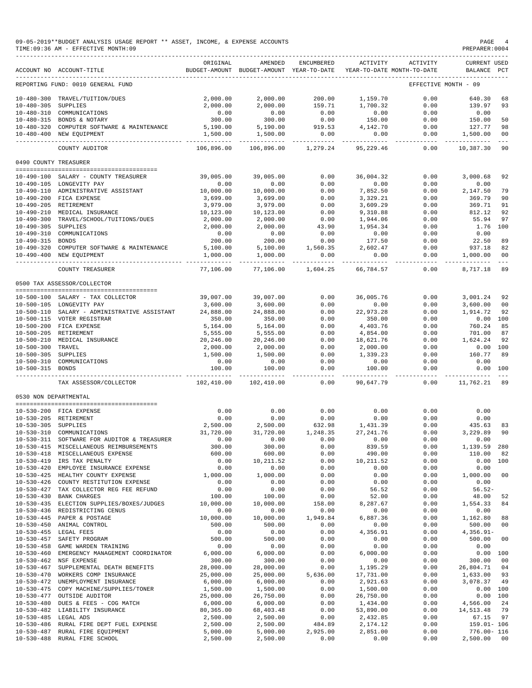|                                      | 09-05-2019**BUDGET ANALYSIS USAGE REPORT ** ASSET, INCOME, & EXPENSE ACCOUNTS<br>TIME: 09:36 AM - EFFECTIVE MONTH: 09 |                       |                                                     |                  |                                  |                                        | PAGE<br>PREPARER: 0004             | 4                   |
|--------------------------------------|-----------------------------------------------------------------------------------------------------------------------|-----------------------|-----------------------------------------------------|------------------|----------------------------------|----------------------------------------|------------------------------------|---------------------|
|                                      | ACCOUNT NO ACCOUNT-TITLE                                                                                              | ORIGINAL              | AMENDED<br>BUDGET-AMOUNT BUDGET-AMOUNT YEAR-TO-DATE | ENCUMBERED       | ACTIVITY                         | ACTIVITY<br>YEAR-TO-DATE MONTH-TO-DATE | <b>CURRENT USED</b><br>BALANCE PCT |                     |
|                                      | REPORTING FUND: 0010 GENERAL FUND                                                                                     |                       |                                                     |                  |                                  |                                        | EFFECTIVE MONTH - 09               |                     |
|                                      | 10-480-300 TRAVEL/TUITION/DUES                                                                                        | 2,000.00              | 2,000.00                                            | 200.00           | 1,159.70                         | 0.00                                   | 640.30                             | 68                  |
| $10 - 480 - 305$                     | SUPPLIES                                                                                                              | 2,000.00              | 2,000.00                                            | 159.71           | 1,700.32                         | 0.00                                   | 139.97                             | 93                  |
|                                      | 10-480-310 COMMUNICATIONS                                                                                             | 0.00                  | 0.00                                                | 0.00             | 0.00                             | 0.00                                   | 0.00                               |                     |
|                                      | 10-480-315 BONDS & NOTARY                                                                                             | 300.00                | 300.00                                              | 0.00             | 150.00                           | 0.00                                   | 150.00                             | 50                  |
|                                      | 10-480-320 COMPUTER SOFTWARE & MAINTENANCE<br>10-480-400 NEW EQUIPMENT                                                | 5,190.00<br>1,500.00  | 5,190.00<br>1,500.00                                | 919.53<br>0.00   | 4,142.70<br>0.00                 | 0.00<br>0.00                           | 127.77<br>1,500.00                 | 98<br>00            |
|                                      |                                                                                                                       | --- -------------     | -------------                                       | ____________     |                                  | ------------                           | _____________                      |                     |
|                                      | COUNTY AUDITOR                                                                                                        | 106,896.00            | 106,896.00                                          | 1,279.24         | 95,229.46                        | 0.00                                   | 10,387.30                          | 90                  |
| 0490 COUNTY TREASURER                |                                                                                                                       |                       |                                                     |                  |                                  |                                        |                                    |                     |
|                                      | 10-490-100 SALARY - COUNTY TREASURER                                                                                  | 39,005.00             | 39,005.00                                           | 0.00             | 36,004.32                        | 0.00                                   | 3,000.68                           | 92                  |
|                                      | 10-490-105 LONGEVITY PAY                                                                                              | 0.00                  | 0.00                                                | 0.00             | 0.00                             | 0.00                                   | 0.00                               |                     |
|                                      | 10-490-110 ADMINISTRATIVE ASSISTANT                                                                                   | 10,000.00             | 10,000.00                                           | 0.00             | 7,852.50                         | 0.00                                   | 2,147.50                           | 79                  |
|                                      | 10-490-200 FICA EXPENSE                                                                                               | 3,699.00              | 3,699.00                                            | 0.00             | 3,329.21                         | 0.00                                   | 369.79                             | 90                  |
|                                      | 10-490-205 RETIREMENT                                                                                                 | 3,979.00              | 3,979.00                                            | 0.00             | 3,609.29                         | 0.00                                   | 369.71                             | 91                  |
| $10 - 490 - 300$                     | 10-490-210 MEDICAL INSURANCE<br>TRAVEL/SCHOOL/TUITIONS/DUES                                                           | 10,123.00<br>2,000.00 | 10,123.00<br>2,000.00                               | 0.00<br>0.00     | 9,310.88<br>1,944.06             | 0.00<br>0.00                           | 812.12<br>55.94                    | 92<br>97            |
| $10 - 490 - 305$                     | SUPPLIES                                                                                                              | 2,000.00              | 2,000.00                                            | 43.90            | 1,954.34                         | 0.00                                   | 1.76                               | 100                 |
|                                      | 10-490-310 COMMUNICATIONS                                                                                             | 0.00                  | 0.00                                                | 0.00             | 0.00                             | 0.00                                   | 0.00                               |                     |
| 10-490-315 BONDS                     |                                                                                                                       | 200.00                | 200.00                                              | 0.00             | 177.50                           | 0.00                                   | 22.50                              | 89                  |
|                                      | 10-490-320 COMPUTER SOFTWARE & MAINTENANCE                                                                            | 5,100.00              | 5,100.00                                            | 1,560.35         | 2,602.47                         | 0.00                                   | 937.18                             | 82                  |
|                                      | 10-490-400 NEW EQUIPMENT                                                                                              | 1,000.00              | 1,000.00                                            | 0.00<br>-------- | 0.00                             | 0.00                                   | 1,000.00<br>-----------            | 00                  |
|                                      | COUNTY TREASURER                                                                                                      | 77,106.00             | -----------<br>77,106.00                            | 1,604.25         | . _ _ _ _ _ _ _ _ _<br>66,784.57 | .<br>0.00                              | 8.717.18                           | $\frac{1}{2}$<br>89 |
|                                      | 0500 TAX ASSESSOR/COLLECTOR                                                                                           |                       |                                                     |                  |                                  |                                        |                                    |                     |
|                                      |                                                                                                                       |                       |                                                     |                  |                                  |                                        |                                    |                     |
|                                      | 10-500-100 SALARY - TAX COLLECTOR                                                                                     | 39,007.00             | 39,007.00                                           | 0.00             | 36,005.76                        | 0.00                                   | 3,001.24                           | 92                  |
|                                      | 10-500-105 LONGEVITY PAY<br>10-500-110 SALARY - ADMINISTRATIVE ASSISTANT                                              | 3,600.00              | 3,600.00                                            | 0.00<br>0.00     | 0.00                             | 0.00                                   | 3,600.00                           | 00                  |
|                                      | 10-500-115 VOTER REGISTRAR                                                                                            | 24,888.00<br>350.00   | 24,888.00<br>350.00                                 | 0.00             | 22,973.28<br>350.00              | 0.00<br>0.00                           | 1,914.72<br>0.00 100               | 92                  |
|                                      | 10-500-200 FICA EXPENSE                                                                                               | 5,164.00              | 5,164.00                                            | 0.00             | 4,403.76                         | 0.00                                   | 760.24                             | 85                  |
|                                      | 10-500-205 RETIREMENT                                                                                                 | 5,555.00              | 5,555.00                                            | 0.00             | 4,854.00                         | 0.00                                   | 701.00                             | 87                  |
|                                      | 10-500-210 MEDICAL INSURANCE                                                                                          | 20,246.00             | 20,246.00                                           | 0.00             | 18,621.76                        | 0.00                                   | 1,624.24                           | 92                  |
| 10-500-300 TRAVEL                    |                                                                                                                       | 2,000.00              | 2,000.00                                            | 0.00             | 2,000.00                         | 0.00                                   | 0.00 100                           |                     |
| 10-500-305 SUPPLIES                  |                                                                                                                       | 1,500.00              | 1,500.00                                            | 0.00             | 1,339.23                         | 0.00                                   | 160.77                             | 89                  |
| 10-500-315 BONDS                     | 10-500-310 COMMUNICATIONS                                                                                             | 0.00<br>100.00        | 0.00<br>100.00                                      | 0.00<br>0.00     | 0.00<br>100.00                   | 0.00<br>0.00                           | 0.00<br>0.00 100                   |                     |
|                                      | TAX ASSESSOR/COLLECTOR                                                                                                | 102,410.00            | 102,410.00                                          | -----<br>0.00    | 90,647.79                        | -------<br>0.00                        | 11,762.21                          | 89                  |
|                                      |                                                                                                                       |                       |                                                     |                  |                                  |                                        |                                    |                     |
| 0530 NON DEPARTMENTAL                |                                                                                                                       |                       |                                                     |                  |                                  |                                        |                                    |                     |
|                                      | 10-530-200 FICA EXPENSE                                                                                               | 0.00                  | 0.00                                                | 0.00             | 0.00                             | 0.00                                   | 0.00                               |                     |
|                                      | 10-530-205 RETIREMENT                                                                                                 | 0.00                  | 0.00                                                | 0.00             | 0.00                             | 0.00                                   | 0.00                               |                     |
| 10-530-305 SUPPLIES                  |                                                                                                                       | 2,500.00              | 2,500.00                                            | 632.98           | 1,431.39                         | 0.00                                   | 435.63                             | 83                  |
| $10 - 530 - 310$<br>$10 - 530 - 311$ | COMMUNICATIONS<br>SOFTWARE FOR AUDITOR & TREASURER                                                                    | 31,720.00<br>0.00     | 31,720.00<br>0.00                                   | 1,248.35<br>0.00 | 27, 241.76<br>0.00               | 0.00<br>0.00                           | 3,229.89<br>0.00                   | 90                  |
|                                      | 10-530-415 MISCELLANEOUS REIMBURSEMENTS                                                                               | 300.00                | 300.00                                              | 0.00             | 839.59                           | 0.00                                   | 1,139.59 280                       |                     |
| $10 - 530 - 418$                     | MISCELLANEOUS EXPENSE                                                                                                 | 600.00                | 600.00                                              | 0.00             | 490.00                           | 0.00                                   | 110.00                             | 82                  |
| $10 - 530 - 419$                     | IRS TAX PENALTY                                                                                                       | 0.00                  | 10, 211.52                                          | 0.00             | 10,211.52                        | 0.00                                   | 0.00                               | 100                 |
| $10 - 530 - 420$                     | EMPLOYEE INSURANCE EXPENSE                                                                                            | 0.00                  | 0.00                                                | 0.00             | 0.00                             | 0.00                                   | 0.00                               |                     |
|                                      | 10-530-425 HEALTHY COUNTY EXPENSE                                                                                     | 1,000.00              | 1,000.00                                            | 0.00             | 0.00                             | 0.00                                   | 1,000.00                           | 00                  |
| $10 - 530 - 426$                     | COUNTY RESTITUTION EXPENSE                                                                                            | 0.00                  | 0.00                                                | 0.00             | 0.00                             | 0.00                                   | 0.00                               |                     |
| $10 - 530 - 427$                     | TAX COLLECTOR REG FEE REFUND                                                                                          | 0.00                  | 0.00                                                | 0.00             | 56.52                            | 0.00                                   | $56.52-$                           |                     |
| $10 - 530 - 430$                     | <b>BANK CHARGES</b><br>10-530-435 ELECTION SUPPLIES/BOXES/JUDGES                                                      | 100.00<br>10,000.00   | 100.00<br>10,000.00                                 | 0.00<br>158.00   | 52.00<br>8,287.67                | 0.00<br>0.00                           | 48.00<br>1,554.33                  | 52<br>84            |
|                                      | 10-530-436 REDISTRICTING CENUS                                                                                        | 0.00                  | 0.00                                                | 0.00             | 0.00                             | 0.00                                   | 0.00                               |                     |
|                                      | 10-530-445 PAPER & POSTAGE                                                                                            | 10,000.00             | 10,000.00                                           | 1,949.84         | 6,887.36                         | 0.00                                   | 1,162.80                           | 88                  |
|                                      | 10-530-450 ANIMAL CONTROL                                                                                             | 500.00                | 500.00                                              | 0.00             | 0.00                             | 0.00                                   | 500.00                             | 00                  |
| $10 - 530 - 455$                     | LEGAL FEES                                                                                                            | 0.00                  | 0.00                                                | 0.00             | 4,356.91                         | 0.00                                   | $4,356.91-$                        |                     |
| $10 - 530 - 457$                     | SAFETY PROGRAM                                                                                                        | 500.00                | 500.00                                              | 0.00             | 0.00                             | 0.00                                   | 500.00                             | 0 <sub>0</sub>      |
| $10 - 530 - 458$                     | GAME WARDEN TRAINING                                                                                                  | 0.00                  | 0.00                                                | 0.00             | 0.00                             | 0.00                                   | 0.00                               |                     |
| $10 - 530 - 460$                     | EMERGENCY MANAGEMENT COORDINATOR                                                                                      | 6,000.00              | 6,000.00                                            | 0.00             | 6,000.00                         | 0.00                                   | 0.00 100                           |                     |
| $10 - 530 - 467$                     | 10-530-462 NSF EXPENSE                                                                                                | 300.00<br>28,000.00   | 300.00                                              | 0.00             | 0.00                             | 0.00                                   | 300.00                             | 00                  |
| $10 - 530 - 470$                     | SUPPLEMENTAL DEATH BENEFITS<br>WORKERS COMP INSURANCE                                                                 | 25,000.00             | 28,000.00<br>25,000.00                              | 0.00<br>5,636.00 | 1,195.29<br>17,731.00            | 0.00<br>0.00                           | 26,804.71<br>1,633.00              | 04<br>93            |
|                                      | 10-530-472 UNEMPLOYMENT INSURANCE                                                                                     | 6,000.00              | 6,000.00                                            | 0.00             | 2,921.63                         | 0.00                                   | 3,078.37                           | 49                  |
|                                      | 10-530-475 COPY MACHINE/SUPPLIES/TONER                                                                                | 1,500.00              | 1,500.00                                            | 0.00             | 1,500.00                         | 0.00                                   | 0.00 100                           |                     |
| $10 - 530 - 477$                     | OUTSIDE AUDITOR                                                                                                       | 25,000.00             | 26,750.00                                           | 0.00             | 26,750.00                        | 0.00                                   | 0.00 100                           |                     |
|                                      | 10-530-480 DUES & FEES - COG MATCH                                                                                    | 6,000.00              | 6,000.00                                            | 0.00             | 1,434.00                         | 0.00                                   | 4,566.00                           | 24                  |
|                                      | 10-530-482 LIABILITY INSURANCE                                                                                        | 80,365.00             | 68,403.48                                           | 0.00             | 53,890.00                        | 0.00                                   | 14,513.48                          | 79                  |
| 10-530-485 LEGAL ADS                 |                                                                                                                       | 2,500.00              | 2,500.00                                            | 0.00             | 2,432.85                         | 0.00                                   | 67.15                              | 97                  |
| $10 - 530 - 486$                     | RURAL FIRE DEPT FUEL EXPENSE                                                                                          | 2,500.00              | 2,500.00                                            | 484.89           | 2,174.12                         | 0.00                                   | 159.01- 106                        |                     |
| $10 - 530 - 487$                     | RURAL FIRE EQUIPMENT<br>10-530-488 RURAL FIRE SCHOOL                                                                  | 5,000.00<br>2,500.00  | 5,000.00<br>2,500.00                                | 2,925.00<br>0.00 | 2,851.00<br>0.00                 | 0.00<br>0.00                           | $776.00 - 116$<br>2,500.00         | 00                  |
|                                      |                                                                                                                       |                       |                                                     |                  |                                  |                                        |                                    |                     |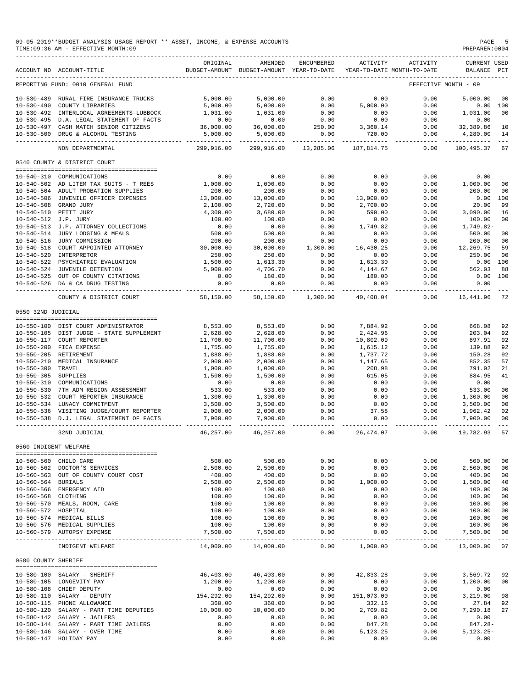|                       | 09-05-2019**BUDGET ANALYSIS USAGE REPORT ** ASSET, INCOME, & EXPENSE ACCOUNTS<br>TIME: 09:36 AM - EFFECTIVE MONTH: 09 |                             |                                                                                |                      |                       |                      | PAGE<br>PREPARER: 0004             | -5                  |
|-----------------------|-----------------------------------------------------------------------------------------------------------------------|-----------------------------|--------------------------------------------------------------------------------|----------------------|-----------------------|----------------------|------------------------------------|---------------------|
|                       | ACCOUNT NO ACCOUNT-TITLE                                                                                              | ORIGINAL                    | AMENDED<br>BUDGET-AMOUNT BUDGET-AMOUNT YEAR-TO-DATE YEAR-TO-DATE MONTH-TO-DATE | ENCUMBERED           | ACTIVITY              | ACTIVITY             | <b>CURRENT USED</b><br>BALANCE PCT |                     |
|                       | REPORTING FUND: 0010 GENERAL FUND                                                                                     |                             |                                                                                |                      |                       |                      | EFFECTIVE MONTH - 09               |                     |
|                       | 10-530-489 RURAL FIRE INSURANCE TRUCKS                                                                                | 5,000.00                    | 5,000.00                                                                       | 0.00                 | 0.00                  | 0.00                 | 5,000.00                           | 00                  |
|                       | 10-530-490 COUNTY LIBRARIES                                                                                           | 5,000.00                    | 5,000.00                                                                       | 0.00                 | 5,000.00              | 0.00                 |                                    | 0.00 100            |
|                       | 10-530-492 INTERLOCAL AGREEMENTS-LUBBOCK                                                                              | 1,031.00                    | 1,031.00                                                                       | 0.00                 | 0.00                  | 0.00                 | 1,031.00                           | 00                  |
|                       | 10-530-495 D.A. LEGAL STATEMENT OF FACTS                                                                              | 0.00                        | 0.00                                                                           | 0.00                 | 0.00                  | 0.00                 | 0.00                               |                     |
|                       | 10-530-497 CASH MATCH SENIOR CITIZENS                                                                                 | 36,000.00                   | $36,000.00$<br>$5,000.00$                                                      | 250.00               | 3,360.14              | 0.00                 | 32,389.86                          | 10                  |
|                       | 10-530-500 DRUG & ALCOHOL TESTING                                                                                     | 5,000.00                    |                                                                                | 0.00                 | 720.00                | 0.00                 | 4,280.00 14                        |                     |
|                       | NON DEPARTMENTAL                                                                                                      | 299,916.00                  | 299,916.00                                                                     | 13,285.06            | 187,814.75            | 0.00                 | 100,495.37                         | 67                  |
|                       | 0540 COUNTY & DISTRICT COURT                                                                                          |                             |                                                                                |                      |                       |                      |                                    |                     |
|                       |                                                                                                                       |                             |                                                                                |                      |                       |                      |                                    |                     |
|                       | 10-540-310 COMMUNICATIONS                                                                                             | 0.00                        | 0.00                                                                           | 0.00                 | 0.00                  | 0.00                 | 0.00                               |                     |
|                       | 10-540-502 AD LITEM TAX SUITS - T REES                                                                                | 1,000.00                    | 1,000.00                                                                       | 0.00<br>0.00         | 0.00<br>0.00          | 0.00                 | 1,000.00                           | 00<br>00            |
|                       | 10-540-504 ADULT PROBATION SUPPLIES<br>10-540-506 JUVENILE OFFICER EXPENSES                                           | 200.00<br>13,000.00         | 200.00<br>13,000.00                                                            | 0.00                 | 13,000.00             | 0.00<br>0.00         | 200.00<br>$0.00$ 100               |                     |
|                       | 10-540-508 GRAND JURY                                                                                                 | 2,100.00                    | 2,720.00                                                                       | 0.00                 | 2,700.00              | 0.00                 | 20.00                              | 99                  |
|                       | 10-540-510 PETIT JURY                                                                                                 | 4,300.00                    | 3,680.00                                                                       | 0.00                 | 590.00                | 0.00                 | 3,090.00                           | 16                  |
|                       | 10-540-512 J.P. JURY<br>10-540-512 J.P. ATTORNEY COLLECTIONS<br>10-540-513 J.P. ATTORNEY COLLECTIONS                  | 100.00                      | 100.00                                                                         | 0.00                 | 0.00                  | 0.00                 | 100.00                             | 00                  |
|                       |                                                                                                                       | 0.00                        | 0.00                                                                           | 0.00                 | 1,749.82              | 0.00                 | 1,749.82-                          |                     |
|                       |                                                                                                                       | 500.00                      | 500.00                                                                         | 0.00                 | 0.00                  | 0.00                 | 500.00                             | 00                  |
|                       | 10-540-516 JURY COMMISSION                                                                                            | 200.00                      | 200.00                                                                         | 0.00                 | 0.00                  | 0.00                 | 200.00                             | 00                  |
|                       | 10-540-518 COURT APPOINTED ATTORNEY 30,000.00                                                                         |                             | 30,000.00                                                                      | 1,300.00             | 16,430.25             | 0.00                 | 12,269.75                          | 59                  |
|                       | 10-540-520 INTERPRETOR                                                                                                | 250.00                      | 250.00                                                                         | 0.00                 | 0.00                  | 0.00                 | 250.00                             | 00                  |
|                       |                                                                                                                       | 1,500.00                    | 1,613.30                                                                       | 0.00                 | 1,613.30              | 0.00                 | $0.00$ 100                         |                     |
|                       | 10-540-522 PSYCHIATRIC EVALUATION<br>10-540-524 JUVENILE DETENTION                                                    | 5,000.00                    | 4,706.70                                                                       | 0.00                 | 4,144.67              | 0.00                 | 562.03                             | 88                  |
|                       | 10-540-525 OUT OF COUNTY CITATIONS                                                                                    | 0.00                        | 180.00                                                                         | 0.00                 | 180.00                | 0.00                 | 0.00                               | 100                 |
|                       | 10-540-526 DA & CA DRUG TESTING                                                                                       | 0.00                        | 0.00                                                                           | 0.00                 | 0.00                  | 0.00                 | 0.00                               |                     |
|                       | COUNTY & DISTRICT COURT                                                                                               | ------------ -<br>58,150.00 | 58,150.00                                                                      | 1,300.00             | 40,408.04             |                      | -------------<br>$0.00$ 16,441.96  | 72                  |
| 0550 32ND JUDICIAL    |                                                                                                                       |                             |                                                                                |                      |                       |                      |                                    |                     |
|                       |                                                                                                                       |                             |                                                                                |                      |                       |                      |                                    |                     |
|                       | 10-550-100 DIST COURT ADMINISTRATOR                                                                                   | 8,553.00                    | 8,553.00                                                                       | 0.00                 | 7,884.92              | 0.00                 | 668.08                             | 92                  |
|                       | 10-550-105 DIST JUDGE - STATE SUPPLEMENT                                                                              | 2,628.00                    | 2,628.00                                                                       | 0.00                 | 2,424.96              | 0.00                 | 203.04                             | 92                  |
|                       | 10-550-117 COURT REPORTER                                                                                             | 11,700.00                   | 11,700.00                                                                      | 0.00                 | 10,802.09             | 0.00                 | 897.91                             | 92                  |
|                       | 10-550-200 FICA EXPENSE                                                                                               | 1,755.00                    | 1,755.00                                                                       | 0.00                 | 1,615.12              | 0.00                 | 139.88                             | 92                  |
|                       | 10-550-205 RETIREMENT                                                                                                 | 1,888.00                    | 1,888.00                                                                       | 0.00                 | 1,737.72              | 0.00                 | 150.28                             | 92                  |
|                       | 10-550-210 MEDICAL INSURANCE                                                                                          | 2,000.00                    | 2,000.00                                                                       | 0.00                 | 1,147.65              | 0.00                 | 852.35                             | 57                  |
| 10-550-300 TRAVEL     |                                                                                                                       | 1,000.00                    | 1,000.00                                                                       | 0.00                 | 208.98                | 0.00                 | 791.02                             | 21                  |
| 10-550-305 SUPPLIES   |                                                                                                                       | 1,500.00                    | 1,500.00                                                                       | 0.00                 | 615.05                | 0.00                 | 884.95                             | 41                  |
|                       | 10-550-310 COMMUNICATIONS                                                                                             | 0.00                        | 0.00                                                                           | 0.00                 | 0.00                  | 0.00                 | 0.00                               |                     |
|                       | 10-550-530 7TH ADM REGION ASSESSMENT                                                                                  | 533.00                      | 533.00                                                                         | 0.00                 | 0.00                  | 0.00                 | 533.00                             | 00                  |
|                       | 10-550-532 COURT REPORTER INSURANCE<br>$r_{\text{univ}}$                                                              | 1,300.00                    | 1,300.00                                                                       | 0.00                 | 0.00                  | 0.00                 | 1,300.00                           | 00                  |
|                       | 10-550-534 LUNACY COMMITMENT                                                                                          | 3,500.00                    | 3,500.00                                                                       | 0.00                 | 0.00                  | 0.00                 | 3,500.00                           | 00                  |
|                       | 10-550-536 VISITING JUDGE/COURT REPORTER                                                                              | 2,000.00                    | 2,000.00                                                                       | 0.00                 | 37.58                 | 0.00                 | 1,962.42                           | 02                  |
|                       | 10-550-538 D.J. LEGAL STATEMENT OF FACTS 7,900.00                                                                     | -------------               | 7,900.00                                                                       | 0.00<br>------------ | 0.00<br>------------- | 0.00<br>____________ | 7,900.00<br>-------------          | 00                  |
|                       | 32ND JUDICIAL                                                                                                         | 46,257.00                   | 46,257.00                                                                      | 0.00                 | 26,474.07             | 0.00                 | 19,782.93 57                       |                     |
| 0560 INDIGENT WELFARE |                                                                                                                       |                             |                                                                                |                      |                       |                      |                                    |                     |
|                       |                                                                                                                       |                             |                                                                                |                      |                       |                      |                                    |                     |
|                       | 10-560-560 CHILD CARE                                                                                                 | 500.00                      | 500.00                                                                         | 0.00                 | 0.00                  | 0.00                 | 500.00                             | 00                  |
|                       | 10-560-562 DOCTOR'S SERVICES<br>10-560-563 OUT OF COUNTY COURT COST                                                   | 2,500.00                    | 2,500.00                                                                       | 0.00                 | 0.00                  | 0.00                 | 2,500.00                           | 00                  |
|                       |                                                                                                                       | 400.00<br>2.500.00          | 400.00<br>2.500.00                                                             | 0.00                 | 0.00                  | 0.00                 | 400.00<br>1,500.00                 | 00                  |
| 10-560-564 BURIALS    | 10-560-566 EMERGENCY AID                                                                                              | 100.00                      | 100.00                                                                         | 0.00<br>0.00         | 1,000.00<br>0.00      | 0.00<br>0.00         | 100.00                             | 40<br>00            |
| 10-560-568 CLOTHING   |                                                                                                                       | 100.00                      | 100.00                                                                         | 0.00                 | 0.00                  | 0.00                 | 100.00                             | 00                  |
|                       | 10-560-570 MEALS, ROOM, CARE                                                                                          | 100.00                      | 100.00                                                                         | 0.00                 | 0.00                  | 0.00                 | 100.00                             | 00                  |
| 10-560-572 HOSPITAL   |                                                                                                                       | 100.00                      | 100.00                                                                         | 0.00                 | 0.00                  | 0.00                 | 100.00                             | 00                  |
|                       | 10-560-574 MEDICAL BILLS                                                                                              | 100.00                      | 100.00                                                                         | 0.00                 | 0.00                  | 0.00                 | 100.00                             | 00                  |
|                       | 10-560-576 MEDICAL SUPPLIES                                                                                           | 100.00                      | 100.00                                                                         | 0.00                 | 0.00                  | 0.00                 | 100.00                             | 00                  |
|                       | 10-560-579 AUTOPSY EXPENSE                                                                                            | 7,500.00                    | 7,500.00                                                                       | 0.00                 | 0.00                  | 0.00                 | 7,500.00                           | 00                  |
|                       | ---------------------------<br>INDIGENT WELFARE                                                                       | --------<br>14,000.00       | 14,000.00                                                                      | 0.00                 | 1,000.00              | 0.00                 | 13,000.00                          | $\frac{1}{2}$<br>07 |
| 0580 COUNTY SHERIFF   |                                                                                                                       |                             |                                                                                |                      |                       |                      |                                    |                     |
|                       |                                                                                                                       |                             |                                                                                |                      |                       |                      |                                    |                     |
|                       | 10-580-100 SALARY - SHERIFF                                                                                           | 46,403.00                   | 46,403.00                                                                      | 0.00                 | 42,833.28             | 0.00                 | 3,569.72                           | 92                  |
|                       | 10-580-105 LONGEVITY PAY                                                                                              | 1,200.00                    | 1,200.00                                                                       | 0.00                 | 0.00                  | 0.00                 | 1,200.00                           | 00                  |
|                       | 10-580-108 CHIEF DEPUTY                                                                                               | 0.00                        | 0.00                                                                           | 0.00                 | 0.00                  | 0.00                 | 0.00                               |                     |
|                       | 10-580-110 SALARY - DEPUTY                                                                                            | 154,292.00                  | 154,292.00                                                                     | 0.00                 | 151,073.00            | 0.00                 | 3,219.00                           | 98                  |
|                       | 10-580-115 PHONE ALLOWANCE                                                                                            | 360.00                      | 360.00                                                                         | 0.00                 | 332.16                | 0.00                 | 27.84                              | 92                  |
|                       | 10-580-120 SALARY - PART TIME DEPUTIES                                                                                | 10,000.00                   | 10,000.00                                                                      | 0.00                 | 2,709.82              | 0.00                 | 7,290.18                           | 27                  |
|                       | 10-580-142 SALARY - JAILERS                                                                                           | 0.00                        | 0.00                                                                           | 0.00                 | 0.00                  | 0.00                 | 0.00                               |                     |
|                       | 10-580-144 SALARY - PART TIME JAILERS                                                                                 | 0.00                        | 0.00                                                                           | 0.00                 | 847.28                | 0.00                 | $847.28 -$                         |                     |
|                       | 10-580-146 SALARY - OVER TIME                                                                                         | 0.00                        | 0.00                                                                           | 0.00                 | 5,123.25              | 0.00                 | $5,123.25-$                        |                     |
|                       | 10-580-147 HOLIDAY PAY                                                                                                | 0.00                        | 0.00                                                                           | 0.00                 | 0.00                  | 0.00                 | 0.00                               |                     |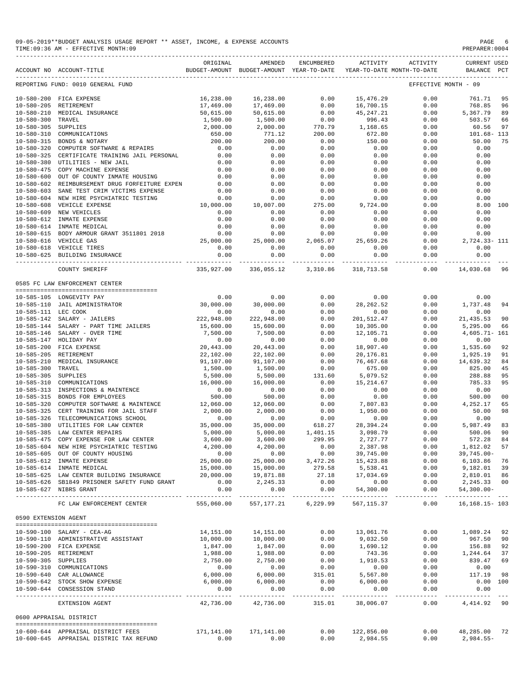|                      | ACCOUNT NO ACCOUNT-TITLE                                                         | ORIGINAL           | AMENDED<br>BUDGET-AMOUNT BUDGET-AMOUNT YEAR-TO-DATE | ENCUMBERED                    | ACTIVITY           | ACTIVITY<br>YEAR-TO-DATE MONTH-TO-DATE | <b>CURRENT USED</b><br>BALANCE PCT             |                |
|----------------------|----------------------------------------------------------------------------------|--------------------|-----------------------------------------------------|-------------------------------|--------------------|----------------------------------------|------------------------------------------------|----------------|
|                      | REPORTING FUND: 0010 GENERAL FUND                                                |                    |                                                     |                               |                    |                                        | EFFECTIVE MONTH - 09                           |                |
|                      | 10-580-200 FICA EXPENSE                                                          | 16,238.00          | 16,238.00                                           | 0.00                          | 15,476.29          | 0.00                                   | 761.71                                         | 95             |
|                      | 10-580-205 RETIREMENT                                                            | 17,469.00          | 17,469.00                                           | 0.00                          | 16,700.15          | 0.00                                   | 768.85                                         | 96             |
| 10-580-210           | MEDICAL INSURANCE                                                                | 50,615.00          | 50,615.00                                           | 0.00                          | 45, 247. 21        | 0.00                                   | 5,367.79                                       | 89             |
| $10 - 580 - 300$     | TRAVEL                                                                           | 1,500.00           | 1,500.00                                            | 0.00                          | 996.43             | 0.00                                   | 503.57                                         | 66             |
| 10-580-305 SUPPLIES  |                                                                                  | 2,000.00           | 2,000.00                                            | 770.79                        | 1,168.65           | 0.00                                   | 60.56                                          | 97             |
| $10 - 580 - 310$     | COMMUNICATIONS                                                                   | 650.00             | 771.12                                              | 200.00                        | 672.80             | 0.00                                   | $101.68 - 113$                                 |                |
|                      | 10-580-315 BONDS & NOTARY                                                        | 200.00             | 200.00                                              | 0.00                          | 150.00             | 0.00                                   | 50.00                                          | 75             |
| $10 - 580 - 320$     | COMPUTER SOFTWARE & REPAIRS                                                      | 0.00               | 0.00                                                | 0.00                          | 0.00               | 0.00                                   | 0.00                                           |                |
| $10 - 580 - 325$     | CERTIFICATE TRAINING JAIL PERSONAL                                               | 0.00               | 0.00                                                | 0.00                          | 0.00               | 0.00                                   | 0.00                                           |                |
| $10 - 580 - 380$     | UTILITIES - NEW JAIL                                                             | 0.00               | 0.00                                                | 0.00                          | 0.00               | 0.00                                   | 0.00                                           |                |
| $10 - 580 - 475$     | COPY MACHINE EXPENSE                                                             | 0.00               | 0.00                                                | 0.00                          | 0.00               | 0.00                                   | 0.00                                           |                |
| $10 - 580 - 600$     | OUT OF COUNTY INMATE HOUSING                                                     | 0.00<br>0.00       | 0.00                                                | 0.00<br>0.00                  | 0.00<br>0.00       | 0.00<br>0.00                           | 0.00<br>0.00                                   |                |
| $10 - 580 - 603$     | 10-580-602 REIMBURSEMENT DRUG FORFEITURE EXPEN<br>SANE TEST CRIM VICTIMS EXPENSE | 0.00               | 0.00<br>0.00                                        | 0.00                          | 0.00               | 0.00                                   | 0.00                                           |                |
| $10 - 580 - 604$     | NEW HIRE PSYCHIATRIC TESTING                                                     | 0.00               | 0.00                                                | 0.00                          | 0.00               | 0.00                                   | 0.00                                           |                |
| $10 - 580 - 608$     | VEHICLE EXPENSE                                                                  | 10,000.00          | 10,007.00                                           | 275.00                        | 9,724.00           | 0.00                                   | 8.00                                           | 100            |
| $10 - 580 - 609$     | NEW VEHICLES                                                                     | 0.00               | 0.00                                                | 0.00                          | 0.00               | 0.00                                   | 0.00                                           |                |
|                      | 10-580-612 INMATE EXPENSE                                                        | 0.00               | 0.00                                                | 0.00                          | 0.00               | 0.00                                   | 0.00                                           |                |
|                      | 10-580-614 INMATE MEDICAL                                                        | 0.00               | 0.00                                                | 0.00                          | 0.00               | 0.00                                   | 0.00                                           |                |
|                      | 10-580-615 BODY ARMOUR GRANT 3511801 2018                                        | 0.00               | 0.00                                                | 0.00                          | 0.00               | 0.00                                   | 0.00                                           |                |
|                      | 10-580-616 VEHICLE GAS                                                           | 25,000.00          | 25,000.00                                           | 2,065.07                      | 25,659.26          | 0.00                                   | 2,724.33- 111                                  |                |
|                      | 10-580-618 VEHICLE TIRES                                                         | 0.00               | 0.00                                                | 0.00                          | 0.00               | 0.00                                   | 0.00                                           |                |
|                      | 10-580-625 BUILDING INSURANCE                                                    | 0.00               | 0.00                                                | 0.00                          | 0.00               | 0.00                                   | 0.00                                           |                |
|                      | COUNTY SHERIFF                                                                   | 335,927.00         | 336,055.12                                          | -------------<br>3,310.86     | 318,713.58         | $\cdots \cdots \cdots \cdots$<br>0.00  | 14,030.68                                      | 96             |
|                      |                                                                                  |                    |                                                     |                               |                    |                                        |                                                |                |
|                      | 0585 FC LAW ENFORCEMENT CENTER                                                   |                    |                                                     |                               |                    |                                        |                                                |                |
|                      | 10-585-105 LONGEVITY PAY                                                         | 0.00               | 0.00                                                | 0.00                          | 0.00               | 0.00                                   | 0.00                                           |                |
|                      | 10-585-110 JAIL ADMINISTRATOR                                                    | 30,000.00          | 30,000.00                                           | 0.00                          | 28, 262.52         | 0.00                                   | 1,737.48                                       | 94             |
| 10-585-111 LEC COOK  |                                                                                  | 0.00               | 0.00                                                | 0.00                          | 0.00               | 0.00                                   | 0.00                                           |                |
|                      | 10-585-142 SALARY - JAILERS                                                      | 222,948.00         | 222,948.00                                          | 0.00                          | 201, 512.47        | 0.00                                   | 21, 435.53                                     | 90             |
|                      | 10-585-144 SALARY - PART TIME JAILERS                                            | 15,600.00          | 15,600.00                                           | 0.00                          | 10,305.00          | 0.00                                   | 5,295.00                                       | 66             |
|                      | 10-585-146 SALARY - OVER TIME                                                    | 7,500.00           | 7,500.00                                            | 0.00                          | 12,105.71          | 0.00                                   | $4,605.71 - 161$                               |                |
|                      | 10-585-147 HOLIDAY PAY                                                           | 0.00               | 0.00                                                | 0.00                          | 0.00               | 0.00                                   | 0.00                                           |                |
|                      | 10-585-200 FICA EXPENSE                                                          | 20,443.00          | 20,443.00                                           | 0.00                          | 18,907.40          | 0.00                                   | 1,535.60                                       | 92             |
|                      | 10-585-205 RETIREMENT                                                            | 22,102.00          | 22,102.00                                           | 0.00                          | 20,176.81          | 0.00                                   | 1,925.19                                       | 91             |
|                      | 10-585-210 MEDICAL INSURANCE                                                     | 91,107.00          | 91,107.00                                           | 0.00                          | 76,467.68          | 0.00                                   | 14,639.32                                      | 84             |
| $10 - 585 - 300$     | TRAVEL                                                                           | 1,500.00           | 1,500.00                                            | 0.00                          | 675.00             | 0.00                                   | 825.00                                         | 45             |
| 10-585-305 SUPPLIES  |                                                                                  | 5,500.00           | 5,500.00                                            | 131.60                        | 5,079.52           | 0.00                                   | 288.88                                         | 95             |
| $10 - 585 - 310$     | COMMUNICATIONS                                                                   | 16,000.00          | 16,000.00                                           | 0.00                          | 15, 214.67         | 0.00                                   | 785.33                                         | 95             |
|                      | 10-585-313 INSPECTIONS & MAINTENCE                                               | 0.00               | 0.00                                                | 0.00                          | 0.00               | 0.00                                   | 0.00                                           |                |
|                      | 10-585-315 BONDS FOR EMPLOYEES                                                   | 500.00             | 500.00                                              | 0.00                          | 0.00               | 0.00                                   | 500.00                                         | 0 <sub>0</sub> |
| $10 - 585 - 320$     | COMPUTER SOFTWARE & MAINTENCE                                                    | 12,060.00          | 12,060.00                                           | 0.00                          | 7,807.83           | 0.00                                   | 4,252.17                                       | 65             |
| $10 - 585 - 325$     | CERT TRAINING FOR JAIL STAFF                                                     | 2,000.00           | 2,000.00                                            | 0.00                          | 1,950.00           | 0.00                                   | 50.00                                          | 98             |
| $10 - 585 - 326$     | TELECOMMUNICATIONS SCHOOL                                                        | 0.00               | 0.00                                                | 0.00                          | 0.00               | 0.00                                   | 0.00                                           |                |
| $10 - 585 - 380$     | UTILITIES FOR LAW CENTER                                                         | 35,000.00          | 35,000.00                                           | 618.27                        | 28,394.24          | 0.00                                   | 5,987.49                                       | 83             |
| $10 - 585 - 385$     | LAW CENTER REPAIRS                                                               | 5,000.00           | 5,000.00                                            | 1,401.15                      | 3,098.79           | 0.00                                   | 500.06                                         | 90             |
| $10 - 585 - 475$     | COPY EXPENSE FOR LAW CENTER                                                      | 3,600.00           | 3,600.00                                            | 299.95                        | 2,727.77           | 0.00                                   | 572.28                                         | 84             |
| $10 - 585 - 604$     | NEW HIRE PSYCHIATRIC TESTING                                                     | 4,200.00           | 4,200.00                                            | 0.00                          | 2,387.98           | 0.00                                   | 1,812.02                                       | 57             |
|                      | 10-585-605 OUT OF COUNTY HOUSING                                                 | 0.00               | 0.00                                                | 0.00                          | 39,745.00          | 0.00                                   | $39,745.00 -$                                  |                |
|                      | 10-585-612 INMATE EXPENSE                                                        | 25,000.00          | 25,000.00                                           | 3,472.26                      | 15,423.88          | 0.00                                   | 6,103.86                                       | 76             |
|                      | 10-585-614 INMATE MEDICAL                                                        | 15,000.00          | 15,000.00                                           | 279.58                        | 5,538.41           | 0.00                                   | 9,182.01                                       | 39             |
|                      | 10-585-625 LAW CENTER BUILDING INSURANCE                                         | 20,000.00          | 19,871.88                                           | 27.18                         | 17,034.69          | 0.00                                   | 2,810.01                                       | 86             |
|                      | 10-585-626 SB1849 PRISONER SAFETY FUND GRANT<br>10-585-627 NIBRS GRANT           | 0.00<br>0.00       | 2,245.33<br>0.00                                    | 0.00<br>0.00                  | 0.00<br>54,300.00  | 0.00<br>0.00                           | 2,245.33<br>$54,300.00 -$                      | 0 <sub>0</sub> |
|                      | FC LAW ENFORCEMENT CENTER                                                        | 555,060.00         | 557,177.21                                          | . _ _ _ _ _ _ _ _<br>6,229.99 | 567,115.37         | $- - - - - -$<br>0.00                  | . _ _ _ _ _ _ _ _ _ _ _ _<br>16, 168. 15 - 103 |                |
| 0590 EXTENSION AGENT |                                                                                  |                    |                                                     |                               |                    |                                        |                                                |                |
|                      |                                                                                  |                    |                                                     |                               |                    |                                        |                                                |                |
|                      | 10-590-100 SALARY - CEA-AG                                                       | 14,151.00          | 14,151.00                                           | 0.00                          | 13,061.76          | 0.00                                   | 1,089.24                                       | 92             |
|                      | 10-590-110 ADMINISTRATIVE ASSISTANT                                              | 10,000.00          | 10,000.00                                           | 0.00                          | 9,032.50           | 0.00                                   | 967.50                                         | 90             |
|                      | 10-590-200 FICA EXPENSE                                                          | 1,847.00           | 1,847.00                                            | 0.00                          | 1,690.12           | 0.00                                   | 156.88                                         | 92             |
|                      | 10-590-205 RETIREMENT                                                            | 1,988.00           | 1,988.00                                            | 0.00                          | 743.36             | 0.00                                   | 1,244.64                                       | 37             |
| 10-590-305 SUPPLIES  |                                                                                  | 2,750.00           | 2,750.00                                            | 0.00                          | 1,910.53           | 0.00                                   | 839.47                                         | 69             |
|                      | 10-590-310 COMMUNICATIONS                                                        | 0.00               | 0.00                                                | 0.00                          | 0.00               | 0.00                                   | 0.00                                           |                |
|                      | 10-590-640 CAR ALLOWANCE                                                         | 6,000.00           | 6,000.00                                            | 315.01                        | 5,567.80           | 0.00                                   | 117.19                                         | 98             |
|                      | 10-590-642 STOCK SHOW EXPENSE                                                    | 6,000.00           | 6,000.00                                            | 0.00                          | 6,000.00           | 0.00                                   | $0.00$ 100                                     |                |
|                      | 10-590-644 CONSESSION STAND                                                      | 0.00<br>---------- | 0.00<br>-------------                               | 0.00<br>---------             | 0.00<br>---------- | 0.00<br>----------                     | 0.00<br>--------- ---                          |                |
|                      | EXTENSION AGENT                                                                  | 42,736.00          | 42,736.00                                           | 315.01                        | 38,006.07          | 0.00                                   | 4,414.92 90                                    |                |
|                      | 0600 APPRAISAL DISTRICT                                                          |                    |                                                     |                               |                    |                                        |                                                |                |
|                      | 10-600-644 APPRAISAL DISTRICT FEES                                               | 171,141.00         | 171,141.00                                          | 0.00                          | 122,856.00         | 0.00                                   | 48,285.00                                      | 72             |
|                      | 10-600-645 APPRAISAL DISTRIC TAX REFUND                                          | 0.00               | 0.00                                                | 0.00                          | 2,984.55           | 0.00                                   | $2,984.55-$                                    |                |
|                      |                                                                                  |                    |                                                     |                               |                    |                                        |                                                |                |

-------------------------------------------------------------------------------------------------------------------------------------------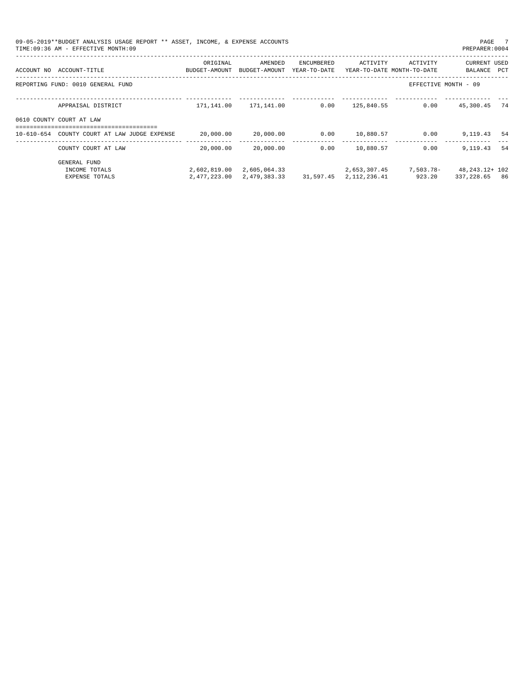| 09-05-2019**BUDGET ANALYSIS USAGE REPORT ** ASSET, INCOME, & EXPENSE ACCOUNTS<br>TIME: 09:36 AM - EFFECTIVE MONTH: 09 |                                                   |                                                         |            |                  |                                                 | PAGE 7<br>PREPARER: 0004              |    |
|-----------------------------------------------------------------------------------------------------------------------|---------------------------------------------------|---------------------------------------------------------|------------|------------------|-------------------------------------------------|---------------------------------------|----|
| ACCOUNT NO ACCOUNT-TITLE<br>BUDGET-AMOUNT                                                                             | ORIGINAL                                          | AMENDED<br>BUDGET-AMOUNT YEAR-TO-DATE                   | ENCUMBERED |                  | ACTIVITY ACTIVITY<br>YEAR-TO-DATE MONTH-TO-DATE | CURRENT USED<br>BALANCE PCT           |    |
| REPORTING FUND: 0010 GENERAL FUND                                                                                     |                                                   |                                                         |            |                  |                                                 | EFFECTIVE MONTH - 09                  |    |
| APPRAISAL DISTRICT                                                                                                    | $171, 141.00$ $171, 141.00$ $0.00$ $125, 840.55$  |                                                         |            |                  | 0.00                                            | 45,300.45                             | 74 |
| 0610 COUNTY COURT AT LAW                                                                                              |                                                   |                                                         |            |                  |                                                 |                                       |    |
| 10-610-654 COUNTY COURT AT LAW JUDGE EXPENSE                                                                          | $20,000.00$ $20,000.00$ $0.00$ $10,880.57$ $0.00$ |                                                         |            |                  |                                                 | 9,119.43 54                           |    |
| COUNTY COURT AT LAW                                                                                                   | 20,000.00                                         | 20,000.00                                               |            | $0.00$ 10.880.57 | 0.00                                            | 9, 119, 43 54                         |    |
| GENERAL FUND                                                                                                          |                                                   |                                                         |            |                  |                                                 |                                       |    |
| INCOME TOTALS                                                                                                         |                                                   | 2,602,819.00 2,605,064.33                               |            |                  |                                                 | 2,653,307.45 7,503.78- 48,243.12+ 102 |    |
| EXPENSE TOTALS                                                                                                        |                                                   | 2,477,223.00 2,479,383.33 31,597.45 2,112,236.41 923.20 |            |                  |                                                 | 337,228.65 86                         |    |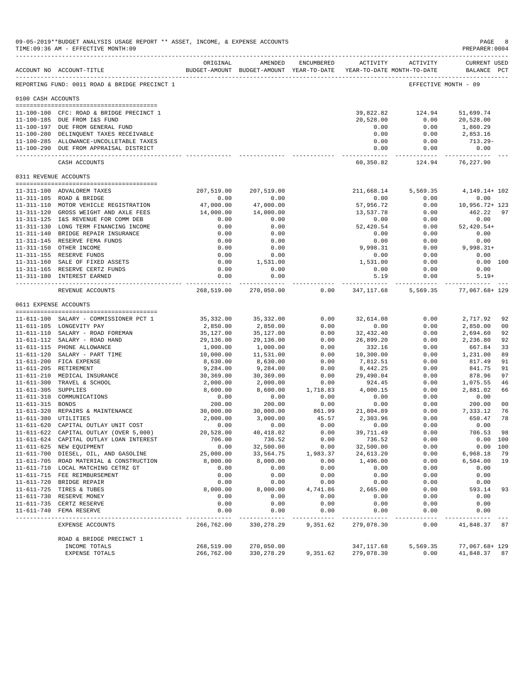|                      | 09-05-2019**BUDGET ANALYSIS USAGE REPORT ** ASSET, INCOME, & EXPENSE ACCOUNTS<br>TIME: 09:36 AM - EFFECTIVE MONTH: 09<br>________________________________ |                           |                                                                                |                       |                          |               | PAGE<br>PREPARER: 0004             |                |
|----------------------|-----------------------------------------------------------------------------------------------------------------------------------------------------------|---------------------------|--------------------------------------------------------------------------------|-----------------------|--------------------------|---------------|------------------------------------|----------------|
|                      | ACCOUNT NO ACCOUNT-TITLE                                                                                                                                  | ORIGINAL                  | AMENDED<br>BUDGET-AMOUNT BUDGET-AMOUNT YEAR-TO-DATE YEAR-TO-DATE MONTH-TO-DATE | ENCUMBERED            | <b>ACTIVITY</b>          | ACTIVITY      | <b>CURRENT USED</b><br>BALANCE PCT |                |
|                      | REPORTING FUND: 0011 ROAD & BRIDGE PRECINCT 1                                                                                                             |                           |                                                                                |                       |                          |               | EFFECTIVE MONTH - 09               |                |
| 0100 CASH ACCOUNTS   |                                                                                                                                                           |                           |                                                                                |                       |                          |               |                                    |                |
|                      | 11-100-100 CFC: ROAD & BRIDGE PRECINCT 1                                                                                                                  |                           |                                                                                |                       | 39,822.82                | 124.94        | 51,699.74                          |                |
|                      | 11-100-185 DUE FROM I&S FUND                                                                                                                              |                           |                                                                                |                       | 20,528.00                | 0.00          | 20,528.00                          |                |
|                      | 11-100-197 DUE FROM GENERAL FUND                                                                                                                          |                           |                                                                                |                       | 0.00                     | 0.00          | 1,860.29                           |                |
|                      | 11-100-280 DELINQUENT TAXES RECEIVABLE                                                                                                                    |                           |                                                                                |                       | 0.00                     | 0.00          | 2,853.16                           |                |
|                      | 11-100-285 ALLOWANCE-UNCOLLETABLE TAXES                                                                                                                   |                           |                                                                                |                       | 0.00                     | 0.00          | 713.29-                            |                |
|                      | 11-100-290 DUE FROM APPRAISAL DISTRICT                                                                                                                    |                           |                                                                                |                       | 0.00<br>.                | 0.00          | 0.00                               |                |
|                      | CASH ACCOUNTS                                                                                                                                             |                           |                                                                                |                       | 60,350.82                | 124.94        | 76,227.90                          |                |
|                      | 0311 REVENUE ACCOUNTS                                                                                                                                     |                           |                                                                                |                       |                          |               |                                    |                |
|                      | 11-311-100 ADVALOREM TAXES                                                                                                                                | 207,519.00                | 207,519.00                                                                     |                       | 211,668.14               | 5,569.35      | 4, 149. 14+ 102                    |                |
|                      | 11-311-105 ROAD & BRIDGE                                                                                                                                  | 0.00                      | 0.00                                                                           |                       | 0.00                     | 0.00          | 0.00                               |                |
|                      | 11-311-110 MOTOR VEHICLE REGISTRATION                                                                                                                     | 47,000.00                 | 47,000.00                                                                      |                       | 57,956.72                | 0.00          | $10,956.72+123$                    |                |
|                      | 11-311-120 GROSS WEIGHT AND AXLE FEES                                                                                                                     | 14,000.00                 | 14,000.00                                                                      |                       | 13,537.78                | 0.00          | 462.22                             | -97            |
|                      | 11-311-125 I&S REVENUE FOR COMM DEB                                                                                                                       | 0.00                      | 0.00<br>0.00                                                                   |                       | 0.00                     | 0.00          | 0.00<br>$52,420.54+$               |                |
|                      | 11-311-130 LONG TERM FINANCING INCOME<br>11-311-140 BRIDGE REPAIR INSURANCE                                                                               | 0.00<br>0.00              | 0.00                                                                           |                       | 52,420.54<br>0.00        | 0.00<br>0.00  | 0.00                               |                |
|                      | 11-311-145 RESERVE FEMA FUNDS                                                                                                                             | 0.00                      | 0.00                                                                           |                       | 0.00                     | 0.00          | 0.00                               |                |
|                      | 11-311-150 OTHER INCOME                                                                                                                                   | 0.00                      | 0.00                                                                           |                       | 9,998.31                 | 0.00          | $9,998.31+$                        |                |
|                      | 11-311-155 RESERVE FUNDS                                                                                                                                  | 0.00                      | 0.00                                                                           |                       | 0.00                     | 0.00          | 0.00                               |                |
|                      | 11-311-160 SALE OF FIXED ASSETS                                                                                                                           | 0.00                      | 1,531.00                                                                       |                       | 1,531.00                 | 0.00          |                                    | 0.00 100       |
|                      | 11-311-165 RESERVE CERTZ FUNDS                                                                                                                            | 0.00                      | 0.00                                                                           |                       | 0.00                     | 0.00          | 0.00                               |                |
|                      | 11-311-180 INTEREST EARNED                                                                                                                                | 0.00<br>.                 | 0.00                                                                           |                       | 5.19                     | 0.00          | $5.19+$                            |                |
|                      | REVENUE ACCOUNTS                                                                                                                                          | 268,519.00                | 270,050.00                                                                     | 0.00                  | 347,117.68               | 5,569.35      | 77,067.68+ 129                     |                |
|                      | 0611 EXPENSE ACCOUNTS                                                                                                                                     |                           |                                                                                |                       |                          |               |                                    |                |
|                      | 11-611-100 SALARY - COMMISSIONER PCT 1                                                                                                                    | 35,332.00                 | 35, 332.00                                                                     | 0.00                  | 32,614.08                | 0.00          | 2,717.92                           | 92             |
|                      | 11-611-105 LONGEVITY PAY                                                                                                                                  | 2,850.00                  | 2,850.00                                                                       | 0.00                  | 0.00                     | 0.00          | 2,850.00                           | 0 <sub>0</sub> |
|                      | 11-611-110 SALARY - ROAD FOREMAN                                                                                                                          | 35,127.00                 | 35,127.00                                                                      | 0.00                  | 32,432.40                | 0.00          | 2,694.60                           | 92             |
|                      | 11-611-112 SALARY - ROAD HAND                                                                                                                             | 29,136.00                 | 29,136.00                                                                      | 0.00                  | 26,899.20                | 0.00          | 2,236.80                           | 92             |
|                      | 11-611-115 PHONE ALLOWANCE                                                                                                                                | 1,000.00                  | 1,000.00                                                                       | 0.00                  | 332.16                   | 0.00          | 667.84                             | 33             |
|                      | 11-611-120 SALARY - PART TIME                                                                                                                             | 10,000.00                 | 11,531.00                                                                      | 0.00                  | 10,300.00                | 0.00          | 1,231.00                           | 89             |
|                      | 11-611-200 FICA EXPENSE                                                                                                                                   | 8,630.00                  | 8,630.00                                                                       | 0.00                  | 7,812.51                 | 0.00          | 817.49                             | 91             |
|                      | 11-611-205 RETIREMENT                                                                                                                                     | 9,284.00                  | 9,284.00                                                                       | 0.00                  | 8,442.25                 | 0.00          | 841.75                             | 91             |
|                      | 11-611-210 MEDICAL INSURANCE                                                                                                                              | 30,369.00                 | 30,369.00                                                                      | 0.00                  | 29,490.04                | 0.00          | 878.96                             | 97             |
|                      | 11-611-300 TRAVEL & SCHOOL                                                                                                                                | 2,000.00                  | 2,000.00                                                                       | 0.00                  | 924.45                   | 0.00          | 1,075.55                           | 46             |
| 11-611-305 SUPPLIES  |                                                                                                                                                           | 8,600.00                  | 8,600.00                                                                       | 1,718.83              | 4,000.15                 | 0.00          | 2,881.02                           | 66             |
| 11-611-315 BONDS     | 11-611-310 COMMUNICATIONS                                                                                                                                 | 0.00<br>200.00            | 0.00<br>200.00                                                                 | 0.00                  | 0.00                     | 0.00<br>0.00  | 0.00<br>200.00                     | 0 <sub>0</sub> |
|                      | 11-611-320 REPAIRS & MAINTENANCE                                                                                                                          | 30,000.00                 | 30,000.00                                                                      | 0.00<br>861.99        | 0.00<br>21,804.89        | 0.00          | 7,333.12                           | 76             |
| 11-611-380 UTILITIES |                                                                                                                                                           | 2,000.00                  | 3,000.00                                                                       | 45.57                 | 2,303.96                 | 0.00          | 650.47                             | 78             |
|                      | 11-611-620 CAPITAL OUTLAY UNIT COST                                                                                                                       | 0.00                      | 0.00                                                                           | 0.00                  | 0.00                     | 0.00          | 0.00                               |                |
|                      | 11-611-622 CAPITAL OUTLAY (OVER 5,000)                                                                                                                    | 20,528.00                 | 40,418.02                                                                      | 0.00                  | 39,711.49                | 0.00          | 706.53                             | -98            |
|                      | 11-611-624 CAPITAL OUTLAY LOAN INTEREST                                                                                                                   | 706.00                    | 736.52                                                                         | 0.00                  | 736.52                   | 0.00          |                                    | 0.00 100       |
|                      | 11-611-625 NEW EQUIPMENT                                                                                                                                  | 0.00                      | 32,500.00                                                                      | 0.00                  | 32,500.00                | 0.00          |                                    | 0.00 100       |
|                      | 11-611-700 DIESEL, OIL, AND GASOLINE                                                                                                                      | 25,000.00                 | 33,564.75                                                                      | 1,983.37              | 24,613.20                | 0.00          | 6,968.18                           | 79             |
|                      | 11-611-705 ROAD MATERIAL & CONSTRUCTION                                                                                                                   | 8,000.00                  | 8,000.00                                                                       | 0.00                  | 1,496.00                 | 0.00          | 6,504.00                           | 19             |
|                      | 11-611-710 LOCAL MATCHING CETRZ GT                                                                                                                        | 0.00                      | 0.00                                                                           | 0.00                  | 0.00                     | 0.00          | 0.00                               |                |
|                      | 11-611-715 FEE REIMBURSEMENT                                                                                                                              | 0.00                      | 0.00                                                                           | 0.00                  | 0.00                     | 0.00          | 0.00                               |                |
|                      | 11-611-720 BRIDGE REPAIR                                                                                                                                  | 0.00                      | 0.00                                                                           | 0.00<br>4,741.86      | 0.00<br>2,665.00         | 0.00          | 0.00                               | 93             |
|                      | 11-611-725 TIRES & TUBES<br>11-611-730 RESERVE MONEY                                                                                                      | 8,000.00<br>0.00          | 8,000.00<br>0.00                                                               | 0.00                  | 0.00                     | 0.00<br>0.00  | 593.14<br>0.00                     |                |
|                      | 11-611-735 CERTZ RESERVE                                                                                                                                  | 0.00                      | 0.00                                                                           | 0.00                  | 0.00                     | 0.00          | 0.00                               |                |
|                      | 11-611-740 FEMA RESERVE                                                                                                                                   | 0.00                      | 0.00                                                                           | 0.00                  | 0.00                     | 0.00          | 0.00                               |                |
|                      | EXPENSE ACCOUNTS                                                                                                                                          | -----------<br>266,762.00 | ----------<br>330, 278.29                                                      | ---------<br>9,351.62 | ----------<br>279,078.30 | -----<br>0.00 | -------<br>41,848.37               | 87             |
|                      | ROAD & BRIDGE PRECINCT 1                                                                                                                                  |                           |                                                                                |                       |                          |               |                                    |                |
|                      | INCOME TOTALS                                                                                                                                             | 268,519.00                | 270,050.00                                                                     |                       | 347,117.68               | 5,569.35      | 77,067.68+ 129                     |                |
|                      | EXPENSE TOTALS                                                                                                                                            | 266,762.00                | 330,278.29                                                                     | 9,351.62              | 279,078.30               | 0.00          | 41,848.37 87                       |                |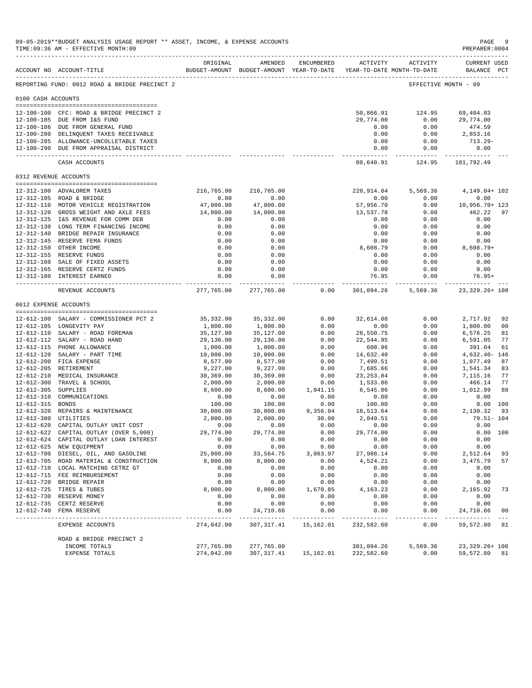|                       | 09-05-2019**BUDGET ANALYSIS USAGE REPORT ** ASSET, INCOME, & EXPENSE ACCOUNTS<br>TIME: 09:36 AM - EFFECTIVE MONTH: 09<br>__________________________________ |                       |                                                                                |                                      |                        |              | PAGE<br>PREPARER: 0004             |                |
|-----------------------|-------------------------------------------------------------------------------------------------------------------------------------------------------------|-----------------------|--------------------------------------------------------------------------------|--------------------------------------|------------------------|--------------|------------------------------------|----------------|
|                       | ACCOUNT NO ACCOUNT-TITLE                                                                                                                                    | ORIGINAL              | AMENDED<br>BUDGET-AMOUNT BUDGET-AMOUNT YEAR-TO-DATE YEAR-TO-DATE MONTH-TO-DATE | ENCUMBERED                           | <b>ACTIVITY</b>        | ACTIVITY     | <b>CURRENT USED</b><br>BALANCE PCT |                |
|                       | REPORTING FUND: 0012 ROAD & BRIDGE PRECINCT 2                                                                                                               |                       |                                                                                |                                      |                        |              | EFFECTIVE MONTH - 09               |                |
| 0100 CASH ACCOUNTS    |                                                                                                                                                             |                       |                                                                                |                                      |                        |              |                                    |                |
|                       | 12-100-100 CFC: ROAD & BRIDGE PRECINCT 2                                                                                                                    |                       |                                                                                |                                      | 50,866.91              | 124.95       | 69,404.03                          |                |
|                       | 12-100-185 DUE FROM I&S FUND                                                                                                                                |                       |                                                                                |                                      | 29,774.00              | 0.00         | 29,774.00                          |                |
|                       | 12-100-186 DUE FROM GENERAL FUND                                                                                                                            |                       |                                                                                |                                      | 0.00                   | 0.00         | 474.59                             |                |
|                       | 12-100-280 DELINQUENT TAXES RECEIVABLE                                                                                                                      |                       |                                                                                |                                      | 0.00                   | 0.00         | 2,853.16                           |                |
|                       | 12-100-285 ALLOWANCE-UNCOLLETABLE TAXES                                                                                                                     |                       |                                                                                |                                      | 0.00                   | 0.00         | $713.29 -$                         |                |
|                       | 12-100-290 DUE FROM APPRAISAL DISTRICT                                                                                                                      |                       |                                                                                |                                      | 0.00<br>-----------    | 0.00         | 0.00                               |                |
|                       | CASH ACCOUNTS                                                                                                                                               |                       |                                                                                |                                      | 80,640.91              | 124.95       | 101,792.49                         |                |
| 0312 REVENUE ACCOUNTS |                                                                                                                                                             |                       |                                                                                |                                      |                        |              |                                    |                |
|                       | 12-312-100 ADVALOREM TAXES                                                                                                                                  | 216,765.00            | 216,765.00                                                                     |                                      | 220,914.04             | 5,569.36     | 4, 149.04+ 102                     |                |
|                       | 12-312-105 ROAD & BRIDGE                                                                                                                                    | 0.00                  | 0.00                                                                           |                                      | 0.00                   | 0.00         | 0.00                               |                |
|                       | 12-312-110 MOTOR VEHICLE REGISTRATION                                                                                                                       | 47,000.00             | 47,000.00                                                                      |                                      | 57,956.70              | 0.00         | 10,956.70+ 123                     |                |
|                       | 12-312-120 GROSS WEIGHT AND AXLE FEES                                                                                                                       | 14,000.00             | 14,000.00                                                                      |                                      | 13,537.78              | 0.00         | 462.22                             | 97             |
|                       | 12-312-125 I&S REVENUE FOR COMM DEB<br>12-312-130 LONG TERM FINANCING INCOME                                                                                | 0.00<br>0.00          | 0.00<br>0.00                                                                   |                                      | 0.00<br>0.00           | 0.00<br>0.00 | 0.00<br>0.00                       |                |
|                       | 12-312-140 BRIDGE REPAIR INSURANCE                                                                                                                          | 0.00                  | 0.00                                                                           |                                      | 0.00                   | 0.00         | 0.00                               |                |
|                       | 12-312-145 RESERVE FEMA FUNDS                                                                                                                               | 0.00                  | 0.00                                                                           |                                      | 0.00                   | 0.00         | 0.00                               |                |
|                       | 12-312-150 OTHER INCOME                                                                                                                                     | 0.00                  | 0.00                                                                           |                                      | 8,608.79               | 0.00         | $8,608.79+$                        |                |
|                       | 12-312-155 RESERVE FUNDS                                                                                                                                    | 0.00                  | 0.00                                                                           |                                      | 0.00                   | 0.00         | 0.00                               |                |
|                       | 12-312-160 SALE OF FIXED ASSETS                                                                                                                             | 0.00                  | 0.00                                                                           |                                      | 0.00                   | 0.00         | 0.00                               |                |
|                       | 12-312-165 RESERVE CERTZ FUNDS                                                                                                                              | 0.00                  | 0.00                                                                           |                                      | 0.00                   | 0.00         | 0.00                               |                |
|                       | 12-312-180 INTEREST EARNED                                                                                                                                  | 0.00<br>.             | 0.00                                                                           |                                      | 76.95<br>------------- | 0.00         | $76.95+$                           |                |
|                       | REVENUE ACCOUNTS                                                                                                                                            | 277,765.00            | 277,765.00                                                                     | 0.00                                 | 301,094.26             | 5,569.36     | 23, 329. 26+ 108                   |                |
|                       | 0612 EXPENSE ACCOUNTS                                                                                                                                       |                       |                                                                                |                                      |                        |              |                                    |                |
|                       | 12-612-100 SALARY - COMMISSIONER PCT 2                                                                                                                      | 35,332.00             | 35, 332.00                                                                     | 0.00                                 | 32,614.08              | 0.00         | 2,717.92                           | 92             |
|                       | 12-612-105 LONGEVITY PAY                                                                                                                                    | 1,800.00              | 1,800.00                                                                       | 0.00                                 | 0.00                   | 0.00         | 1,800.00                           | 0 <sub>0</sub> |
|                       | 12-612-110 SALARY - ROAD FOREMAN                                                                                                                            | 35,127.00             | 35,127.00                                                                      | 0.00                                 | 28,550.75              | 0.00         | 6,576.25                           | 81             |
|                       | 12-612-112 SALARY - ROAD HAND                                                                                                                               | 29,136.00             | 29,136.00                                                                      | 0.00                                 | 22,544.95              | 0.00         | 6,591.05                           | 77             |
|                       | 12-612-115 PHONE ALLOWANCE                                                                                                                                  | 1,000.00              | 1,000.00                                                                       | 0.00                                 | 608.96                 | 0.00         | 391.04                             | 61             |
|                       | 12-612-120 SALARY - PART TIME                                                                                                                               | 10,000.00             | 10,000.00                                                                      | 0.00                                 | 14,632.40              | 0.00         | 4,632.40- 146                      |                |
|                       | 12-612-200 FICA EXPENSE                                                                                                                                     | 8,577.00              | 8,577.00                                                                       | 0.00                                 | 7,499.51               | 0.00         | 1,077.49                           | 87             |
|                       | 12-612-205 RETIREMENT<br>12-612-210 MEDICAL INSURANCE                                                                                                       | 9,227.00<br>30,369.00 | 9,227.00<br>30,369.00                                                          | 0.00<br>0.00                         | 7,685.66<br>23, 253.84 | 0.00<br>0.00 | 1,541.34<br>7,115.16               | 83<br>77       |
|                       | 12-612-300 TRAVEL & SCHOOL                                                                                                                                  | 2,000.00              | 2,000.00                                                                       | 0.00                                 | 1,533.86               | 0.00         | 466.14                             | 77             |
| 12-612-305 SUPPLIES   |                                                                                                                                                             | 8,600.00              | 8,600.00                                                                       | 1,041.15                             | 6,545.86               | 0.00         | 1,012.99                           | 88             |
| 12-612-310            | COMMUNICATIONS                                                                                                                                              | 0.00                  | 0.00                                                                           | 0.00                                 | 0.00                   | 0.00         | 0.00                               |                |
| 12-612-315 BONDS      |                                                                                                                                                             | 100.00                | 100.00                                                                         | 0.00                                 | 100.00                 | 0.00         |                                    | 0.00 100       |
|                       | 12-612-320 REPAIRS & MAINTENANCE                                                                                                                            | 30,000.00             | 30,000.00                                                                      | 9,356.04                             | 18,513.64              | 0.00         | 2,130.32                           | 93             |
| 12-612-380 UTILITIES  |                                                                                                                                                             | 2,000.00              | 2,000.00                                                                       | 30.00                                | 2,049.51               | 0.00         | 79.51- 104                         |                |
|                       | 12-612-620 CAPITAL OUTLAY UNIT COST                                                                                                                         | 0.00                  | 0.00                                                                           | 0.00                                 | 0.00                   | 0.00         | 0.00                               |                |
|                       | 12-612-622 CAPITAL OUTLAY (OVER 5,000)                                                                                                                      | 29,774.00             | 29,774.00                                                                      | 0.00                                 | 29,774.00              | 0.00         |                                    | 0.00 100       |
|                       | 12-612-624 CAPITAL OUTLAY LOAN INTEREST<br>12-612-625 NEW EQUIPMENT                                                                                         | 0.00<br>0.00          | 0.00<br>0.00                                                                   | 0.00<br>0.00                         | 0.00<br>0.00           | 0.00<br>0.00 | 0.00<br>0.00                       |                |
|                       | 12-612-700 DIESEL, OIL, AND GASOLINE                                                                                                                        | 25,000.00             | 33,564.75                                                                      | 3,063.97                             | 27,988.14              | 0.00         | 2,512.64                           | 93             |
|                       | 12-612-705 ROAD MATERIAL & CONSTRUCTION                                                                                                                     | 8,000.00              | 8,000.00                                                                       | 0.00                                 | 4,524.21               | 0.00         | 3,475.79                           | 57             |
|                       | 12-612-710 LOCAL MATCHING CETRZ GT                                                                                                                          | 0.00                  | 0.00                                                                           | 0.00                                 | 0.00                   | 0.00         | 0.00                               |                |
|                       | 12-612-715 FEE REIMBURSEMENT                                                                                                                                | 0.00                  | 0.00                                                                           | 0.00                                 | 0.00                   | 0.00         | 0.00                               |                |
|                       | 12-612-720 BRIDGE REPAIR                                                                                                                                    | 0.00                  | 0.00                                                                           | 0.00                                 | 0.00                   | 0.00         | 0.00                               |                |
|                       | 12-612-725 TIRES & TUBES                                                                                                                                    | 8,000.00              | 8,000.00                                                                       | 1,670.85                             | 4, 163. 23             | 0.00         | 2,165.92                           | 73             |
|                       | 12-612-730 RESERVE MONEY                                                                                                                                    | 0.00                  | 0.00                                                                           | 0.00                                 | 0.00                   | 0.00         | 0.00                               |                |
|                       | 12-612-735 CERTZ RESERVE<br>12-612-740 FEMA RESERVE                                                                                                         | 0.00<br>0.00          | 0.00<br>24,710.66                                                              | 0.00<br>0.00                         | 0.00<br>0.00           | 0.00<br>0.00 | 0.00<br>24,710.66                  | 0 <sub>0</sub> |
|                       |                                                                                                                                                             | -----------           | ------------                                                                   | -----------                          | -----------            | -------      |                                    |                |
|                       | EXPENSE ACCOUNTS                                                                                                                                            | 274,042.00            |                                                                                | 307, 317.41   15, 162.01             | 232,582.60             | 0.00         | 59,572.80                          | 81             |
|                       | ROAD & BRIDGE PRECINCT 2<br>INCOME TOTALS                                                                                                                   | 277,765.00            | 277,765.00                                                                     |                                      | 301,094.26             | 5,569.36     | 23, 329. 26+ 108                   |                |
|                       | EXPENSE TOTALS                                                                                                                                              | 274,042.00            |                                                                                | 307, 317.41  15, 162.01  232, 582.60 |                        | 0.00         | 59,572.80 81                       |                |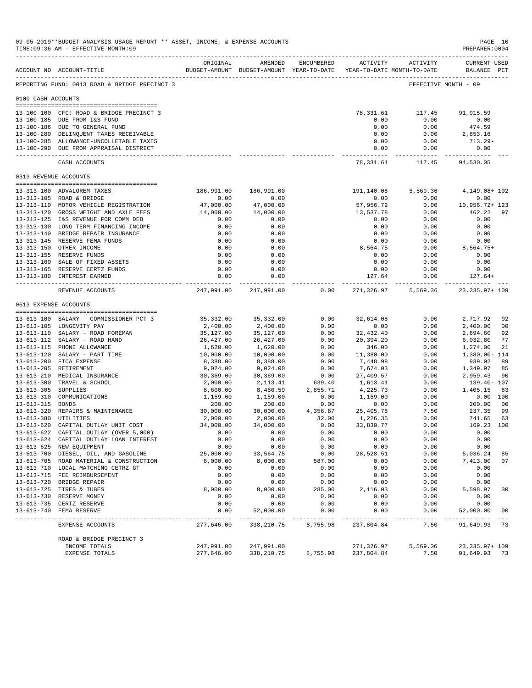|                     | 09-05-2019**BUDGET ANALYSIS USAGE REPORT ** ASSET, INCOME, & EXPENSE ACCOUNTS<br>TIME: 09:36 AM - EFFECTIVE MONTH: 09<br>________________________________ |                       |                                                                                |                |                       |                               | PREPARER: 0004                     | PAGE 10        |
|---------------------|-----------------------------------------------------------------------------------------------------------------------------------------------------------|-----------------------|--------------------------------------------------------------------------------|----------------|-----------------------|-------------------------------|------------------------------------|----------------|
|                     | ACCOUNT NO ACCOUNT-TITLE                                                                                                                                  | ORIGINAL              | AMENDED<br>BUDGET-AMOUNT BUDGET-AMOUNT YEAR-TO-DATE YEAR-TO-DATE MONTH-TO-DATE | ENCUMBERED     |                       | ACTIVITY ACTIVITY             | <b>CURRENT USED</b><br>BALANCE PCT |                |
|                     | REPORTING FUND: 0013 ROAD & BRIDGE PRECINCT 3                                                                                                             |                       |                                                                                |                |                       |                               | EFFECTIVE MONTH - 09               |                |
| 0100 CASH ACCOUNTS  |                                                                                                                                                           |                       |                                                                                |                |                       |                               |                                    |                |
|                     | 13-100-100 CFC: ROAD & BRIDGE PRECINCT 3                                                                                                                  |                       |                                                                                |                | 78,331.61             | 117.45                        | 91,915.59                          |                |
|                     | 13-100-185 DUE FROM I&S FUND                                                                                                                              |                       |                                                                                |                | 0.00                  | 0.00                          | 0.00                               |                |
|                     | 13-100-186 DUE TO GENERAL FUND                                                                                                                            |                       |                                                                                |                | 0.00                  | 0.00                          | 474.59                             |                |
|                     | 13-100-280 DELINQUENT TAXES RECEIVABLE                                                                                                                    |                       |                                                                                |                | 0.00                  | 0.00                          | 2,853.16                           |                |
|                     | 13-100-285 ALLOWANCE-UNCOLLETABLE TAXES                                                                                                                   |                       |                                                                                |                | 0.00                  | 0.00                          | $713.29-$                          |                |
|                     | 13-100-290 DUE FROM APPRAISAL DISTRICT                                                                                                                    |                       |                                                                                |                | 0.00<br>.             | 0.00                          | 0.00                               |                |
|                     | CASH ACCOUNTS                                                                                                                                             |                       |                                                                                |                | 78,331.61             | 117.45                        | 94,530.05                          |                |
|                     | 0313 REVENUE ACCOUNTS                                                                                                                                     |                       |                                                                                |                |                       |                               |                                    |                |
|                     | 13-313-100 ADVALOREM TAXES                                                                                                                                | 186,991.00            | 186,991.00                                                                     |                | 191,140.08            | 5,569.36                      | 4,149.08+102                       |                |
|                     | 13-313-105 ROAD & BRIDGE                                                                                                                                  | 0.00                  | 0.00                                                                           |                | 0.00                  | 0.00                          | 0.00                               |                |
|                     | 13-313-110 MOTOR VEHICLE REGISTRATION                                                                                                                     | 47,000.00             | 47,000.00                                                                      |                | 57,956.72             | 0.00                          | 10,956.72+ 123                     | 97             |
|                     | 13-313-120 GROSS WEIGHT AND AXLE FEES<br>13-313-125 I&S REVENUE FOR COMM DEB                                                                              | 14,000.00<br>0.00     | 14,000.00<br>0.00                                                              |                | 13,537.78<br>0.00     | 0.00<br>0.00                  | 462.22<br>0.00                     |                |
|                     | 13-313-130 LONG TERM FINANCING INCOME                                                                                                                     | 0.00                  | 0.00                                                                           |                | 0.00                  | 0.00                          | 0.00                               |                |
|                     | 13-313-140 BRIDGE REPAIR INSURANCE                                                                                                                        | 0.00                  | 0.00                                                                           |                | 0.00                  | 0.00                          | 0.00                               |                |
|                     | 13-313-145 RESERVE FEMA FUNDS                                                                                                                             | 0.00                  | 0.00                                                                           |                | 0.00                  | 0.00                          | 0.00                               |                |
|                     | 13-313-150 OTHER INCOME                                                                                                                                   | 0.00                  | 0.00                                                                           |                | 8,564.75              | 0.00                          | $8,564.75+$                        |                |
|                     | 13-313-155 RESERVE FUNDS                                                                                                                                  | 0.00                  | 0.00                                                                           |                | 0.00                  | 0.00                          | 0.00                               |                |
|                     | 13-313-160 SALE OF FIXED ASSETS                                                                                                                           | 0.00                  | 0.00                                                                           |                | 0.00                  | 0.00                          | 0.00                               |                |
|                     | 13-313-165 RESERVE CERTZ FUNDS                                                                                                                            | 0.00                  | 0.00                                                                           |                | 0.00                  | 0.00                          | 0.00                               |                |
|                     | 13-313-180 INTEREST EARNED                                                                                                                                | 0.00<br>------------  | 0.00                                                                           |                | 127.64                | 0.00<br>. _ _ _ _ _ _ _ _ _ _ | $127.64+$                          |                |
|                     | REVENUE ACCOUNTS                                                                                                                                          | 247,991.00            | 247,991.00                                                                     | 0.00           |                       | 271,326.97 5,569.36           | 23, 335, 97+ 109                   |                |
|                     | 0613 EXPENSE ACCOUNTS                                                                                                                                     |                       |                                                                                |                |                       |                               |                                    |                |
|                     | 13-613-100 SALARY - COMMISSIONER PCT 3                                                                                                                    | 35,332.00             | 35, 332.00                                                                     | 0.00           | 32,614.08             | 0.00                          | 2,717.92                           | 92             |
|                     | 13-613-105 LONGEVITY PAY                                                                                                                                  | 2,400.00              | 2,400.00                                                                       | 0.00           | 0.00                  | 0.00                          | 2,400.00                           | 00             |
|                     | 13-613-110 SALARY - ROAD FOREMAN                                                                                                                          | 35,127.00             | 35,127.00                                                                      | 0.00           | 32,432.40             | 0.00                          | 2,694.60                           | 92             |
|                     | 13-613-112 SALARY - ROAD HAND                                                                                                                             | 26,427.00             | 26,427.00                                                                      | 0.00           | 20,394.20             | 0.00                          | 6,032.80                           | 77             |
|                     | 13-613-115 PHONE ALLOWANCE                                                                                                                                | 1,620.00              | 1,620.00                                                                       | 0.00           | 346.00                | 0.00                          | 1,274.00                           | 21             |
|                     | 13-613-120 SALARY - PART TIME                                                                                                                             | 10,000.00             | 10,000.00                                                                      | 0.00           | 11,380.00             | 0.00                          | 1,380.00- 114                      |                |
|                     | 13-613-200 FICA EXPENSE                                                                                                                                   | 8,388.00              | 8,388.00                                                                       | 0.00           | 7,448.98              | 0.00                          | 939.02                             | 89             |
|                     | 13-613-205 RETIREMENT                                                                                                                                     | 9,024.00              | 9,024.00                                                                       | 0.00           | 7,674.03              | 0.00<br>0.00                  | 1,349.97                           | 85             |
|                     | 13-613-210 MEDICAL INSURANCE<br>13-613-300 TRAVEL & SCHOOL                                                                                                | 30,369.00<br>2,000.00 | 30,369.00<br>2,113.41                                                          | 0.00<br>639.40 | 27,409.57<br>1,613.41 | 0.00                          | 2,959.43<br>139.40- 107            | 90             |
| 13-613-305 SUPPLIES |                                                                                                                                                           | 8,600.00              | 8,486.59                                                                       | 2,855.71       | 4,225.73              | 0.00                          | 1,405.15                           | 83             |
|                     | 13-613-310 COMMUNICATIONS                                                                                                                                 | 1,159.00              | 1,159.00                                                                       | 0.00           | 1,159.00              | 0.00                          |                                    | 0.00 100       |
| 13-613-315 BONDS    |                                                                                                                                                           | 200.00                | 200.00                                                                         | 0.00           | 0.00                  | 0.00                          | 200.00                             | 00             |
|                     | 13-613-320 REPAIRS & MAINTENANCE                                                                                                                          | 30,000.00             | 30,000.00                                                                      | 4,356.87       | 25,405.78             | 7.50                          | 237.35                             | 99             |
|                     | 13-613-380 UTILITIES                                                                                                                                      | 2,000.00              | 2,000.00                                                                       | 32.00          | 1,226.35              | 0.00                          | 741.65                             | 63             |
|                     | 13-613-620 CAPITAL OUTLAY UNIT COST                                                                                                                       | 34,000.00             | 34,000.00                                                                      | 0.00           | 33,830.77             | 0.00                          | 169.23 100                         |                |
|                     | 13-613-622 CAPITAL OUTLAY (OVER 5,000)                                                                                                                    | 0.00                  | 0.00                                                                           | 0.00           | 0.00                  | 0.00                          | 0.00                               |                |
|                     | 13-613-624 CAPITAL OUTLAY LOAN INTEREST<br>13-613-625 NEW EQUIPMENT                                                                                       | 0.00<br>0.00          | 0.00<br>0.00                                                                   | 0.00<br>0.00   | 0.00<br>0.00          | 0.00<br>0.00                  | 0.00<br>0.00                       |                |
|                     | 13-613-700 DIESEL, OIL, AND GASOLINE                                                                                                                      | 25,000.00             | 33,564.75                                                                      | 0.00           | 28,528.51             | 0.00                          | 5,036.24                           | 85             |
|                     | 13-613-705 ROAD MATERIAL & CONSTRUCTION                                                                                                                   | 8,000.00              | 8,000.00                                                                       | 587.00         | 0.00                  | 0.00                          | 7,413.00                           | 07             |
|                     | 13-613-710 LOCAL MATCHING CETRZ GT                                                                                                                        | 0.00                  | 0.00                                                                           | 0.00           | 0.00                  | 0.00                          | 0.00                               |                |
|                     | 13-613-715 FEE REIMBURSEMENT                                                                                                                              | 0.00                  | 0.00                                                                           | 0.00           | 0.00                  | 0.00                          | 0.00                               |                |
|                     | 13-613-720 BRIDGE REPAIR                                                                                                                                  | 0.00                  | 0.00                                                                           | 0.00           | 0.00                  | 0.00                          | 0.00                               |                |
|                     | 13-613-725 TIRES & TUBES                                                                                                                                  | 8,000.00              | 8,000.00                                                                       | 285.00         | 2,116.03              | 0.00                          | 5,598.97                           | 30             |
|                     | 13-613-730 RESERVE MONEY                                                                                                                                  | 0.00                  | 0.00                                                                           | 0.00           | 0.00                  | 0.00                          | 0.00                               |                |
|                     | 13-613-735 CERTZ RESERVE<br>13-613-740 FEMA RESERVE                                                                                                       | 0.00<br>0.00          | 0.00                                                                           | 0.00<br>0.00   | 0.00<br>0.00          | 0.00<br>0.00                  | 0.00<br>52,000.00                  | 0 <sub>0</sub> |
|                     |                                                                                                                                                           | -----------           | 52,000.00<br>-----------                                                       | .              | ----------            | $- - - - -$                   | ----------                         |                |
|                     | EXPENSE ACCOUNTS                                                                                                                                          | 277,646.00            | 338,210.75                                                                     | 8,755.98       | 237,804.84            | 7.50                          | 91,649.93 73                       |                |
|                     | ROAD & BRIDGE PRECINCT 3<br>INCOME TOTALS                                                                                                                 | 247,991.00            | 247,991.00                                                                     |                | 271,326.97            | 5,569.36                      | 23, 335. 97+ 109                   |                |
|                     | EXPENSE TOTALS                                                                                                                                            | 277,646.00            | 338,210.75                                                                     | 8,755.98       | 237,804.84            | 7.50                          | 91,649.93 73                       |                |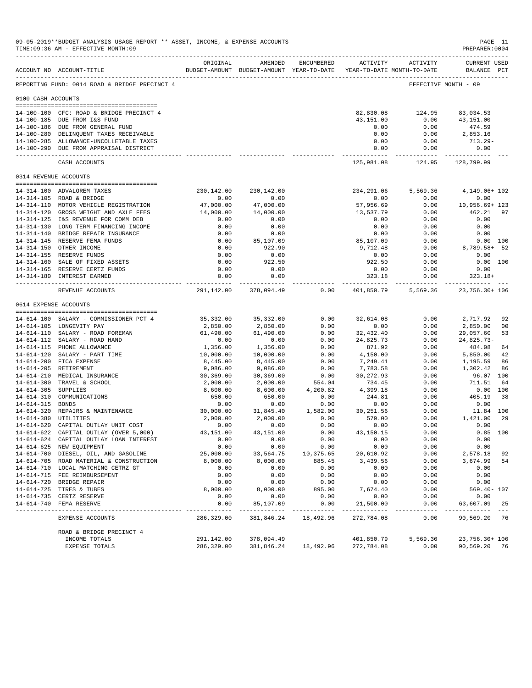|                     | 09-05-2019**BUDGET ANALYSIS USAGE REPORT ** ASSET, INCOME, & EXPENSE ACCOUNTS<br>TIME: 09:36 AM - EFFECTIVE MONTH: 09 |                            |                                                                                |                 |                           |                        | PREPARER: 0004                     | PAGE 11        |
|---------------------|-----------------------------------------------------------------------------------------------------------------------|----------------------------|--------------------------------------------------------------------------------|-----------------|---------------------------|------------------------|------------------------------------|----------------|
|                     | ACCOUNT NO ACCOUNT-TITLE                                                                                              | ORIGINAL                   | AMENDED<br>BUDGET-AMOUNT BUDGET-AMOUNT YEAR-TO-DATE YEAR-TO-DATE MONTH-TO-DATE | ENCUMBERED      | <b>ACTIVITY</b>           | ACTIVITY               | <b>CURRENT USED</b><br>BALANCE PCT |                |
|                     | REPORTING FUND: 0014 ROAD & BRIDGE PRECINCT 4                                                                         |                            |                                                                                |                 |                           | EFFECTIVE MONTH - 09   |                                    |                |
| 0100 CASH ACCOUNTS  |                                                                                                                       |                            |                                                                                |                 |                           |                        |                                    |                |
|                     |                                                                                                                       |                            |                                                                                |                 |                           |                        |                                    |                |
|                     | 14-100-100 CFC: ROAD & BRIDGE PRECINCT 4<br>14-100-185 DUE FROM I&S FUND                                              |                            |                                                                                |                 | 82,830.08<br>43,151.00    | 124.95<br>0.00         | 83,034.53<br>43,151.00             |                |
|                     | 14-100-186 DUE FROM GENERAL FUND                                                                                      |                            |                                                                                |                 | 0.00                      | 0.00                   | 474.59                             |                |
|                     | 14-100-280 DELINQUENT TAXES RECEIVABLE                                                                                |                            |                                                                                |                 | 0.00                      | 0.00                   | 2,853.16                           |                |
|                     | 14-100-285 ALLOWANCE-UNCOLLETABLE TAXES                                                                               |                            |                                                                                |                 | 0.00                      | 0.00                   | $713.29 -$                         |                |
|                     | 14-100-290 DUE FROM APPRAISAL DISTRICT                                                                                |                            |                                                                                |                 | 0.00                      | 0.00                   | 0.00                               |                |
|                     | CASH ACCOUNTS                                                                                                         |                            |                                                                                |                 | -----------<br>125,981.08 | 124.95                 | 128,799.99                         |                |
|                     | 0314 REVENUE ACCOUNTS                                                                                                 |                            |                                                                                |                 |                           |                        |                                    |                |
|                     | 14-314-100 ADVALOREM TAXES                                                                                            | 230,142.00                 | 230,142.00                                                                     |                 | 234,291.06                | 5,569.36               | 4,149.06+ 102                      |                |
|                     | 14-314-105 ROAD & BRIDGE                                                                                              | 0.00                       | 0.00                                                                           |                 | 0.00                      | 0.00                   | 0.00                               |                |
|                     | 14-314-110 MOTOR VEHICLE REGISTRATION                                                                                 | 47,000.00                  | 47,000.00                                                                      |                 | 57,956.69                 | 0.00                   | 10,956.69+ 123                     |                |
|                     | 14-314-120 GROSS WEIGHT AND AXLE FEES                                                                                 | 14,000.00                  | 14,000.00                                                                      |                 | 13,537.79                 | 0.00                   | 462.21                             | 97             |
|                     | 14-314-125 I&S REVENUE FOR COMM DEB                                                                                   | 0.00                       | 0.00                                                                           |                 | 0.00                      | 0.00                   | 0.00                               |                |
|                     | 14-314-130 LONG TERM FINANCING INCOME                                                                                 | 0.00                       | 0.00                                                                           |                 | 0.00                      | 0.00                   | 0.00                               |                |
|                     | 14-314-140 BRIDGE REPAIR INSURANCE                                                                                    | 0.00                       | 0.00                                                                           |                 | 0.00                      | 0.00                   | 0.00                               |                |
|                     | 14-314-145 RESERVE FEMA FUNDS                                                                                         | 0.00                       | 85,107.09                                                                      |                 | 85,107.09                 | 0.00                   |                                    | 0.00 100       |
|                     | 14-314-150 OTHER INCOME                                                                                               | 0.00                       | 922.90                                                                         |                 | 9,712.48                  | 0.00                   | 8,789.58+ 52                       |                |
|                     | 14-314-155 RESERVE FUNDS                                                                                              | 0.00                       | 0.00                                                                           |                 | 0.00                      | 0.00                   | 0.00                               |                |
|                     | 14-314-160 SALE OF FIXED ASSETS                                                                                       | 0.00                       | 922.50                                                                         |                 | 922.50                    | 0.00                   | 0.00 100                           |                |
|                     | 14-314-165 RESERVE CERTZ FUNDS<br>14-314-180 INTEREST EARNED                                                          | 0.00<br>0.00               | 0.00<br>0.00                                                                   |                 | 0.00<br>323.18            | 0.00<br>0.00           | 0.00<br>$323.18+$                  |                |
|                     | REVENUE ACCOUNTS                                                                                                      | ------------<br>291,142.00 | -----------<br>378,094.49                                                      | 0.00            | 401,850.79                | ----------<br>5,569.36 | 23,756.30+ 106                     |                |
|                     | 0614 EXPENSE ACCOUNTS                                                                                                 |                            |                                                                                |                 |                           |                        |                                    |                |
|                     |                                                                                                                       |                            |                                                                                |                 |                           |                        |                                    |                |
|                     | 14-614-100 SALARY - COMMISSIONER PCT 4                                                                                | 35,332.00                  | 35, 332.00                                                                     | 0.00            | 32,614.08                 | 0.00                   | 2,717.92                           | 92             |
|                     | 14-614-105 LONGEVITY PAY                                                                                              | 2,850.00                   | 2,850.00                                                                       | 0.00            | 0.00                      | 0.00                   | 2,850.00                           | 0 <sup>0</sup> |
|                     | 14-614-110 SALARY - ROAD FOREMAN                                                                                      | 61,490.00                  | 61,490.00                                                                      | 0.00            | 32,432.40                 | 0.00                   | 29,057.60                          | 53             |
|                     | 14-614-112 SALARY - ROAD HAND                                                                                         | 0.00                       | 0.00                                                                           | 0.00            | 24,825.73                 | 0.00                   | $24,825.73-$                       |                |
|                     | 14-614-115 PHONE ALLOWANCE                                                                                            | 1,356.00                   | 1,356.00                                                                       | 0.00            | 871.92                    | 0.00                   | 484.08                             | 64             |
|                     | 14-614-120 SALARY - PART TIME<br>14-614-200 FICA EXPENSE                                                              | 10,000.00                  | 10,000.00                                                                      | 0.00            | 4,150.00                  | 0.00                   | 5,850.00                           | 42             |
|                     | 14-614-205 RETIREMENT                                                                                                 | 8,445.00<br>9,086.00       | 8,445.00<br>9,086.00                                                           | 0.00<br>0.00    | 7,249.41<br>7,783.58      | 0.00<br>0.00           | 1,195.59<br>1,302.42               | 86<br>86       |
|                     | 14-614-210 MEDICAL INSURANCE                                                                                          | 30,369.00                  | 30,369.00                                                                      | 0.00            | 30,272.93                 | 0.00                   | 96.07 100                          |                |
|                     | 14-614-300 TRAVEL & SCHOOL                                                                                            | 2,000.00                   | 2,000.00                                                                       | 554.04          | 734.45                    | 0.00                   | 711.51                             | 64             |
| 14-614-305 SUPPLIES |                                                                                                                       | 8,600.00                   | 8,600.00                                                                       | 4,200.82        | 4,399.18                  | 0.00                   |                                    | 0.00 100       |
|                     | 14-614-310 COMMUNICATIONS                                                                                             | 650.00                     | 650.00                                                                         | 0.00            | 244.81                    | 0.00                   | 405.19                             | 38             |
| 14-614-315 BONDS    |                                                                                                                       | 0.00                       | 0.00                                                                           | 0.00            | 0.00                      | 0.00                   | 0.00                               |                |
|                     | 14-614-320 REPAIRS & MAINTENANCE                                                                                      | 30,000.00                  | 31,845.40                                                                      | 1,582.00        | 30,251.56                 | 0.00                   | 11.84 100                          |                |
|                     | 14-614-380 UTILITIES                                                                                                  | 2,000.00                   | 2,000.00                                                                       | 0.00            | 579.00                    | 0.00                   | 1,421.00                           | 29             |
|                     | 14-614-620 CAPITAL OUTLAY UNIT COST                                                                                   | 0.00                       | 0.00                                                                           | 0.00            | 0.00                      | 0.00                   | 0.00                               |                |
|                     | 14-614-622 CAPITAL OUTLAY (OVER 5,000)                                                                                | $43\,, 151\,. \,00$        | 43,151.00                                                                      | 0.00            | $43\,, 150\,.15$          | 0.00                   |                                    | $0.85$ 100     |
|                     | 14-614-624 CAPITAL OUTLAY LOAN INTEREST                                                                               | 0.00                       | 0.00                                                                           | 0.00            | 0.00                      | 0.00                   | 0.00                               |                |
|                     | 14-614-625 NEW EQUIPMENT                                                                                              | 0.00                       | 0.00                                                                           | 0.00            | 0.00                      | 0.00                   | 0.00                               |                |
|                     | 14-614-700 DIESEL, OIL, AND GASOLINE                                                                                  | 25,000.00                  | 33,564.75                                                                      | 10,375.65       | 20,610.92                 | 0.00                   | 2,578.18                           | 92             |
|                     | 14-614-705 ROAD MATERIAL & CONSTRUCTION                                                                               | 8,000.00                   | 8,000.00                                                                       | 885.45          | 3,439.56                  | 0.00                   | 3,674.99                           | 54             |
|                     | 14-614-710 LOCAL MATCHING CETRZ GT                                                                                    | 0.00                       | 0.00                                                                           | 0.00            | 0.00                      | 0.00                   | 0.00                               |                |
|                     | 14-614-715 FEE REIMBURSEMENT                                                                                          | 0.00                       | 0.00                                                                           | 0.00            | 0.00                      | 0.00                   | 0.00                               |                |
|                     | 14-614-720 BRIDGE REPAIR                                                                                              | 0.00                       | 0.00                                                                           | 0.00            | 0.00                      | 0.00                   | 0.00                               |                |
|                     | 14-614-725 TIRES & TUBES                                                                                              | 8,000.00                   | 8,000.00                                                                       | 895.00<br>0.00  | 7,674.40                  | 0.00                   | $569.40 - 107$                     |                |
|                     | 14-614-735 CERTZ RESERVE<br>14-614-740 FEMA RESERVE                                                                   | 0.00<br>0.00               | 0.00<br>85,107.09                                                              | 0.00            | 0.00<br>21,500.00         | 0.00<br>0.00           | 0.00<br>63,607.09                  | 25             |
|                     |                                                                                                                       |                            | -----------                                                                    | $- - - - - - -$ |                           | -----                  |                                    |                |
|                     | EXPENSE ACCOUNTS                                                                                                      | 286,329.00                 | 381,846.24                                                                     | 18,492.96       | 272,784.08                | 0.00                   | 90,569.20 76                       |                |
|                     | ROAD & BRIDGE PRECINCT 4                                                                                              |                            |                                                                                |                 |                           |                        |                                    |                |
|                     | INCOME TOTALS                                                                                                         | 291,142.00                 | 378,094.49                                                                     |                 | 401,850.79                | 5,569.36<br>0.00       | 23,756.30+ 106<br>90,569.20        | -76            |
|                     | EXPENSE TOTALS                                                                                                        | 286,329.00                 | 381,846.24                                                                     | 18,492.96       | 272,784.08                |                        |                                    |                |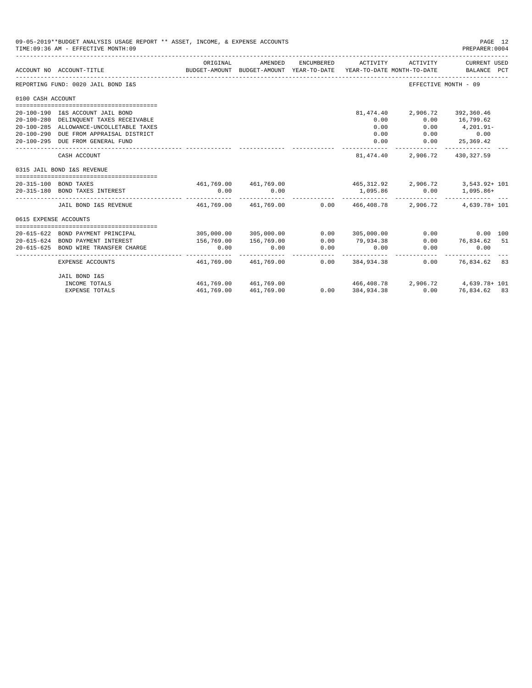|                       | 09-05-2019**BUDGET ANALYSIS USAGE REPORT ** ASSET, INCOME, & EXPENSE ACCOUNTS<br>TIME: 09:36 AM - EFFECTIVE MONTH: 09 |            |                       |            |                                                |                      | PAGE 12<br>PREPARER: 0004                                                                       |
|-----------------------|-----------------------------------------------------------------------------------------------------------------------|------------|-----------------------|------------|------------------------------------------------|----------------------|-------------------------------------------------------------------------------------------------|
|                       | ACCOUNT NO ACCOUNT-TITLE                                                                                              | ORIGINAL   | AMENDED               | ENCUMBERED |                                                | ACTIVITY ACTIVITY    | CURRENT USED<br>BUDGET-AMOUNT BUDGET-AMOUNT YEAR-TO-DATE YEAR-TO-DATE MONTH-TO-DATE BALANCE PCT |
|                       | REPORTING FUND: 0020 JAIL BOND I&S                                                                                    |            |                       |            |                                                | EFFECTIVE MONTH - 09 |                                                                                                 |
| 0100 CASH ACCOUNT     |                                                                                                                       |            |                       |            |                                                |                      |                                                                                                 |
|                       |                                                                                                                       |            |                       |            |                                                |                      |                                                                                                 |
|                       | 20-100-190 I&S ACCOUNT JAIL BOND                                                                                      |            |                       |            | 81,474.40                                      | 2,906.72             | 392,360.46                                                                                      |
|                       | 20-100-280 DELINQUENT TAXES RECEIVABLE                                                                                |            |                       |            | 0.00                                           | 0.00                 | 16,799.62                                                                                       |
|                       | 20-100-285 ALLOWANCE-UNCOLLETABLE TAXES                                                                               |            |                       |            | 0.00                                           | 0.00                 | 4,201.91-                                                                                       |
|                       | 20-100-290 DUE FROM APPRAISAL DISTRICT                                                                                |            |                       |            | 0.00                                           |                      | $0.00$ 0.00                                                                                     |
|                       | 20-100-295 DUE FROM GENERAL FUND                                                                                      |            |                       |            | 0.00                                           | 0.00                 | 25,369.42                                                                                       |
|                       | CASH ACCOUNT                                                                                                          |            |                       |            | 81,474.40                                      |                      | 2,906.72 430,327.59                                                                             |
|                       | 0315 JAIL BOND I&S REVENUE                                                                                            |            |                       |            |                                                |                      |                                                                                                 |
|                       | 20-315-100 BOND TAXES                                                                                                 |            |                       |            | 461,769.00 461,769.00 465,312.92 2,906.72      |                      |                                                                                                 |
|                       | 20-315-180 BOND TAXES INTEREST                                                                                        | 0.00       | 0.00                  |            |                                                | 1,095.86 0.00        | 3,543.92+ 101<br>1,095.86+                                                                      |
|                       |                                                                                                                       |            |                       |            |                                                |                      |                                                                                                 |
|                       | JAIL BOND I&S REVENUE                                                                                                 |            |                       |            | 461,769.00 461,769.00 0.00 466,408.78 2,906.72 |                      | 4,639.78+ 101                                                                                   |
| 0615 EXPENSE ACCOUNTS |                                                                                                                       |            |                       |            |                                                |                      |                                                                                                 |
|                       |                                                                                                                       |            |                       |            |                                                |                      |                                                                                                 |
|                       | 20-615-622 BOND PAYMENT PRINCIPAL                                                                                     |            | 305,000.00 305,000.00 |            | 0.00 305,000.00                                |                      | $0.00$ $0.00$ $100$                                                                             |
|                       | 20-615-624 BOND PAYMENT INTEREST                                                                                      | 156,769.00 | 156,769.00            | 0.00       | 79,934.38                                      |                      | $0.00$ $76,834.62$ 51                                                                           |
|                       | 20-615-625 BOND WIRE TRANSFER CHARGE                                                                                  | 0.00       | 0.00                  | 0.00       | 0.00                                           | 0.00                 | 0.00                                                                                            |
|                       | EXPENSE ACCOUNTS                                                                                                      | 461,769.00 | 461,769.00            |            | $0.00$ 384,934.38                              | 0.00                 | 76,834.62 83                                                                                    |
|                       | JAIL BOND I&S                                                                                                         |            |                       |            |                                                |                      |                                                                                                 |
|                       | INCOME TOTALS                                                                                                         |            | 461,769.00 461,769.00 |            |                                                |                      | 466,408.78 2,906.72 4,639.78+101                                                                |
|                       | <b>EXPENSE TOTALS</b>                                                                                                 | 461,769.00 | 461,769.00            |            | $0.00$ 384,934.38                              | 0.00                 | 76,834.62 83                                                                                    |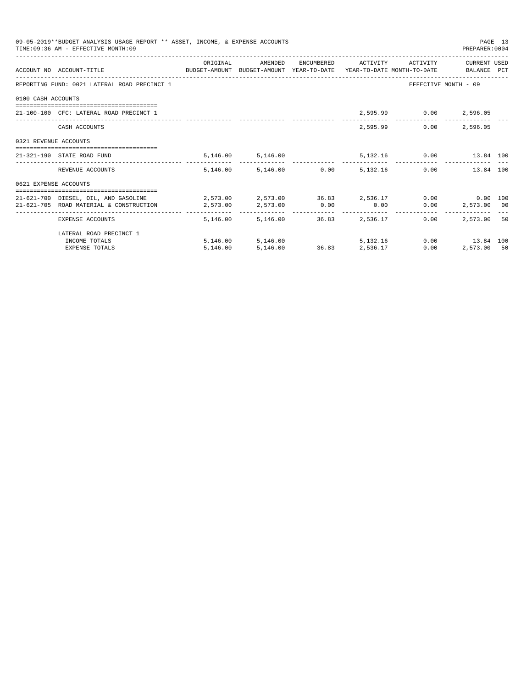|                       | 09-05-2019**BUDGET ANALYSIS USAGE REPORT ** ASSET, INCOME, & EXPENSE ACCOUNTS<br>TIME: 09:36 AM - EFFECTIVE MONTH: 09 |          |                                 |                |                                 |                               | PREPARER: 0004                                | PAGE 13 |
|-----------------------|-----------------------------------------------------------------------------------------------------------------------|----------|---------------------------------|----------------|---------------------------------|-------------------------------|-----------------------------------------------|---------|
|                       |                                                                                                                       | ORIGINAL | AMENDED                         |                |                                 | ENCUMBERED ACTIVITY ACTIVITY  | CURRENT USED                                  |         |
|                       | ACCOUNT NO ACCOUNT-TITLE CONTROL SUDGET-AMOUNT BUDGET-AMOUNT YEAR-TO-DATE YEAR-TO-DATE MONTH-TO-DATE BALANCE PCT      |          |                                 |                |                                 |                               |                                               |         |
|                       | REPORTING FUND: 0021 LATERAL ROAD PRECINCT 1                                                                          |          |                                 |                |                                 |                               | EFFECTIVE MONTH - 09                          |         |
| 0100 CASH ACCOUNTS    |                                                                                                                       |          |                                 |                |                                 |                               |                                               |         |
|                       | 21-100-100 CFC: LATERAL ROAD PRECINCT 1                                                                               |          |                                 |                |                                 | 2,595.99 0.00 2,596.05        |                                               |         |
|                       | CASH ACCOUNTS                                                                                                         |          |                                 |                | 2,595.99                        |                               | $0.00$ 2,596.05                               |         |
| 0321 REVENUE ACCOUNTS |                                                                                                                       |          |                                 |                |                                 |                               |                                               |         |
|                       | 21-321-190 STATE ROAD FUND                                                                                            |          | 5,146.00 5,146.00               |                |                                 | 5,132.16   0.00   13.84   100 |                                               |         |
|                       | REVENUE ACCOUNTS                                                                                                      |          | 5.146.00 5.146.00 0.00 5.132.16 |                |                                 |                               | 0.00<br>13.84 100                             |         |
| 0621 EXPENSE ACCOUNTS |                                                                                                                       |          |                                 |                |                                 |                               |                                               |         |
|                       | 21-621-700 DIESEL, OIL, AND GASOLINE $2,573.00$ $2,573.00$ $36.83$ $2,536.17$ $0.00$ $0.00$ $100$                     |          |                                 |                |                                 |                               |                                               |         |
|                       | 21-621-705 ROAD MATERIAL & CONSTRUCTION 2.573.00                                                                      |          | 2,573.00 0.00 0.00              |                |                                 |                               | $0.00$ 2,573.00 00                            |         |
|                       | EXPENSE ACCOUNTS                                                                                                      |          | 5,146.00 5,146.00               |                | -------------<br>36.83 2,536.17 | 0.00                          | ------------------------------<br>2,573,00 50 |         |
|                       | LATERAL ROAD PRECINCT 1                                                                                               |          |                                 |                |                                 |                               |                                               |         |
|                       | INCOME TOTALS                                                                                                         |          | 5, 146.00 5, 146.00             |                | 5, 132. 16                      |                               | $0.00$ 13.84 100                              |         |
|                       | <b>EXPENSE TOTALS</b>                                                                                                 | 5.146.00 | 5,146.00                        | 36.83 2,536.17 |                                 | 0.00                          | 2,573.00 50                                   |         |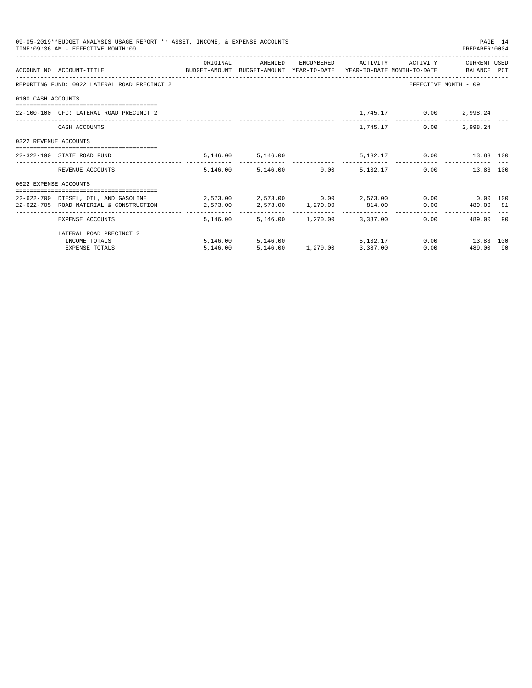|                       | 09-05-2019**BUDGET ANALYSIS USAGE REPORT ** ASSET, INCOME, & EXPENSE ACCOUNTS<br>TIME: 09:36 AM - EFFECTIVE MONTH: 09 |          |                                     |                            |            |                              | PREPARER: 0004       | PAGE 14 |
|-----------------------|-----------------------------------------------------------------------------------------------------------------------|----------|-------------------------------------|----------------------------|------------|------------------------------|----------------------|---------|
|                       |                                                                                                                       | ORIGINAL | AMENDED                             |                            |            | ENCUMBERED ACTIVITY ACTIVITY | CURRENT USED         |         |
|                       | ACCOUNT NO ACCOUNT-TITLE CONTROL SUDGET-AMOUNT BUDGET-AMOUNT YEAR-TO-DATE YEAR-TO-DATE MONTH-TO-DATE BALANCE PCT      |          |                                     |                            |            |                              |                      |         |
|                       | REPORTING FUND: 0022 LATERAL ROAD PRECINCT 2                                                                          |          |                                     |                            |            |                              | EFFECTIVE MONTH - 09 |         |
| 0100 CASH ACCOUNTS    |                                                                                                                       |          |                                     |                            |            |                              |                      |         |
|                       | 22-100-100 CFC: LATERAL ROAD PRECINCT 2                                                                               |          |                                     |                            |            | 1,745.17 0.00 2,998.24       |                      |         |
|                       | CASH ACCOUNTS                                                                                                         |          |                                     |                            | 1,745.17   | 0.00                         | 2,998.24             |         |
| 0322 REVENUE ACCOUNTS |                                                                                                                       |          |                                     |                            |            |                              |                      |         |
|                       | 22-322-190 STATE ROAD FUND                                                                                            |          | 5,146.00 5,146.00                   |                            |            | 5,132.17 0.00 13.83 100      |                      |         |
|                       | REVENUE ACCOUNTS                                                                                                      |          | 5.146.00 5.146.00 0.00 5.132.17     |                            |            |                              | 0.00<br>13.83 100    |         |
| 0622 EXPENSE ACCOUNTS |                                                                                                                       |          |                                     |                            |            |                              |                      |         |
|                       | 22-622-700 DIESEL, OIL, AND GASOLINE $2,573.00$ $2,573.00$ $0.00$ $2,573.00$ $0.00$ $0.00$ $0.00$ $0.00$              |          |                                     |                            |            |                              |                      |         |
|                       | 22-622-705 ROAD MATERIAL & CONSTRUCTION<br>2,573.00<br>2,573.00<br>2,573.00<br>1,270.00<br>814.00                     |          |                                     |                            |            |                              | $0.00$ 489.00 81     |         |
|                       | EXPENSE ACCOUNTS                                                                                                      |          | 5,146.00 5,146.00 1,270.00 3,387.00 |                            |            |                              | 489.00 90<br>0.00    |         |
|                       | LATERAL ROAD PRECINCT 2                                                                                               |          |                                     |                            |            |                              |                      |         |
|                       | INCOME TOTALS                                                                                                         |          | 5,146.00 5,146.00                   |                            | 5, 132, 17 |                              | $0.00$ 13.83 100     |         |
|                       | <b>EXPENSE TOTALS</b>                                                                                                 | 5.146.00 |                                     | 5,146.00 1,270.00 3,387.00 |            |                              | 0.00<br>489.00 90    |         |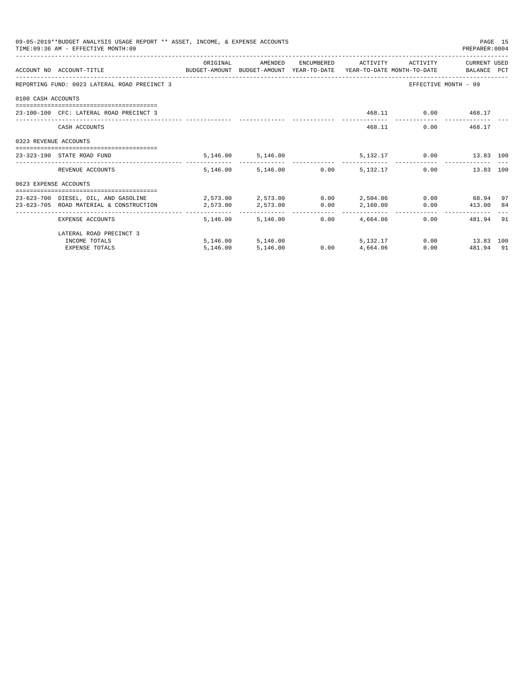|                       | 09-05-2019**BUDGET ANALYSIS USAGE REPORT ** ASSET, INCOME, & EXPENSE ACCOUNTS<br>TIME: 09:36 AM - EFFECTIVE MONTH: 09 |          |                                 |                 |                     |                         | PREPARER: 0004       | PAGE 15 |
|-----------------------|-----------------------------------------------------------------------------------------------------------------------|----------|---------------------------------|-----------------|---------------------|-------------------------|----------------------|---------|
|                       |                                                                                                                       | ORIGINAL | AMENDED                         |                 | ENCUMBERED ACTIVITY | ACTIVITY                | CURRENT USED         |         |
|                       | ACCOUNT NO ACCOUNT-TITLE CONTROL SUDGET-AMOUNT BUDGET-AMOUNT YEAR-TO-DATE YEAR-TO-DATE MONTH-TO-DATE BALANCE PCT      |          |                                 |                 |                     |                         |                      |         |
|                       | REPORTING FUND: 0023 LATERAL ROAD PRECINCT 3                                                                          |          |                                 |                 |                     |                         | EFFECTIVE MONTH - 09 |         |
| 0100 CASH ACCOUNTS    |                                                                                                                       |          |                                 |                 |                     |                         |                      |         |
|                       | 23-100-100 CFC: LATERAL ROAD PRECINCT 3                                                                               |          |                                 |                 |                     | 468.11 0.00 468.17      |                      |         |
|                       | CASH ACCOUNTS                                                                                                         |          |                                 |                 |                     | 468.11                  | $0.00$ 468.17        |         |
| 0323 REVENUE ACCOUNTS |                                                                                                                       |          |                                 |                 |                     |                         |                      |         |
|                       | 23-323-190 STATE ROAD FUND                                                                                            |          | 5, 146.00 5, 146.00             |                 |                     | 5,132.17 0.00 13.83 100 |                      |         |
|                       | REVENUE ACCOUNTS                                                                                                      |          | 5.146.00 5.146.00 0.00 5.132.17 |                 |                     |                         | 0.00<br>13.83 100    |         |
| 0623 EXPENSE ACCOUNTS |                                                                                                                       |          |                                 |                 |                     |                         |                      |         |
|                       | 23-623-700 DIESEL. OIL. AND GASOLINE $2.573.00$ $2.573.00$ $2.673.00$ $2.504.06$ $2.504.06$ $2.504.06$                |          |                                 |                 |                     |                         |                      | 97      |
|                       | 23-623-705 ROAD MATERIAL & CONSTRUCTION                                                                               | 2,573.00 | 2,573.00 0.00                   |                 | 2,160.00            |                         | $0.00$ 413.00 84     |         |
|                       | EXPENSE ACCOUNTS                                                                                                      |          | 5,146.00 5,146.00               |                 | $0.00$ 4,664.06     |                         | 481.94 91<br>0.00    |         |
|                       | LATERAL ROAD PRECINCT 3                                                                                               |          |                                 |                 |                     |                         |                      |         |
|                       | INCOME TOTALS                                                                                                         |          | 5, 146, 00 5, 146, 00           |                 | 5, 132, 17          |                         | $0.00$ 13.83 100     |         |
|                       | <b>EXPENSE TOTALS</b>                                                                                                 | 5.146.00 | 5,146.00                        | $0.00$ 4,664.06 |                     |                         | 0.00<br>481.94 91    |         |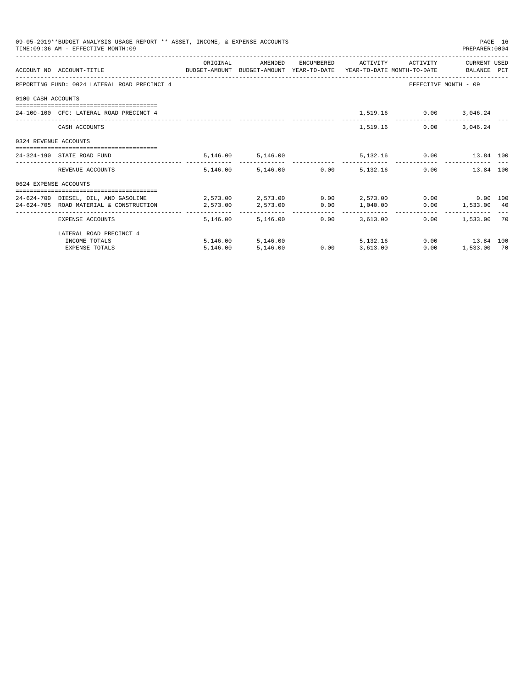|                       | 09-05-2019**BUDGET ANALYSIS USAGE REPORT ** ASSET, INCOME, & EXPENSE ACCOUNTS<br>TIME: 09:36 AM - EFFECTIVE MONTH: 09 |            |                                 |                                     |                          |                               | PREPARER: 0004                                       | PAGE 16 |
|-----------------------|-----------------------------------------------------------------------------------------------------------------------|------------|---------------------------------|-------------------------------------|--------------------------|-------------------------------|------------------------------------------------------|---------|
|                       |                                                                                                                       | ORIGINAL   | AMENDED                         |                                     | ENCUMBERED ACTIVITY      | ACTIVITY                      | CURRENT USED                                         |         |
|                       | ACCOUNT NO ACCOUNT-TITLE CONTROL SUDGET-AMOUNT BUDGET-AMOUNT YEAR-TO-DATE YEAR-TO-DATE MONTH-TO-DATE BALANCE PCT      |            |                                 |                                     |                          |                               |                                                      |         |
|                       | REPORTING FUND: 0024 LATERAL ROAD PRECINCT 4                                                                          |            |                                 |                                     |                          |                               | EFFECTIVE MONTH - 09                                 |         |
| 0100 CASH ACCOUNTS    |                                                                                                                       |            |                                 |                                     |                          |                               |                                                      |         |
|                       | 24-100-100 CFC: LATERAL ROAD PRECINCT 4                                                                               |            |                                 |                                     |                          | 1,519.16 0.00 3,046.24        |                                                      |         |
|                       | CASH ACCOUNTS                                                                                                         |            |                                 |                                     | 1,519.16                 | 0.00                          | 3,046.24                                             |         |
| 0324 REVENUE ACCOUNTS |                                                                                                                       |            |                                 |                                     |                          |                               |                                                      |         |
|                       | 24-324-190 STATE ROAD FUND                                                                                            |            | 5,146.00 5,146.00               |                                     |                          | 5,132.16   0.00   13.84   100 |                                                      |         |
|                       | REVENUE ACCOUNTS                                                                                                      |            | 5,146.00 5,146.00 0.00 5,132.16 |                                     |                          |                               | 0.00<br>13.84 100                                    |         |
| 0624 EXPENSE ACCOUNTS |                                                                                                                       |            |                                 |                                     |                          |                               |                                                      |         |
|                       | 24-624-700 DIESEL. OIL. AND GASOLINE $2.573.00$ $2.573.00$ $0.00$ $2.573.00$ $0.00$ $0.00$ $0.00$ $0.00$              |            |                                 |                                     |                          |                               |                                                      |         |
|                       | 24-624-705 ROAD MATERIAL & CONSTRUCTION 2,573.00                                                                      |            | 2,573.00   0.00   1,040.00      |                                     |                          |                               | $0.00$ 1,533.00 40                                   |         |
|                       | EXPENSE ACCOUNTS                                                                                                      | -------- - | 5,146.00 5,146.00               | ------------ ------------ -<br>0.00 | ------------<br>3,613.00 |                               | ------------------------------<br>$0.00$ 1,533.00 70 |         |
|                       | LATERAL ROAD PRECINCT 4                                                                                               |            |                                 |                                     |                          |                               |                                                      |         |
|                       | INCOME TOTALS                                                                                                         |            | 5,146.00 5,146.00               |                                     | 5, 132. 16               |                               | $0.00$ 13.84 100                                     |         |
|                       | <b>EXPENSE TOTALS</b>                                                                                                 | 5.146.00   | 5,146.00                        |                                     | $0.00$ $3.613.00$        | 0.00                          | 1,533.00 70                                          |         |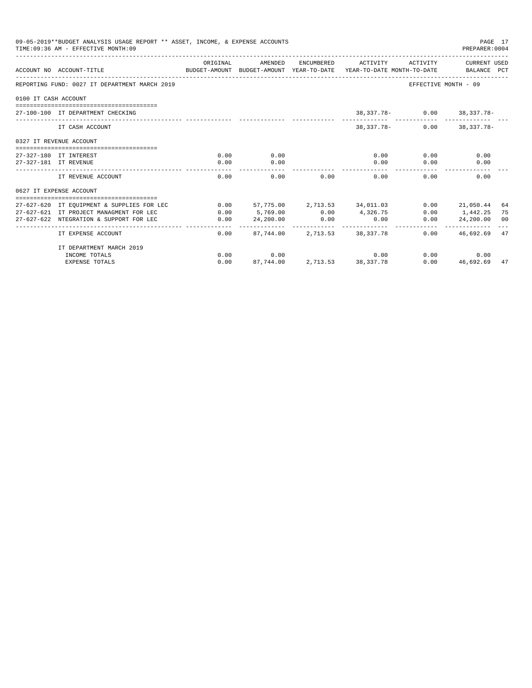|                      | 09-05-2019**BUDGET ANALYSIS USAGE REPORT ** ASSET, INCOME, & EXPENSE ACCOUNTS<br>TIME: 09:36 AM - EFFECTIVE MONTH: 09 |          |           |                    |                              |                            | PAGE 17<br>PREPARER: 0004 |     |
|----------------------|-----------------------------------------------------------------------------------------------------------------------|----------|-----------|--------------------|------------------------------|----------------------------|---------------------------|-----|
|                      | ACCOUNT NO ACCOUNT-TITLE<br>BUDGET-AMOUNT BUDGET-AMOUNT YEAR-TO-DATE YEAR-TO-DATE MONTH-TO-DATE     BALANCE PCT       | ORIGINAL | AMENDED   | ENCUMBERED         | ACTIVITY                     | ACTIVITY                   | CURRENT USED              |     |
|                      | REPORTING FUND: 0027 IT DEPARTMENT MARCH 2019                                                                         |          |           |                    |                              | EFFECTIVE MONTH - 09       |                           |     |
| 0100 IT CASH ACCOUNT |                                                                                                                       |          |           |                    |                              |                            |                           |     |
|                      | 27-100-100 IT DEPARTMENT CHECKING                                                                                     |          |           |                    |                              | 38,337.78- 0.00 38,337.78- |                           |     |
|                      | IT CASH ACCOUNT                                                                                                       |          |           |                    | 38, 337, 78-                 | 0.00                       | 38,337.78-                |     |
|                      | 0327 IT REVENUE ACCOUNT<br>----------------------------------                                                         |          |           |                    |                              |                            |                           |     |
|                      | 27-327-180 IT INTEREST                                                                                                | 0.00     | 0.00      |                    | 0.00                         | 0.00                       | 0.00                      |     |
|                      | 27-327-181 IT REVENUE                                                                                                 | 0.00     | 0.00      |                    | 0.00                         | 0.00                       | 0.00                      |     |
|                      | IT REVENUE ACCOUNT                                                                                                    | 0.00     | 0.00      | 0.00               | 0.00                         | 0.00                       | 0.00                      |     |
|                      | 0627 IT EXPENSE ACCOUNT                                                                                               |          |           |                    |                              |                            |                           |     |
|                      | 27-627-620 IT EOUIPMENT & SUPPLIES FOR LEC                                                                            | 0.00     |           |                    | 57,775.00 2,713.53 34,011.03 | 0.00                       | 21,050.44                 | 64  |
|                      | 27-627-621 IT PROJECT MANAGMENT FOR LEC                                                                               | 0.00     |           | $5,769.00$ 0.00    | 4,326.75                     |                            | $0.00$ 1.442.25           | -75 |
|                      | 27-627-622 NTEGRATION & SUPPORT FOR LEC                                                                               | 0.00     | 24,200.00 | 0.00               | 0.00                         | 0.00                       | 24,200.00                 | 00  |
|                      | IT EXPENSE ACCOUNT                                                                                                    | 0.00     |           | 87.744.00 2.713.53 | 38, 337, 78                  | $0.00 -$                   | 46,692.69                 | 47  |
|                      | IT DEPARTMENT MARCH 2019                                                                                              |          |           |                    |                              |                            |                           |     |
|                      | INCOME TOTALS                                                                                                         | 0.00     | 0.00      |                    |                              | $0.00$ and $0.00$          | 0.00<br>0.00              |     |
|                      | <b>EXPENSE TOTALS</b>                                                                                                 | 0.00     |           |                    | 87.744.00 2.713.53 38.337.78 | 0.00                       | 46,692.69                 | 47  |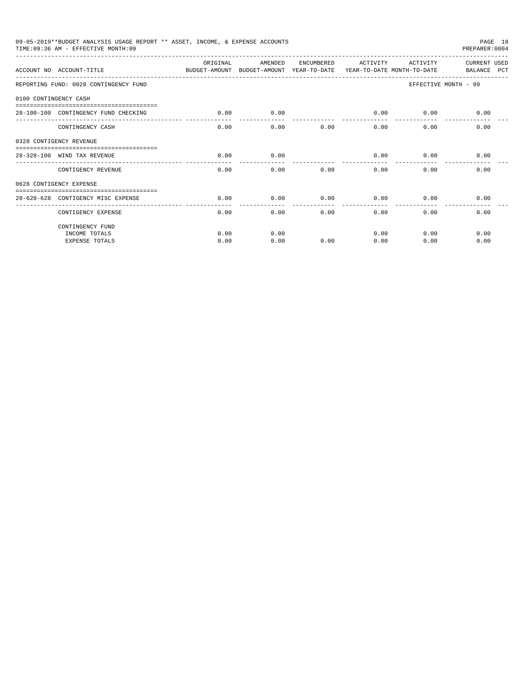|                       | 09-05-2019**BUDGET ANALYSIS USAGE REPORT ** ASSET, INCOME, & EXPENSE ACCOUNTS<br>TIME: 09:36 AM - EFFECTIVE MONTH: 09 |          |         |            |          |             | PAGE 18<br>PREPARER: 0004   |
|-----------------------|-----------------------------------------------------------------------------------------------------------------------|----------|---------|------------|----------|-------------|-----------------------------|
|                       | ACCOUNT NO ACCOUNT-TITLE CONTROL AND BUDGET-AMOUNT BUDGET-AMOUNT YEAR-TO-DATE YEAR-TO-DATE MONTH-TO-DATE              | ORIGINAL | AMENDED | ENCUMBERED | ACTIVITY | ACTIVITY    | CURRENT USED<br>BALANCE PCT |
|                       | REPORTING FUND: 0028 CONTINGENCY FUND                                                                                 |          |         |            |          |             | EFFECTIVE MONTH - 09        |
| 0100 CONTINGENCY CASH |                                                                                                                       |          |         |            |          |             |                             |
|                       | 28-100-100 CONTINGENCY FUND CHECKING                                                                                  | 0.00     | 0.00    |            | 0.00     | $0.00$ 0.00 |                             |
|                       | CONTINGENCY CASH                                                                                                      | 0.00     | 0.00    | 0.00       | 0.00     | 0.00        | 0.00                        |
|                       | 0328 CONTIGENCY REVENUE                                                                                               |          |         |            |          |             |                             |
|                       | 28-328-100 WIND TAX REVENUE                                                                                           | 0.00     | 0.00    |            | 0.00     | 0.00        | 0.00                        |
|                       | CONTIGENCY REVENUE                                                                                                    | 0.00     | 0.00    | $0.00 -$   | 0.00     | 0.00        | 0.00                        |
|                       | 0628 CONTIGENCY EXPENSE                                                                                               |          |         |            |          |             |                             |
|                       | 28-628-628 CONTIGENCY MISC EXPENSE                                                                                    | 0.00     | 0.00    | 0.00       | 0.00     | 0.00        | 0.00                        |
|                       | CONTIGENCY EXPENSE                                                                                                    | 0.00     | 0.00    | 0.00       | 0.00     | 0.00        | 0.00                        |
|                       | CONTINGENCY FUND                                                                                                      |          |         |            |          |             |                             |
|                       | INCOME TOTALS                                                                                                         | 0.00     | 0.00    |            | 0.00     | 0.00        | 0.00                        |
|                       | <b>EXPENSE TOTALS</b>                                                                                                 | 0.00     | 0.00    | 0.00       | 0.00     | 0.00        | 0.00                        |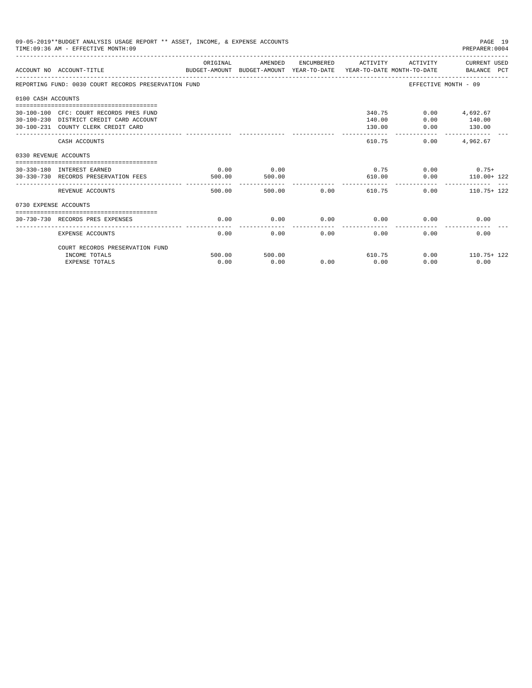|                       | 09-05-2019**BUDGET ANALYSIS USAGE REPORT ** ASSET, INCOME, & EXPENSE ACCOUNTS<br>TIME: 09:36 AM - EFFECTIVE MONTH: 09     |                |                |      |                                      |                                           | PAGE 19<br>PREPARER:0004                          |
|-----------------------|---------------------------------------------------------------------------------------------------------------------------|----------------|----------------|------|--------------------------------------|-------------------------------------------|---------------------------------------------------|
|                       | ACCOUNT NO ACCOUNT-TITLE COMPUTE SUDGET-AMOUNT BUDGET-AMOUNT VEAR-TO-DATE VEAR-TO-DATE MONTH-TO-DATE BALANCE PCT          | ORIGINAL       | AMENDED        |      | ENCUMBERED ACTIVITY                  |                                           | ACTIVITY CURRENT USED                             |
|                       | REPORTING FUND: 0030 COURT RECORDS PRESERVATION FUND                                                                      |                |                |      |                                      | EFFECTIVE MONTH - 09                      |                                                   |
| 0100 CASH ACCOUNTS    |                                                                                                                           |                |                |      |                                      |                                           |                                                   |
|                       | 30-100-100 CFC: COURT RECORDS PRES FUND<br>30-100-230 DISTRICT CREDIT CARD ACCOUNT<br>30-100-231 COUNTY CLERK CREDIT CARD |                |                |      | 340.75<br>140.00<br>130.00           | 0.00                                      | $0.00$ 4,692.67<br>140.00<br>$0.00$ 130.00        |
|                       | CASH ACCOUNTS                                                                                                             |                |                |      | 610.75                               | _________________________________<br>0.00 | 4,962.67                                          |
| 0330 REVENUE ACCOUNTS |                                                                                                                           |                |                |      |                                      |                                           |                                                   |
|                       | 30-330-180 INTEREST EARNED<br>30-330-730 RECORDS PRESERVATION FEES                                                        | 0.00<br>500.00 | 0.00<br>500.00 |      |                                      |                                           | $0.75$ 0.00 0.75+<br>$610.00$ $0.00$ $110.00+122$ |
|                       | REVENUE ACCOUNTS                                                                                                          | 500.00         |                |      | --------------<br>500.00 0.00 610.75 |                                           | $0.00$ 110.75+ 122                                |
| 0730 EXPENSE ACCOUNTS |                                                                                                                           |                |                |      |                                      |                                           |                                                   |
|                       | -----------------------------------<br>30-730-730 RECORDS PRES EXPENSES                                                   | 0.00           | 0.00           |      | $0.00$ $0.00$ $0.00$ $0.00$          |                                           | 0.00                                              |
|                       | <b>EXPENSE ACCOUNTS</b>                                                                                                   | 0.00           | 0.00           | 0.00 | 0.00                                 | 0.00                                      | 0.00                                              |
|                       | COURT RECORDS PRESERVATION FUND                                                                                           |                |                |      |                                      |                                           |                                                   |
|                       | INCOME TOTALS<br><b>EXPENSE TOTALS</b>                                                                                    | 500.00<br>0.00 | 500.00<br>0.00 | 0.00 | 610.75<br>0.00                       | 0.00                                      | $0.00$ 110.75+ 122<br>0.00                        |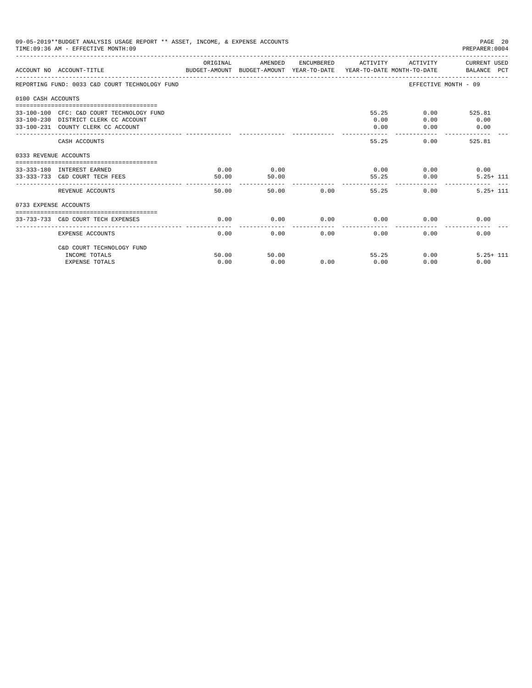|                       | 09-05-2019**BUDGET ANALYSIS USAGE REPORT ** ASSET, INCOME, & EXPENSE ACCOUNTS<br>TIME: 09:36 AM - EFFECTIVE MONTH: 09   |               |                              |               |                         |                       | PAGE 20<br>PREPARER: 0004<br>-------------------- |
|-----------------------|-------------------------------------------------------------------------------------------------------------------------|---------------|------------------------------|---------------|-------------------------|-----------------------|---------------------------------------------------|
|                       | ACCOUNT NO ACCOUNT-TITLE COMPARENT SUDGET-AMOUNT BUDGET-AMOUNT YEAR-TO-DATE YEAR-TO-DATE MONTH-TO-DATE BALANCE PCT      | ORIGINAL      | AMENDED                      |               | ENCUMBERED ACTIVITY     |                       | ACTIVITY CURRENT USED                             |
|                       | REPORTING FUND: 0033 C&D COURT TECHNOLOGY FUND                                                                          |               |                              |               |                         |                       | EFFECTIVE MONTH - 09                              |
| 0100 CASH ACCOUNTS    |                                                                                                                         |               |                              |               |                         |                       |                                                   |
|                       | 33-100-100 CFC: C&D COURT TECHNOLOGY FUND<br>33-100-230 DISTRICT CLERK CC ACCOUNT<br>33-100-231 COUNTY CLERK CC ACCOUNT |               |                              |               | 0.00<br>0.00<br>------- | 55.25<br>0.00<br>0.00 | $0.00$ 525.81<br>0.00<br>0.00                     |
|                       | CASH ACCOUNTS                                                                                                           |               |                              |               | 55.25                   |                       | 525.81<br>0.00                                    |
| 0333 REVENUE ACCOUNTS |                                                                                                                         |               |                              |               |                         |                       |                                                   |
|                       | 33-333-180 INTEREST EARNED<br>33-333-733 C&D COURT TECH FEES                                                            | 0.00<br>50.00 | 0.00<br>50.00<br>----------- |               | ------------            | $0.00$ 0.00<br>55.25  | 0.00<br>0.00<br>$5.25 + 111$                      |
|                       | REVENUE ACCOUNTS                                                                                                        | 50.00         |                              | 0.00<br>50.00 |                         | 55.25                 | $5.25 + 111$<br>0.00                              |
| 0733 EXPENSE ACCOUNTS |                                                                                                                         |               |                              |               |                         |                       |                                                   |
|                       | 33-733-733 C&D COURT TECH EXPENSES                                                                                      | 0.00          | 0.00                         | $0.00$ 0.00   |                         |                       | 0.00<br>0.00                                      |
|                       | <b>EXPENSE ACCOUNTS</b>                                                                                                 | 0.00          | 0.00                         | 0.00          | 0.00                    | 0.00                  | 0.00                                              |
|                       | C&D COURT TECHNOLOGY FUND                                                                                               |               |                              |               |                         |                       |                                                   |
|                       | INCOME TOTALS                                                                                                           | 50.00<br>0.00 | 50.00<br>0.00                | 0.00          | 0.00                    | 55.25                 | $5.25 + 111$<br>0.00<br>0.00                      |
|                       | <b>EXPENSE TOTALS</b>                                                                                                   |               |                              |               |                         | 0.00                  |                                                   |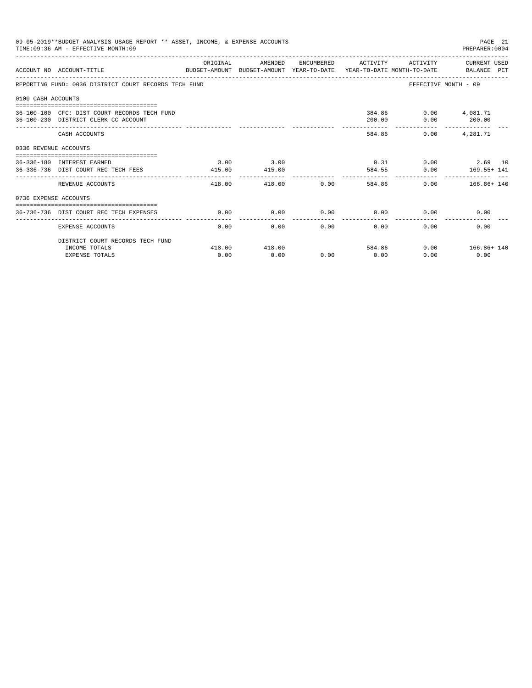|                       | 09-05-2019**BUDGET ANALYSIS USAGE REPORT ** ASSET, INCOME, & EXPENSE ACCOUNTS<br>TIME: 09:36 AM - EFFECTIVE MONTH: 09 |                        |                |                             |                      |                      | PAGE 21<br>PREPARER: 0004                          |
|-----------------------|-----------------------------------------------------------------------------------------------------------------------|------------------------|----------------|-----------------------------|----------------------|----------------------|----------------------------------------------------|
|                       | BUDGET-AMOUNT BUDGET-AMOUNT YEAR-TO-DATE YEAR-TO-DATE MONTH-TO-DATE BALANCE PCT<br>ACCOUNT NO ACCOUNT-TITLE           | ORIGINAL               | AMENDED        |                             |                      |                      | ENCUMBERED ACTIVITY ACTIVITY CURRENT USED          |
|                       | REPORTING FUND: 0036 DISTRICT COURT RECORDS TECH FUND                                                                 |                        |                |                             |                      |                      | EFFECTIVE MONTH - 09                               |
| 0100 CASH ACCOUNTS    |                                                                                                                       |                        |                |                             |                      |                      |                                                    |
|                       | 36-100-100 CFC: DIST COURT RECORDS TECH FUND<br>36-100-230 DISTRICT CLERK CC ACCOUNT                                  |                        |                |                             | 200.00               | 384.86 0.00 4,081.71 | $0.00$ 200.00                                      |
|                       | CASH ACCOUNTS                                                                                                         |                        |                |                             |                      | 584.86               | $0.00$ 4, 281.71                                   |
| 0336 REVENUE ACCOUNTS |                                                                                                                       |                        |                |                             |                      |                      |                                                    |
|                       | 36-336-180 INTEREST EARNED<br>36-336-736 DIST COURT REC TECH FEES                                                     | 3.00<br>415.00         | 3.00<br>415.00 |                             |                      |                      | $0.31$ $0.00$ $2.69$ 10<br>584.55 0.00 169.55+ 141 |
|                       | REVENUE ACCOUNTS                                                                                                      | ------------<br>418.00 |                | 418.00 0.00 584.86          |                      |                      | $0.00$ 166.86+ 140                                 |
| 0736 EXPENSE ACCOUNTS |                                                                                                                       |                        |                |                             |                      |                      |                                                    |
|                       | 36-736-736 DIST COURT REC TECH EXPENSES                                                                               | 0.00                   | 0.00           | $0.00$ $0.00$ $0.00$ $0.00$ |                      |                      | 0.00                                               |
|                       | <b>EXPENSE ACCOUNTS</b>                                                                                               | 0.00                   | 0.00           | 0.00                        | ------------<br>0.00 | 0.00                 | 0.00                                               |
|                       | DISTRICT COURT RECORDS TECH FUND                                                                                      |                        |                |                             |                      |                      |                                                    |
|                       | INCOME TOTALS                                                                                                         | 418.00                 | 418.00         |                             |                      | 584.86               | $0.00$ 166.86+ 140                                 |
|                       | <b>EXPENSE TOTALS</b>                                                                                                 | 0.00                   | 0.00           | 0.00                        | 0.00                 | 0.00                 | 0.00                                               |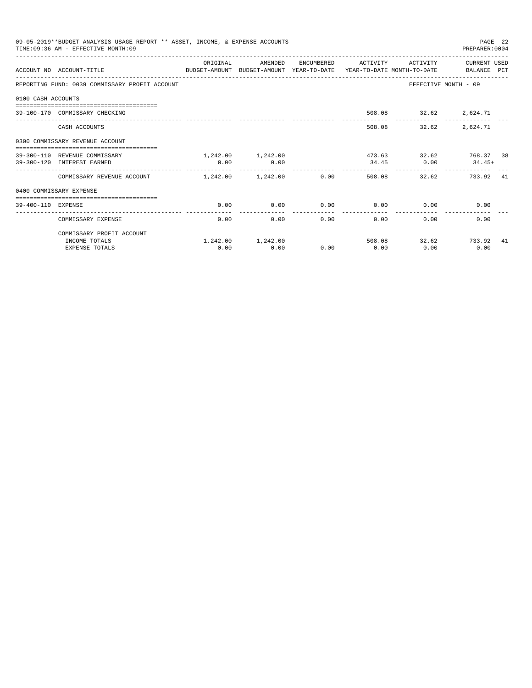|                    | 09-05-2019**BUDGET ANALYSIS USAGE REPORT ** ASSET, INCOME, & EXPENSE ACCOUNTS<br>TIME: 09:36 AM - EFFECTIVE MONTH: 09 |          |                   |               |                          |          | PAGE 22<br>PREPARER: 0004 |    |
|--------------------|-----------------------------------------------------------------------------------------------------------------------|----------|-------------------|---------------|--------------------------|----------|---------------------------|----|
|                    | ACCOUNT NO ACCOUNT-TITLE THE BALANCE PUDGET-AMOUNT BUDGET-AMOUNT YEAR-TO-DATE YEAR-TO-DATE MONTH-TO-DATE BALANCE PCT  | ORIGINAL | AMENDED           |               | ENCUMBERED ACTIVITY      | ACTIVITY | CURRENT USED              |    |
|                    | REPORTING FUND: 0039 COMMISSARY PROFIT ACCOUNT                                                                        |          |                   |               |                          |          | EFFECTIVE MONTH - 09      |    |
| 0100 CASH ACCOUNTS |                                                                                                                       |          |                   |               |                          |          |                           |    |
|                    | 39-100-170 COMMISSARY CHECKING                                                                                        |          |                   |               |                          |          | 508.08 32.62 2,624.71     |    |
|                    | CASH ACCOUNTS                                                                                                         |          |                   |               | 508.08                   | 32.62    | 2.624.71                  |    |
|                    | 0300 COMMISSARY REVENUE ACCOUNT<br>====================================                                               |          |                   |               |                          |          |                           |    |
|                    | 39-300-110 REVENUE COMMISSARY                                                                                         |          | 1,242.00 1,242.00 |               |                          |          | 473.63 32.62 768.37 38    |    |
|                    | 39-300-120 INTEREST EARNED                                                                                            | 0.00     | 0.00              |               | 34.45                    |          | $0.00$ 34.45+             |    |
|                    | COMMISSARY REVENUE ACCOUNT                                                                                            |          | 1,242.00 1,242.00 | 0.00          | --------------<br>508.08 | 32.62    | 733.92 41                 |    |
|                    | 0400 COMMISSARY EXPENSE                                                                                               |          |                   |               |                          |          |                           |    |
| 39-400-110 EXPENSE |                                                                                                                       | 0.00     | 0.00              | 0.00          | 0.00                     | 0.00     | 0.00                      |    |
|                    |                                                                                                                       |          |                   | ------------- |                          |          |                           |    |
|                    | COMMISSARY EXPENSE                                                                                                    | 0.00     | 0.00              | 0.00          | 0.00                     | 0.00     | 0.00                      |    |
|                    | COMMISSARY PROFIT ACCOUNT                                                                                             |          |                   |               |                          |          |                           |    |
|                    | INCOME TOTALS                                                                                                         |          | 1,242.00 1,242.00 |               | 508.08                   |          | 32.62 733.92              | 41 |
|                    | <b>EXPENSE TOTALS</b>                                                                                                 | 0.00     | 0.00              | 0.00          | 0.00                     | 0.00     | 0.00                      |    |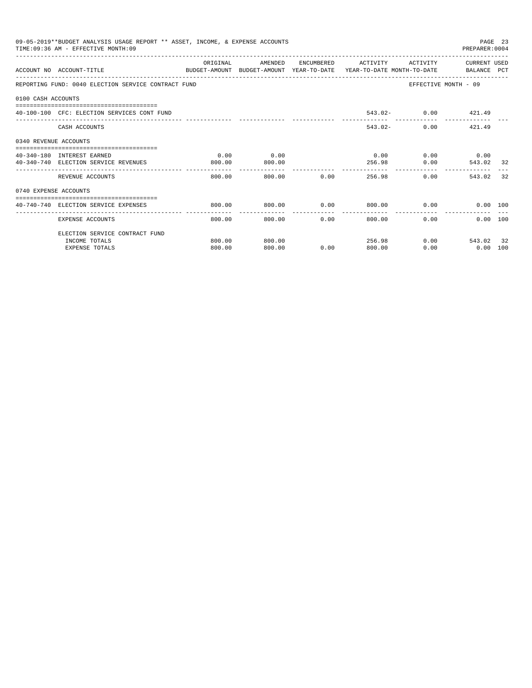|                       | 09-05-2019**BUDGET ANALYSIS USAGE REPORT ** ASSET, INCOME, & EXPENSE ACCOUNTS<br>TIME: 09:36 AM - EFFECTIVE MONTH: 09 |          |                         |                        |                     |                             | PREPARER: 0004                  | PAGE 23 |
|-----------------------|-----------------------------------------------------------------------------------------------------------------------|----------|-------------------------|------------------------|---------------------|-----------------------------|---------------------------------|---------|
|                       | ACCOUNT NO ACCOUNT-TITLE<br>BUDGET-AMOUNT BUDGET-AMOUNT YEAR-TO-DATE YEAR-TO-DATE MONTH-TO-DATE   BALANCE PCT         | ORIGINAL | AMENDED                 |                        | ENCUMBERED ACTIVITY | ACTIVITY                    | CURRENT USED                    |         |
|                       | REPORTING FUND: 0040 ELECTION SERVICE CONTRACT FUND                                                                   |          |                         |                        |                     |                             | EFFECTIVE MONTH - 09            |         |
| 0100 CASH ACCOUNTS    |                                                                                                                       |          |                         |                        |                     |                             |                                 |         |
|                       | 40-100-100 CFC: ELECTION SERVICES CONT FUND                                                                           |          |                         |                        |                     | 543.02- 0.00 421.49         |                                 |         |
|                       | CASH ACCOUNTS                                                                                                         |          |                         |                        |                     | 543.02-                     | $0.00$ 421.49                   |         |
| 0340 REVENUE ACCOUNTS |                                                                                                                       |          |                         |                        |                     |                             |                                 |         |
|                       | 40-340-180 INTEREST EARNED                                                                                            | 0.00     | 0.00                    |                        |                     | $0.00$ $0.00$ $0.00$ $0.00$ |                                 |         |
|                       | 40-340-740 ELECTION SERVICE REVENUES                                                                                  | 800.00   | 800.00                  |                        |                     | 256.98                      | $0.00$ 543.02 32                |         |
|                       | REVENUE ACCOUNTS                                                                                                      | 800.00   | 800.00                  |                        | 0.00                | 256.98                      | 0.00<br>543.02                  | 32      |
| 0740 EXPENSE ACCOUNTS |                                                                                                                       |          |                         |                        |                     |                             |                                 |         |
|                       | ----------------------------------<br>40-740-740 ELECTION SERVICE EXPENSES                                            | 800.00   | 800.00                  | $0.00$ 800.00 0.00     |                     |                             | 0.00 100                        |         |
|                       | <b>EXPENSE ACCOUNTS</b>                                                                                               | 800.00   | -------------<br>800.00 | --------------<br>0.00 |                     | -------------<br>800.00     | -----------<br>0.00<br>0.00 100 |         |
|                       | ELECTION SERVICE CONTRACT FUND                                                                                        |          |                         |                        |                     |                             |                                 |         |
|                       | INCOME TOTALS                                                                                                         | 800.00   | 800.00                  |                        |                     | 256.98                      | $0.00$ 543.02 32                |         |
|                       | <b>EXPENSE TOTALS</b>                                                                                                 | 800.00   | 800.00                  | 0.00                   | 800.00              | 0.00                        | $0.00$ 100                      |         |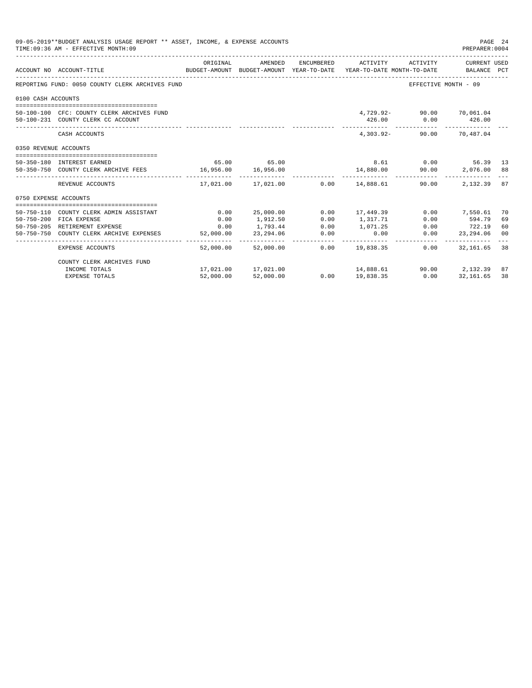|                       | 09-05-2019**BUDGET ANALYSIS USAGE REPORT ** ASSET, INCOME, & EXPENSE ACCOUNTS<br>TIME: 09:36 AM - EFFECTIVE MONTH: 09 |           |                             |               |                                       |                           | PAGE 24<br>PREPARER: 0004 |    |
|-----------------------|-----------------------------------------------------------------------------------------------------------------------|-----------|-----------------------------|---------------|---------------------------------------|---------------------------|---------------------------|----|
|                       |                                                                                                                       | ORIGINAL  | AMENDED                     | ENCUMBERED    | ACTIVITY                              | ACTIVITY                  | CURRENT USED              |    |
|                       | ACCOUNT NO ACCOUNT-TITLE<br>BUDGET-AMOUNT BUDGET-AMOUNT YEAR-TO-DATE YEAR-TO-DATE MONTH-TO-DATE BALANCE PCT           |           |                             |               |                                       |                           |                           |    |
|                       | REPORTING FUND: 0050 COUNTY CLERK ARCHIVES FUND                                                                       |           |                             |               |                                       | EFFECTIVE MONTH - 09      |                           |    |
| 0100 CASH ACCOUNTS    |                                                                                                                       |           |                             |               |                                       |                           |                           |    |
|                       | 50-100-100 CFC: COUNTY CLERK ARCHIVES FUND                                                                            |           |                             |               |                                       | 4,729.92- 90.00 70,061.04 |                           |    |
|                       | 50-100-231 COUNTY CLERK CC ACCOUNT                                                                                    |           |                             |               |                                       | 426.00 0.00 426.00        |                           |    |
|                       | CASH ACCOUNTS                                                                                                         |           |                             |               | -------------- --------------         | 4.303.92- 90.00 70.487.04 | -------------             |    |
| 0350 REVENUE ACCOUNTS |                                                                                                                       |           |                             |               |                                       |                           |                           |    |
|                       | 50-350-180 INTEREST EARNED                                                                                            |           | 65.00 65.00                 |               |                                       | 8.61 0.00                 | 56.39 13                  |    |
|                       | 50-350-750 COUNTY CLERK ARCHIVE FEES 16,956.00 16,956.00                                                              |           |                             |               | 14,880.00 90.00                       |                           | 2,076.00 88               |    |
|                       | REVENUE ACCOUNTS                                                                                                      |           |                             |               | 17,021.00  17,021.00  0.00  14,888.61 | 90.00                     | 2,132.39                  | 87 |
| 0750 EXPENSE ACCOUNTS |                                                                                                                       |           |                             |               |                                       |                           |                           |    |
|                       | 50-750-110 COUNTY CLERK ADMIN ASSISTANT                                                                               | 0.00      | 25,000.00                   | 0.00          | 17,449.39                             |                           | $0.00$ 7,550.61           | 70 |
|                       | 50-750-200 FICA EXPENSE                                                                                               | 0.00      | 1,912.50                    | 0.00          | 1,317.71                              | 0.00                      | 594.79                    | 69 |
|                       | 50-750-205 RETIREMENT EXPENSE                                                                                         | 0.00      | 1,793.44                    | 0.00          | 1,071.25                              |                           | $0.00$ 722.19             | 60 |
|                       | 50-750-750 COUNTY CLERK ARCHIVE EXPENSES                                                                              | 52,000.00 | 23, 294.06                  | 0.00          | 0.00                                  | 0.00                      | 23, 294.06                | 00 |
|                       | EXPENSE ACCOUNTS                                                                                                      | 52,000.00 | --------------<br>52,000.00 | _____________ | $0.00$ 19,838.35                      | ------------<br>0.00      | 32,161.65                 | 38 |
|                       | COUNTY CLERK ARCHIVES FUND                                                                                            |           |                             |               |                                       |                           |                           |    |
|                       | INCOME TOTALS                                                                                                         |           | 17,021.00 17,021.00         |               | $14,888.61$ 90.00 2,132.39            |                           |                           | 87 |
|                       | <b>EXPENSE TOTALS</b>                                                                                                 | 52,000.00 | 52,000.00                   |               | $0.00$ 19,838.35                      | 0.00                      | 32, 161, 65               | 38 |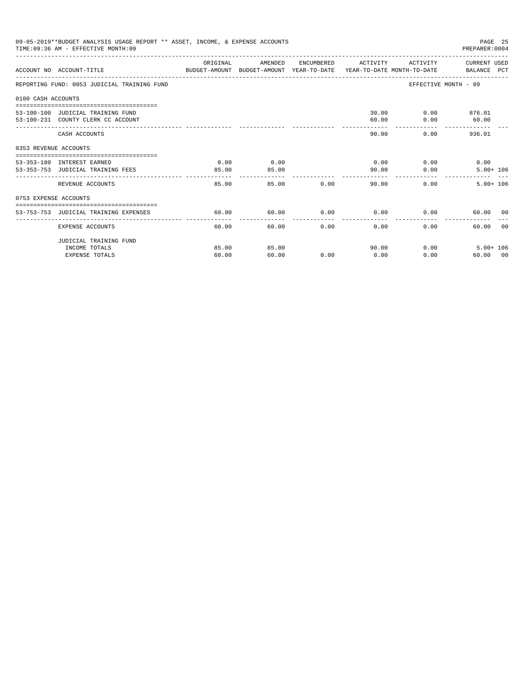|                       | 09-05-2019**BUDGET ANALYSIS USAGE REPORT ** ASSET, INCOME, & EXPENSE ACCOUNTS<br>TIME: 09:36 AM - EFFECTIVE MONTH: 09 |          |                        |       |                             |                      | PAGE 25<br>PREPARER: 0004         |  |
|-----------------------|-----------------------------------------------------------------------------------------------------------------------|----------|------------------------|-------|-----------------------------|----------------------|-----------------------------------|--|
|                       |                                                                                                                       | ORIGINAL | AMENDED                |       | ENCUMBERED ACTIVITY         | ACTIVITY             | CURRENT USED                      |  |
|                       | ACCOUNT NO ACCOUNT-TITLE CONTROL SUDGET-AMOUNT BUDGET-AMOUNT YEAR-TO-DATE YEAR-TO-DATE MONTH-TO-DATE BALANCE PCT      |          |                        |       |                             |                      |                                   |  |
|                       | REPORTING FUND: 0053 JUDICIAL TRAINING FUND                                                                           |          |                        |       |                             | EFFECTIVE MONTH - 09 |                                   |  |
| 0100 CASH ACCOUNTS    |                                                                                                                       |          |                        |       |                             |                      |                                   |  |
|                       | 53-100-100 JUDICIAL TRAINING FUND                                                                                     |          |                        |       |                             | 30.00 0.00 876.01    |                                   |  |
|                       | 53-100-231 COUNTY CLERK CC ACCOUNT                                                                                    |          |                        |       | 60.00                       |                      | $0.00$ 60.00                      |  |
|                       | CASH ACCOUNTS                                                                                                         |          |                        |       | 90.00                       | 0.00                 | 936.01                            |  |
| 0353 REVENUE ACCOUNTS |                                                                                                                       |          |                        |       |                             |                      |                                   |  |
|                       | 53-353-180 INTEREST EARNED                                                                                            | 0.00     | 0.00                   |       | $0.00$ 0.00                 |                      | 0.00                              |  |
|                       | 53-353-753 JUDICIAL TRAINING FEES                                                                                     | 85.00    | 85.00<br>_______ _____ |       | 90.00                       | 0.00                 | $5.00 + 106$                      |  |
|                       | REVENUE ACCOUNTS                                                                                                      | 85.00    |                        | 85.00 | $0.00$ and $0.00$<br>90.00  | 0.00                 | $5.00 + 106$                      |  |
| 0753 EXPENSE ACCOUNTS |                                                                                                                       |          |                        |       |                             |                      |                                   |  |
|                       | 53-753-753 JUDICIAL TRAINING EXPENSES                                                                                 | 60.00    | 60.00                  |       | $0.00$ $0.00$ $0.00$ $0.00$ |                      | 60.00 00                          |  |
|                       |                                                                                                                       |          |                        |       |                             |                      |                                   |  |
|                       | EXPENSE ACCOUNTS                                                                                                      | 60.00    | 60.00                  | 0.00  | 0.00                        | 0.00                 | 60.00 00                          |  |
|                       | JUDICIAL TRAINING FUND                                                                                                |          |                        |       |                             |                      |                                   |  |
|                       | INCOME TOTALS                                                                                                         | 85.00    | 85.00                  |       | 90.00                       |                      | $0.00$ and $0.00$<br>$5.00 + 106$ |  |
|                       | <b>EXPENSE TOTALS</b>                                                                                                 | 60.00    | 60.00                  | 0.00  | 0.00                        | 0.00                 | 60.00 00                          |  |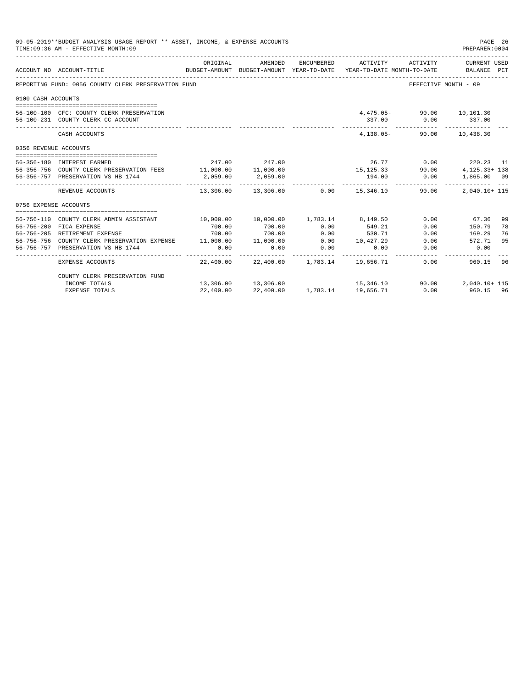|                       | 09-05-2019**BUDGET ANALYSIS USAGE REPORT ** ASSET, INCOME, & EXPENSE ACCOUNTS<br>TIME: 09:36 AM - EFFECTIVE MONTH: 09 |                     |                                                     |                    |                                                   |                           | PAGE 26<br>PREPARER: 0004                     |    |
|-----------------------|-----------------------------------------------------------------------------------------------------------------------|---------------------|-----------------------------------------------------|--------------------|---------------------------------------------------|---------------------------|-----------------------------------------------|----|
|                       | ACCOUNT NO ACCOUNT-TITLE                                                                                              | ORIGINAL            | AMENDED<br>BUDGET-AMOUNT BUDGET-AMOUNT YEAR-TO-DATE |                    | ENCUMBERED ACTIVITY<br>YEAR-TO-DATE MONTH-TO-DATE | ACTIVITY                  | CURRENT USED<br>BALANCE PCT                   |    |
|                       | REPORTING FUND: 0056 COUNTY CLERK PRESERVATION FUND                                                                   |                     |                                                     |                    |                                                   |                           | EFFECTIVE MONTH - 09                          |    |
| 0100 CASH ACCOUNTS    |                                                                                                                       |                     |                                                     |                    |                                                   |                           |                                               |    |
|                       |                                                                                                                       |                     |                                                     |                    |                                                   |                           |                                               |    |
|                       | 56-100-100 CFC: COUNTY CLERK PRESERVATION                                                                             |                     |                                                     |                    |                                                   | 4,475.05- 90.00 10,101.30 |                                               |    |
|                       | 56-100-231 COUNTY CLERK CC ACCOUNT                                                                                    |                     |                                                     |                    |                                                   | 337.00 0.00 337.00        |                                               |    |
|                       | CASH ACCOUNTS                                                                                                         |                     |                                                     |                    |                                                   | 4.138.05- 90.00 10.438.30 |                                               |    |
| 0356 REVENUE ACCOUNTS |                                                                                                                       |                     |                                                     |                    |                                                   |                           |                                               |    |
|                       | 56-356-180 INTEREST EARNED                                                                                            | 247.00              | 247.00                                              |                    |                                                   |                           | 26.77 0.00 220.23 11                          |    |
|                       | 56-356-756 COUNTY CLERK PRESERVATION FEES                                                                             | 11,000.00 11,000.00 |                                                     |                    |                                                   | $15, 125.33$ $90.00$      | $4.125.33 + 138$                              |    |
|                       | 56-356-757 PRESERVATION VS HB 1744                                                                                    | 2,059.00            | 2,059.00                                            |                    | 194.00                                            | 0.00                      | 1,865.00 09                                   |    |
|                       | REVENUE ACCOUNTS                                                                                                      | __________          | -----------<br>13,306.00 13,306.00                  |                    | $0.00$ 15,346.10                                  | 90.00                     | . _ _ _ _ _ _ _ _ _ _ _ _<br>$2.040.10 + 115$ |    |
| 0756 EXPENSE ACCOUNTS |                                                                                                                       |                     |                                                     |                    |                                                   |                           |                                               |    |
|                       |                                                                                                                       |                     |                                                     |                    |                                                   |                           |                                               |    |
|                       | 56-756-110 COUNTY CLERK ADMIN ASSISTANT                                                                               | 10,000.00           |                                                     | 10,000.00 1,783.14 | 8,149.50                                          | 0.00                      | 67.36                                         | 99 |
|                       | 56-756-200 FICA EXPENSE                                                                                               | 700.00              | 700.00                                              | 0.00               | 549.21                                            | 0.00                      | 150.79                                        | 78 |
|                       | 56-756-205 RETIREMENT EXPENSE                                                                                         | 700.00              | 700.00                                              | 0.00               | 530.71                                            | 0.00                      | 169.29                                        | 76 |
|                       | 56-756-756 COUNTY CLERK PRESERVATION EXPENSE 11,000.00 11,000.00                                                      |                     |                                                     | 0.00               | 10,427.29                                         | 0.00                      | 572.71 95                                     |    |
|                       | 56-756-757 PRESERVATION VS HB 1744                                                                                    | 0.00                | 0.00                                                | 0.00               | 0.00                                              | 0.00                      | 0.00                                          |    |
|                       | EXPENSE ACCOUNTS                                                                                                      |                     | 22,400.00 22,400.00 1,783.14 19,656.71              |                    |                                                   |                           | 0.00<br>960.15 96                             |    |
|                       | COUNTY CLERK PRESERVATION FUND                                                                                        |                     |                                                     |                    |                                                   |                           |                                               |    |
|                       | INCOME TOTALS                                                                                                         |                     | 13,306.00 13,306.00                                 |                    |                                                   | 15,346.10 90.00           | $2.040.10 + 115$                              |    |
|                       | <b>EXPENSE TOTALS</b>                                                                                                 | 22,400.00           | 22,400.00                                           | 1,783.14           | 19,656.71                                         | 0.00                      | 960.15 96                                     |    |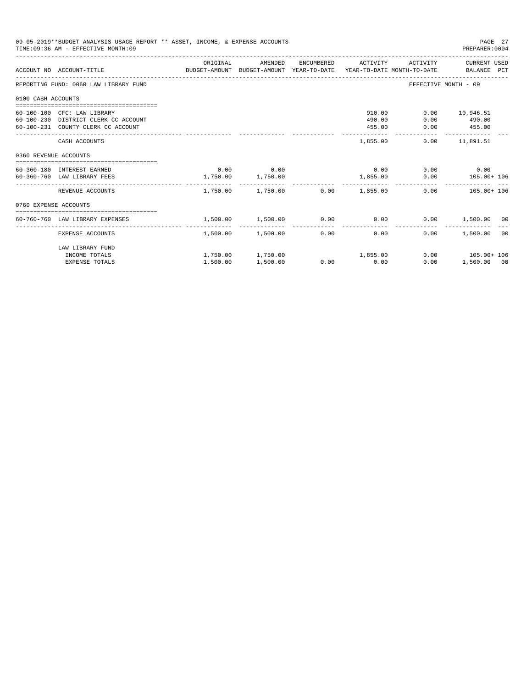|                       | 09-05-2019**BUDGET ANALYSIS USAGE REPORT ** ASSET, INCOME, & EXPENSE ACCOUNTS<br>TIME: 09:36 AM - EFFECTIVE MONTH: 09 |                                                                                             |                   |                                                 |                             | PAGE 27<br>PREPARER: 0004           |
|-----------------------|-----------------------------------------------------------------------------------------------------------------------|---------------------------------------------------------------------------------------------|-------------------|-------------------------------------------------|-----------------------------|-------------------------------------|
|                       | ACCOUNT NO ACCOUNT-TITLE                                                                                              | ORIGINAL<br>BUDGET-AMOUNT BUDGET-AMOUNT YEAR-TO-DATE YEAR-TO-DATE MONTH-TO-DATE BALANCE PCT | AMENDED           | ENCUMBERED ACTIVITY                             |                             | ACTIVITY CURRENT USED               |
|                       | REPORTING FUND: 0060 LAW LIBRARY FUND                                                                                 |                                                                                             |                   |                                                 | EFFECTIVE MONTH - 09        |                                     |
| 0100 CASH ACCOUNTS    |                                                                                                                       |                                                                                             |                   |                                                 |                             |                                     |
|                       | 60-100-100 CFC: LAW LIBRARY<br>60-100-230 DISTRICT CLERK CC ACCOUNT<br>60-100-231 COUNTY CLERK CC ACCOUNT             |                                                                                             |                   | 910.00<br>490.00                                | 455.00 0.00 455.00          | $0.00$ 10,946.51<br>$0.00$ 490.00   |
|                       | CASH ACCOUNTS                                                                                                         |                                                                                             |                   | 1,855.00                                        |                             | $0.00$ 11,891.51                    |
| 0360 REVENUE ACCOUNTS |                                                                                                                       |                                                                                             |                   |                                                 |                             |                                     |
|                       | 60-360-180 INTEREST EARNED<br>60-360-760 LAW LIBRARY FEES                                                             | 1,750.00 1,750.00                                                                           | $0.00$ 0.00       |                                                 | $0.00$ $0.00$ $0.00$ $0.00$ | 1,855.00   0.00   105.00+ 106       |
|                       | REVENUE ACCOUNTS                                                                                                      |                                                                                             |                   | $1,750.00$ $1,750.00$ $0.00$ $1,855.00$         |                             | $0.00$ $105.00+106$                 |
| 0760 EXPENSE ACCOUNTS |                                                                                                                       |                                                                                             |                   |                                                 |                             |                                     |
|                       | 60-760-760 LAW LIBRARY EXPENSES                                                                                       | 1,500.00 1,500.00                                                                           |                   |                                                 |                             | $0.00$ $0.00$ $0.00$ $1,500.00$ $0$ |
|                       | EXPENSE ACCOUNTS                                                                                                      |                                                                                             | 1,500.00 1,500.00 | 0.00<br>0.00                                    | $0.00 -$                    | 1,500.00<br>0 <sub>0</sub>          |
|                       | LAW LIBRARY FUND<br>INCOME TOTALS<br><b>EXPENSE TOTALS</b>                                                            | 1,500.00                                                                                    | 1,500.00          | $1,750.00$ $1,750.00$ $1,855.00$<br>$0.00$ 0.00 | 0.00                        | $0.00$ $105.00+106$<br>1,500.00 00  |
|                       |                                                                                                                       |                                                                                             |                   |                                                 |                             |                                     |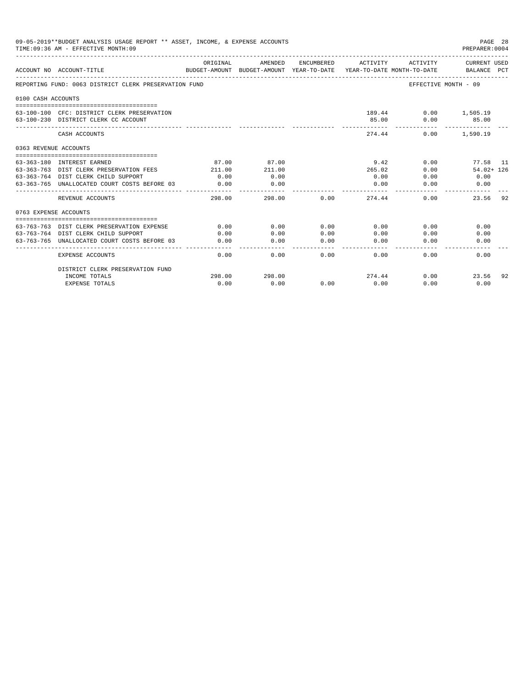|                       | 09-05-2019**BUDGET ANALYSIS USAGE REPORT ** ASSET, INCOME, & EXPENSE ACCOUNTS<br>TIME: 09:36 AM - EFFECTIVE MONTH: 09 |          |                                                     |               |                     |                                        | PAGE 28<br>PREPARER: 0004   |
|-----------------------|-----------------------------------------------------------------------------------------------------------------------|----------|-----------------------------------------------------|---------------|---------------------|----------------------------------------|-----------------------------|
|                       | ACCOUNT NO ACCOUNT-TITLE                                                                                              | ORIGINAL | AMENDED<br>BUDGET-AMOUNT BUDGET-AMOUNT YEAR-TO-DATE | ENCUMBERED    | ACTIVITY            | ACTIVITY<br>YEAR-TO-DATE MONTH-TO-DATE | CURRENT USED<br>BALANCE PCT |
|                       | REPORTING FUND: 0063 DISTRICT CLERK PRESERVATION FUND                                                                 |          |                                                     |               |                     |                                        | EFFECTIVE MONTH - 09        |
| 0100 CASH ACCOUNTS    |                                                                                                                       |          |                                                     |               |                     |                                        |                             |
|                       | 63-100-100 CFC: DISTRICT CLERK PRESERVATION                                                                           |          |                                                     |               |                     | 189.44                                 | $0.00$ 1,505.19             |
|                       | 63-100-230 DISTRICT CLERK CC ACCOUNT                                                                                  |          |                                                     |               | 85.00               | 0.00                                   | 85.00                       |
|                       | CASH ACCOUNTS                                                                                                         |          |                                                     |               | 274.44              | 0.00                                   | 1,590.19                    |
| 0363 REVENUE ACCOUNTS |                                                                                                                       |          |                                                     |               |                     |                                        |                             |
|                       |                                                                                                                       |          |                                                     |               |                     |                                        |                             |
|                       | 63-363-180 INTEREST EARNED                                                                                            | 87.00    | 87.00                                               |               | 9.42                | 0.00                                   | 77.58 11                    |
|                       | 63-363-763 DIST CLERK PRESERVATION FEES                                                                               | 211.00   | 211.00                                              |               | 265.02              | 0.00                                   | $54.02 + 126$               |
|                       | 63-363-764 DIST CLERK CHILD SUPPORT                                                                                   | 0.00     | 0.00                                                |               | 0.00                | 0.00                                   | 0.00                        |
|                       | 63-363-765 UNALLOCATED COURT COSTS BEFORE 03                                                                          | 0.00     | 0.00                                                |               | 0.00                | 0.00                                   | 0.00                        |
|                       | REVENUE ACCOUNTS                                                                                                      | 298.00   | 298.00                                              | 0.00          | 274.44              | 0.00                                   | 92<br>23.56                 |
| 0763 EXPENSE ACCOUNTS |                                                                                                                       |          |                                                     |               |                     |                                        |                             |
|                       |                                                                                                                       |          |                                                     |               |                     |                                        |                             |
|                       | 63-763-763 DIST CLERK PRESERVATION EXPENSE                                                                            | 0.00     | 0.00                                                | 0.00          | 0.00                | 0.00                                   | 0.00                        |
|                       | 63-763-764 DIST CLERK CHILD SUPPORT                                                                                   | 0.00     | 0.00                                                | 0.00          | 0.00                | 0.00                                   | 0.00                        |
|                       | 63-763-765 UNALLOCATED COURT COSTS BEFORE 03                                                                          | 0.00     | 0.00                                                | 0.00<br>----- | 0.00<br>$- - - - -$ | 0.00                                   | 0.00                        |
|                       | <b>EXPENSE ACCOUNTS</b>                                                                                               | 0.00     | 0.00                                                | 0.00          | 0.00                | 0.00                                   | 0.00                        |
|                       | DISTRICT CLERK PRESERVATION FUND                                                                                      |          |                                                     |               |                     |                                        |                             |
|                       | INCOME TOTALS                                                                                                         | 298.00   | 298.00                                              |               | 274.44              | 0.00                                   | 23.56<br>92                 |
|                       | <b>EXPENSE TOTALS</b>                                                                                                 | 0.00     | 0.00                                                | 0.00          | 0.00                | 0.00                                   | 0.00                        |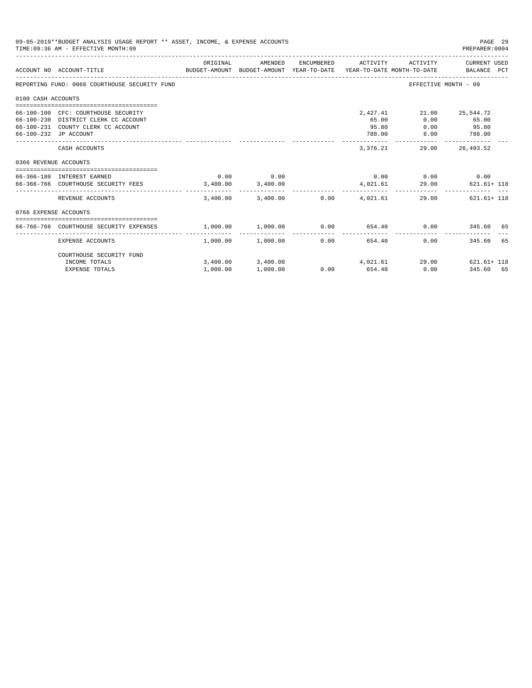|                       | 09-05-2019**BUDGET ANALYSIS USAGE REPORT ** ASSET, INCOME, & EXPENSE ACCOUNTS<br>TIME: 09:36 AM - EFFECTIVE MONTH: 09                      |                       |                                         |               |                                      |              | PAGE 29<br>PREPARER: 0004                          |
|-----------------------|--------------------------------------------------------------------------------------------------------------------------------------------|-----------------------|-----------------------------------------|---------------|--------------------------------------|--------------|----------------------------------------------------|
|                       | BUDGET-AMOUNT BUDGET-AMOUNT YEAR-TO-DATE YEAR-TO-DATE MONTH-TO-DATE BALANCE PCT<br>ACCOUNT NO ACCOUNT-TITLE                                | ORIGINAL              | AMENDED                                 | ENCUMBERED    | ACTIVITY                             | ACTIVITY     | CURRENT USED                                       |
|                       | REPORTING FUND: 0066 COURTHOUSE SECURITY FUND                                                                                              |                       |                                         |               |                                      |              | EFFECTIVE MONTH - 09                               |
| 0100 CASH ACCOUNTS    |                                                                                                                                            |                       |                                         |               |                                      |              |                                                    |
|                       | 66-100-100 CFC: COURTHOUSE SECURITY<br>66-100-230 DISTRICT CLERK CC ACCOUNT<br>66-100-231 COUNTY CLERK CC ACCOUNT<br>66-100-232 JP ACCOUNT |                       |                                         |               | 2,427.41<br>65.00<br>95.80<br>788.00 | 0.00<br>8.00 | 21.00 25,544.72<br>65.00<br>$0.00$ 95.80<br>788.00 |
|                       | CASH ACCOUNTS                                                                                                                              |                       |                                         |               | 3,376.21                             | 29.00        | 26, 493.52                                         |
|                       |                                                                                                                                            |                       |                                         |               |                                      |              |                                                    |
| 0366 REVENUE ACCOUNTS | 66-366-180 INTEREST EARNED<br>66-366-766 COURTHOUSE SECURITY FEES 3,400.00 3,400.00                                                        | 0.00                  | 0.00                                    |               | 4,021.61                             | 29.00        | $0.00$ $0.00$ $0.00$ $0.00$<br>$621.61 + 118$      |
|                       | REVENUE ACCOUNTS                                                                                                                           |                       | $3.400.00$ $3.400.00$ $0.00$ $4.021.61$ |               |                                      |              | 29.00 621.61+118                                   |
| 0766 EXPENSE ACCOUNTS |                                                                                                                                            |                       |                                         |               |                                      |              |                                                    |
|                       | 66-766-766 COURTHOUSE SECURITY EXPENSES                                                                                                    | $1,000.00$ $1,000.00$ |                                         |               | $0.00$ 654.40 0.00                   |              | 345.60 65                                          |
|                       | <b>EXPENSE ACCOUNTS</b>                                                                                                                    |                       | --------------<br>$1,000.00$ $1,000.00$ | ------------- | --------------<br>0.00<br>654.40     |              | 0.00<br>345.60 65                                  |
|                       | COURTHOUSE SECURITY FUND                                                                                                                   |                       | 3,400.00 3,400.00                       |               |                                      |              | 29.00 621.61+118                                   |
|                       | INCOME TOTALS<br><b>EXPENSE TOTALS</b>                                                                                                     | 1,000.00              | 1,000.00                                |               | 4,021.61<br>$0.00$ 654.40            | 0.00         | 345.60 65                                          |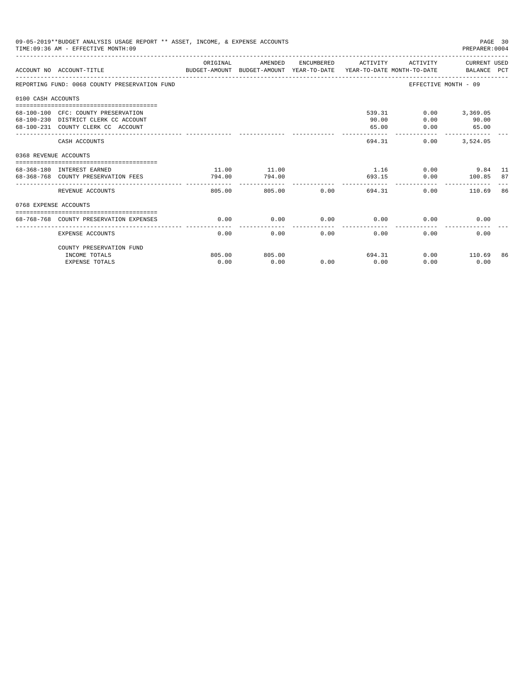|                       | 09-05-2019**BUDGET ANALYSIS USAGE REPORT ** ASSET, INCOME, & EXPENSE ACCOUNTS<br>TIME: 09:36 AM - EFFECTIVE MONTH: 09 |                 |                                 |             |                                  |                                         | PAGE 30<br>PREPARER:0004                           |    |
|-----------------------|-----------------------------------------------------------------------------------------------------------------------|-----------------|---------------------------------|-------------|----------------------------------|-----------------------------------------|----------------------------------------------------|----|
|                       | ACCOUNT NO ACCOUNT-TITLE COMPARENT SUDGET-AMOUNT BUDGET-AMOUNT YEAR-TO-DATE YEAR-TO-DATE MONTH-TO-DATE BALANCE PCT    | ORIGINAL        | AMENDED                         |             | ENCUMBERED ACTIVITY              |                                         | ACTIVITY CURRENT USED                              |    |
|                       | REPORTING FUND: 0068 COUNTY PRESERVATION FUND                                                                         |                 |                                 |             |                                  |                                         | EFFECTIVE MONTH - 09                               |    |
| 0100 CASH ACCOUNTS    |                                                                                                                       |                 |                                 |             |                                  |                                         |                                                    |    |
|                       | 68-100-100 CFC: COUNTY PRESERVATION<br>68-100-230 DISTRICT CLERK CC ACCOUNT<br>68-100-231 COUNTY CLERK CC ACCOUNT     |                 |                                 |             | 90.00<br>65.00<br>-------------- | 539.31<br>0.00<br>0.00<br>------------- | $0.00$ 3,369.05<br>90.00<br>65.00<br>------------- |    |
|                       | CASH ACCOUNTS                                                                                                         |                 |                                 |             |                                  | 694.31<br>0.00                          | 3,524.05                                           |    |
| 0368 REVENUE ACCOUNTS |                                                                                                                       |                 |                                 |             |                                  |                                         |                                                    |    |
|                       | 68-368-180 INTEREST EARNED<br>68-368-768 COUNTY PRESERVATION FEES                                                     | 11.00<br>794.00 | 11.00<br>794.00<br>------------ |             |                                  | 693.15                                  | $1.16$ 0.00 9.84 11<br>$0.00$ 100.85 87            |    |
|                       | REVENUE ACCOUNTS                                                                                                      | 805.00          |                                 | 805.00 0.00 | 694.31                           |                                         | 0.00<br>110.69                                     | 86 |
| 0768 EXPENSE ACCOUNTS |                                                                                                                       |                 |                                 |             |                                  |                                         |                                                    |    |
|                       | 68-768-768 COUNTY PRESERVATION EXPENSES                                                                               | 0.00            | 0.00                            | 0.00        | 0.00                             | 0.00                                    | 0.00                                               |    |
|                       | <b>EXPENSE ACCOUNTS</b>                                                                                               | 0.00            | 0.00                            | 0.00        | 0.00                             | 0.00                                    | 0.00                                               |    |
|                       | COUNTY PRESERVATION FUND                                                                                              |                 |                                 |             |                                  |                                         |                                                    |    |
|                       | INCOME TOTALS                                                                                                         | 805.00          | 805.00                          |             |                                  | 694.31                                  | $0.00$ 110.69                                      | 86 |
|                       | <b>EXPENSE TOTALS</b>                                                                                                 | 0.00            | 0.00                            | 0.00        | 0.00                             | 0.00                                    | 0.00                                               |    |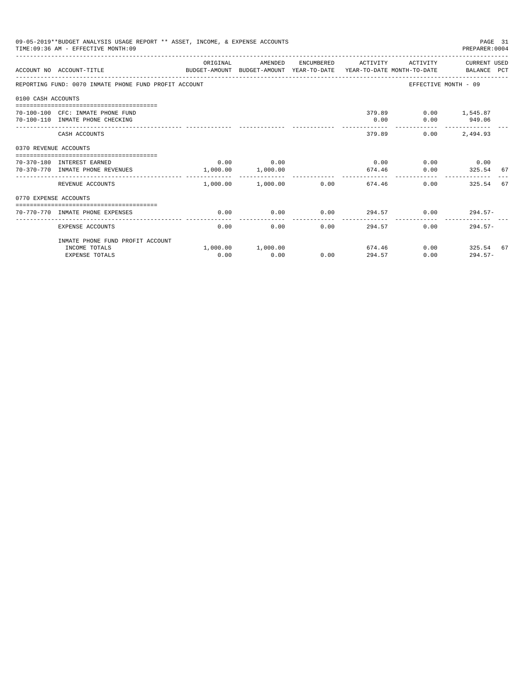|                       | 09-05-2019**BUDGET ANALYSIS USAGE REPORT ** ASSET, INCOME, & EXPENSE ACCOUNTS<br>TIME: 09:36 AM - EFFECTIVE MONTH: 09 |          |                                    |      |                     |                                            | PAGE 31<br>PREPARER: 0004      |  |
|-----------------------|-----------------------------------------------------------------------------------------------------------------------|----------|------------------------------------|------|---------------------|--------------------------------------------|--------------------------------|--|
|                       | ACCOUNT NO ACCOUNT-TITLE<br>BUDGET-AMOUNT BUDGET-AMOUNT YEAR-TO-DATE YEAR-TO-DATE MONTH-TO-DATE BALANCE PCT           | ORIGINAL | AMENDED                            |      | ENCUMBERED ACTIVITY |                                            | ACTIVITY CURRENT USED          |  |
|                       | REPORTING FUND: 0070 INMATE PHONE FUND PROFIT ACCOUNT                                                                 |          |                                    |      |                     | EFFECTIVE MONTH - 09                       |                                |  |
| 0100 CASH ACCOUNTS    |                                                                                                                       |          |                                    |      |                     |                                            |                                |  |
|                       | 70-100-100 CFC: INMATE PHONE FUND<br>70-100-110 INMATE PHONE CHECKING                                                 |          |                                    |      | 0.00                | 379.89   0.00   1.545.87                   | $0.00$ 949.06<br>------------- |  |
|                       | CASH ACCOUNTS                                                                                                         |          |                                    |      |                     | 379.89<br>0.00                             | 2,494.93                       |  |
| 0370 REVENUE ACCOUNTS |                                                                                                                       |          |                                    |      |                     |                                            |                                |  |
|                       | 70-370-180 INTEREST EARNED<br>70-370-770 INMATE PHONE REVENUES                                                        |          | $0.00$ 0.00<br>1,000.00 1,000.00   |      | 674.46              | $0.00$ $0.00$ $0.00$ $0.00$ $0.00$<br>0.00 | 325.54 67                      |  |
|                       | REVENUE ACCOUNTS                                                                                                      | .        | -------------<br>1,000.00 1,000.00 |      | 0.00                | 0.00<br>674.46                             | 325.54 67                      |  |
| 0770 EXPENSE ACCOUNTS |                                                                                                                       |          |                                    |      |                     |                                            |                                |  |
|                       | 70-770-770 INMATE PHONE EXPENSES                                                                                      | 0.00     | 0.00                               |      |                     | $0.00$ $294.57$ $0.00$ $294.57$            |                                |  |
|                       | EXPENSE ACCOUNTS                                                                                                      | 0.00     | 0.00                               | 0.00 | 294.57              | 0.00                                       | $294.57-$                      |  |
|                       | INMATE PHONE FUND PROFIT ACCOUNT                                                                                      |          |                                    |      |                     |                                            |                                |  |
|                       | INCOME TOTALS<br><b>EXPENSE TOTALS</b>                                                                                | 0.00     | 1,000.00 1,000.00<br>0.00          | 0.00 | 294.57              | 674.46<br>0.00                             | $0.00$ 325.54 67<br>$294.57-$  |  |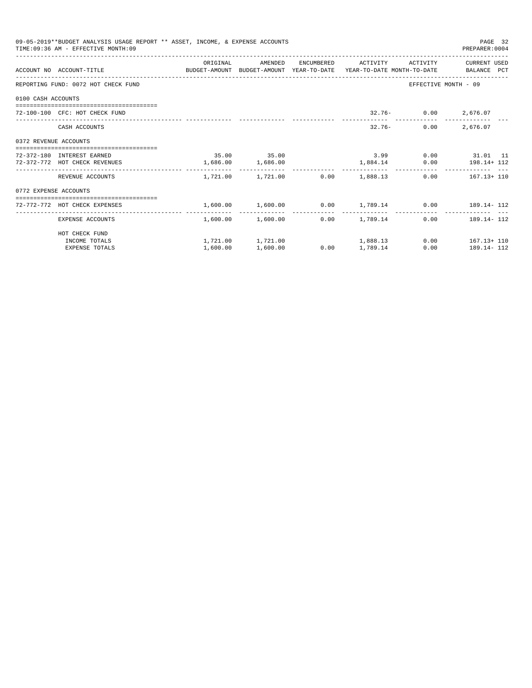|                       | 09-05-2019**BUDGET ANALYSIS USAGE REPORT ** ASSET, INCOME, & EXPENSE ACCOUNTS<br>TIME: 09:36 AM - EFFECTIVE MONTH: 09 |                     |                   |      |                                                               |                         | PAGE 32<br>PREPARER: 0004 |  |
|-----------------------|-----------------------------------------------------------------------------------------------------------------------|---------------------|-------------------|------|---------------------------------------------------------------|-------------------------|---------------------------|--|
|                       |                                                                                                                       | ORIGINAL            | AMENDED           |      | ENCUMBERED ACTIVITY                                           |                         | ACTIVITY CURRENT USED     |  |
|                       | ACCOUNT NO ACCOUNT-TITLE CONTROL SUDGET-AMOUNT BUDGET-AMOUNT YEAR-TO-DATE YEAR-TO-DATE MONTH-TO-DATE BALANCE PCT      |                     |                   |      |                                                               |                         |                           |  |
|                       | REPORTING FUND: 0072 HOT CHECK FUND                                                                                   |                     |                   |      |                                                               | EFFECTIVE MONTH - 09    |                           |  |
| 0100 CASH ACCOUNTS    |                                                                                                                       |                     |                   |      |                                                               |                         |                           |  |
|                       | 72-100-100 CFC: HOT CHECK FUND                                                                                        |                     |                   |      |                                                               | $32.76 - 0.00$ 2,676.07 |                           |  |
|                       | CASH ACCOUNTS                                                                                                         |                     |                   |      | $32.76 -$                                                     |                         | $0.00$ 2,676.07           |  |
| 0372 REVENUE ACCOUNTS |                                                                                                                       |                     |                   |      |                                                               |                         |                           |  |
|                       | 72-372-180 INTEREST EARNED                                                                                            |                     | 35.00 35.00       |      |                                                               |                         | 3.99 0.00 31.01 11        |  |
|                       | 72-372-772 HOT CHECK REVENUES                                                                                         | $1,686.00$ 1,686.00 |                   |      | $1,884.14$ 0.00 $198.14 + 112$                                |                         |                           |  |
|                       | REVENUE ACCOUNTS                                                                                                      |                     |                   |      | $1.721.00$ $1.721.00$ $0.00$ $1.888.13$                       |                         | $0.00$ $167.13 + 110$     |  |
| 0772 EXPENSE ACCOUNTS |                                                                                                                       |                     |                   |      |                                                               |                         |                           |  |
|                       | 72-772-772 HOT CHECK EXPENSES                                                                                         |                     |                   |      | $1,600.00$ $1,600.00$ $0.00$ $1,789.14$ $0.00$ $189.14$ $112$ |                         |                           |  |
|                       | EXPENSE ACCOUNTS                                                                                                      |                     | 1,600.00 1,600.00 |      | $0.00$ 1.789.14                                               |                         | $0.00$ 189.14-112         |  |
|                       | HOT CHECK FUND                                                                                                        |                     |                   |      |                                                               |                         |                           |  |
|                       | INCOME TOTALS                                                                                                         |                     |                   |      | $1,721.00$ $1,721.00$ $1,888.13$                              |                         | $0.00$ $167.13 + 110$     |  |
|                       | <b>EXPENSE TOTALS</b>                                                                                                 | 1,600.00            | 1,600.00          | 0.00 | 1,789.14                                                      | 0.00                    | 189.14- 112               |  |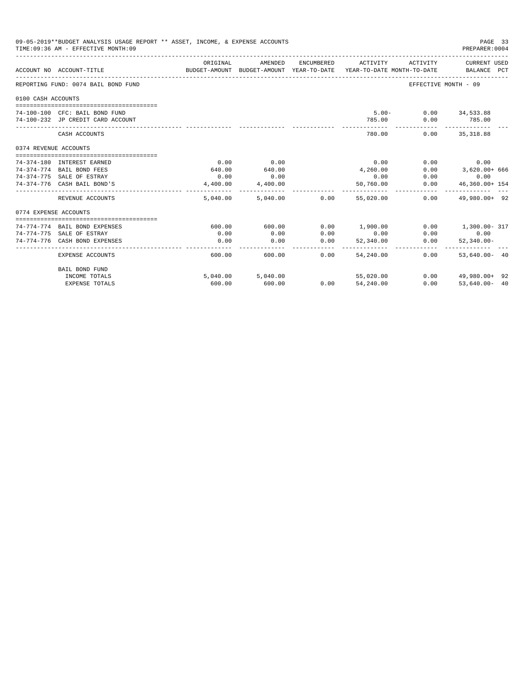|                       | 09-05-2019**BUDGET ANALYSIS USAGE REPORT ** ASSET, INCOME, & EXPENSE ACCOUNTS<br>TIME: 09:36 AM - EFFECTIVE MONTH: 09 |          |                     |                 |                                                                                 |                         | PAGE 33<br>PREPARER: 0004      |  |
|-----------------------|-----------------------------------------------------------------------------------------------------------------------|----------|---------------------|-----------------|---------------------------------------------------------------------------------|-------------------------|--------------------------------|--|
|                       | ACCOUNT NO ACCOUNT-TITLE                                                                                              | ORIGINAL | AMENDED             | ENCUMBERED      | ACTIVITY<br>BUDGET-AMOUNT BUDGET-AMOUNT YEAR-TO-DATE YEAR-TO-DATE MONTH-TO-DATE | ACTIVITY                | CURRENT USED<br>BALANCE PCT    |  |
|                       | REPORTING FUND: 0074 BAIL BOND FUND                                                                                   |          |                     |                 |                                                                                 | EFFECTIVE MONTH - 09    |                                |  |
| 0100 CASH ACCOUNTS    |                                                                                                                       |          |                     |                 |                                                                                 |                         |                                |  |
|                       |                                                                                                                       |          |                     |                 |                                                                                 |                         |                                |  |
|                       | 74-100-100 CFC: BAIL BOND FUND                                                                                        |          |                     |                 |                                                                                 | $5.00 - 0.00$ 34,533.88 |                                |  |
|                       | 74-100-232 JP CREDIT CARD ACCOUNT                                                                                     |          |                     |                 | 785.00                                                                          | 0.00                    | 785.00                         |  |
|                       | CASH ACCOUNTS                                                                                                         |          |                     |                 | 780.00                                                                          |                         | $0.00$ 35,318.88               |  |
| 0374 REVENUE ACCOUNTS |                                                                                                                       |          |                     |                 |                                                                                 |                         |                                |  |
|                       |                                                                                                                       |          |                     |                 |                                                                                 |                         |                                |  |
|                       | 74-374-180 INTEREST EARNED                                                                                            | 0.00     | 0.00                |                 | 0.00                                                                            |                         | $0.00$ 0.00                    |  |
|                       | 74-374-774 BAIL BOND FEES                                                                                             | 640.00   | 640.00              |                 | 4,260.00                                                                        |                         | $0.00$ 3,620.00+ 666           |  |
|                       | 74-374-775 SALE OF ESTRAY                                                                                             | 0.00     | 0.00                |                 | 0.00                                                                            | 0.00                    | 0.00                           |  |
|                       | 74-374-776 CASH BAIL BOND'S                                                                                           | 4,400.00 | 4,400.00            |                 | 50,760.00<br>___________                                                        | 0.00                    | 46,360.00+ 154                 |  |
|                       | REVENUE ACCOUNTS                                                                                                      | 5,040.00 |                     | 5,040.00 0.00   | 55,020.00                                                                       | 0.00                    | 49,980.00+ 92                  |  |
| 0774 EXPENSE ACCOUNTS |                                                                                                                       |          |                     |                 |                                                                                 |                         |                                |  |
|                       |                                                                                                                       |          |                     |                 |                                                                                 |                         |                                |  |
|                       | 74-774-774 BAIL BOND EXPENSES                                                                                         | 600.00   | 600.00              |                 | $0.00$ 1,900.00                                                                 |                         | $0.00$ 1,300.00 - 317          |  |
|                       | 74-774-775 SALE OF ESTRAY                                                                                             | 0.00     | 0.00                | 0.00            | 0.00                                                                            | 0.00                    | 0.00                           |  |
|                       | 74-774-776 CASH BOND EXPENSES                                                                                         | 0.00     | 0.00<br>----------- | 0.00<br>------- | 52,340.00<br>--------------                                                     | 0.00<br>------------    | $52,340.00 -$<br>_____________ |  |
|                       | <b>EXPENSE ACCOUNTS</b>                                                                                               | 600.00   | 600.00              | 0.00            | 54,240,00                                                                       | 0.00                    | $53.640.00 - 40$               |  |
|                       | BAIL BOND FUND                                                                                                        |          |                     |                 |                                                                                 |                         |                                |  |
|                       | INCOME TOTALS                                                                                                         |          | 5,040.00 5,040.00   |                 | 55,020.00                                                                       |                         | $0.00$ $49.980.00+92$          |  |
|                       | <b>EXPENSE TOTALS</b>                                                                                                 | 600.00   | 600.00              |                 | $0.00$ $54.240.00$                                                              | 0.00                    | $53.640.00 - 40$               |  |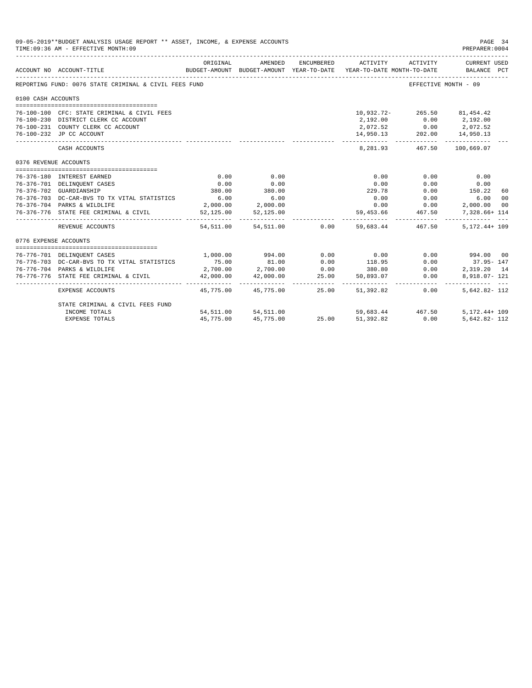|                       | 09-05-2019**BUDGET ANALYSIS USAGE REPORT ** ASSET, INCOME, & EXPENSE ACCOUNTS<br>TIME: 09:36 AM - EFFECTIVE MONTH: 09 |           |                                      |                                              |                                                                                                                                      |                      | PAGE 34<br>PREPARER: 0004      |                |
|-----------------------|-----------------------------------------------------------------------------------------------------------------------|-----------|--------------------------------------|----------------------------------------------|--------------------------------------------------------------------------------------------------------------------------------------|----------------------|--------------------------------|----------------|
|                       | ACCOUNT NO ACCOUNT-TITLE                                                                                              | ORIGINAL  |                                      |                                              | AMENDED ENCUMBERED ACTIVITY ACTIVITY CURRENT USED<br>BUDGET-AMOUNT BUDGET-AMOUNT YEAR-TO-DATE YEAR-TO-DATE MONTH-TO-DATE BALANCE PCT |                      |                                |                |
|                       | REPORTING FUND: 0076 STATE CRIMINAL & CIVIL FEES FUND                                                                 |           |                                      |                                              |                                                                                                                                      | EFFECTIVE MONTH - 09 |                                |                |
| 0100 CASH ACCOUNTS    |                                                                                                                       |           |                                      |                                              |                                                                                                                                      |                      |                                |                |
|                       | 76-100-100 CFC: STATE CRIMINAL & CIVIL FEES                                                                           |           |                                      |                                              |                                                                                                                                      |                      |                                |                |
|                       | 76-100-230 DISTRICT CLERK CC ACCOUNT                                                                                  |           |                                      |                                              | $10,932.72 - 265.50$ 81,454.42                                                                                                       |                      |                                |                |
|                       | 76-100-231 COUNTY CLERK CC ACCOUNT                                                                                    |           |                                      |                                              |                                                                                                                                      |                      | 2,192.00 0.00 2,192.00         |                |
|                       | 76-100-232 JP CC ACCOUNT                                                                                              |           |                                      |                                              | $2,072.52$ $0.00$ $2,072.52$<br>14,950.13 $202.00$ $14,950.13$                                                                       |                      |                                |                |
|                       | CASH ACCOUNTS                                                                                                         |           |                                      |                                              |                                                                                                                                      |                      | 8,281.93  467.50  100,669.07   |                |
| 0376 REVENUE ACCOUNTS |                                                                                                                       |           |                                      |                                              |                                                                                                                                      |                      |                                |                |
|                       |                                                                                                                       |           |                                      |                                              |                                                                                                                                      |                      |                                |                |
|                       | 76-376-180 INTEREST EARNED                                                                                            | 0.00      | 0.00                                 |                                              | 0.00                                                                                                                                 | 0.00                 | 0.00                           |                |
|                       | 76-376-701 DELINQUENT CASES                                                                                           | 0.00      | 0.00                                 |                                              | 0.00                                                                                                                                 | 0.00                 | 0.00                           |                |
|                       | 76-376-702 GUARDIANSHIP                                                                                               | 380.00    | 380.00                               |                                              | 229.78                                                                                                                               |                      | $0.00$ 150.22                  | 60             |
|                       | 76-376-703 DC-CAR-BVS TO TX VITAL STATISTICS 6.00                                                                     |           | 6.00                                 |                                              |                                                                                                                                      | $0.00$ 0.00          | 6.00                           | 0 <sup>0</sup> |
|                       | 76-376-704 PARKS & WILDLIFE                                                                                           |           | 2,000.00 2,000.00                    |                                              |                                                                                                                                      | $0.00$ 0.00          | 2,000.00                       | 00             |
|                       | 76-376-776 STATE FEE CRIMINAL & CIVIL                                                                                 |           | 52,125.00 52,125.00                  |                                              |                                                                                                                                      | -------------        | 59,453.66 467.50 7,328.66+ 114 |                |
|                       | REVENUE ACCOUNTS                                                                                                      |           | 54,511.00 54,511.00 0.00             |                                              |                                                                                                                                      | 59,683.44 467.50     | 5,172.44+ 109                  |                |
| 0776 EXPENSE ACCOUNTS |                                                                                                                       |           |                                      |                                              |                                                                                                                                      |                      |                                |                |
|                       |                                                                                                                       |           |                                      |                                              |                                                                                                                                      |                      |                                |                |
|                       | 76-776-701 DELINQUENT CASES                                                                                           |           |                                      |                                              | $1,000.00$ 994.00 0.00 0.00                                                                                                          |                      | $0.00$ 994.00 00               |                |
|                       | 76-776-703 DC-CAR-BVS TO TX VITAL STATISTICS                                                                          |           | $75.00$ $81.00$<br>2,700.00 2,700.00 | 0.00                                         | 118.95                                                                                                                               | 0.00                 | 37.95-147                      |                |
|                       | 76-776-704 PARKS & WILDLIFE                                                                                           |           |                                      | $\begin{array}{c} 0.00 \\ 25.00 \end{array}$ | 380.80<br>$380.80$ 0.00<br>50,893.07 0.00                                                                                            | 0.00                 | 2,319.20 14                    |                |
|                       | 76-776-776 STATE FEE CRIMINAL & CIVIL                                                                                 |           | 42,000.00 42,000.00                  |                                              |                                                                                                                                      | ____________         | 8,918.07- 121                  |                |
|                       | EXPENSE ACCOUNTS                                                                                                      |           | 45,775.00 45,775.00                  | 25.00                                        | 51,392.82                                                                                                                            | 0.00                 | 5,642.82- 112                  |                |
|                       | STATE CRIMINAL & CIVIL FEES FUND                                                                                      |           |                                      |                                              |                                                                                                                                      |                      |                                |                |
|                       | INCOME TOTALS                                                                                                         |           | 54,511.00 54,511.00                  | 25.00                                        | 59,683.44 467.50<br>51,392.82 0.00                                                                                                   |                      | $5.172.44 + 109$               |                |
|                       | <b>EXPENSE TOTALS</b>                                                                                                 | 45,775.00 | 45,775.00                            | 25.00                                        |                                                                                                                                      |                      | $5,642.82 - 112$               |                |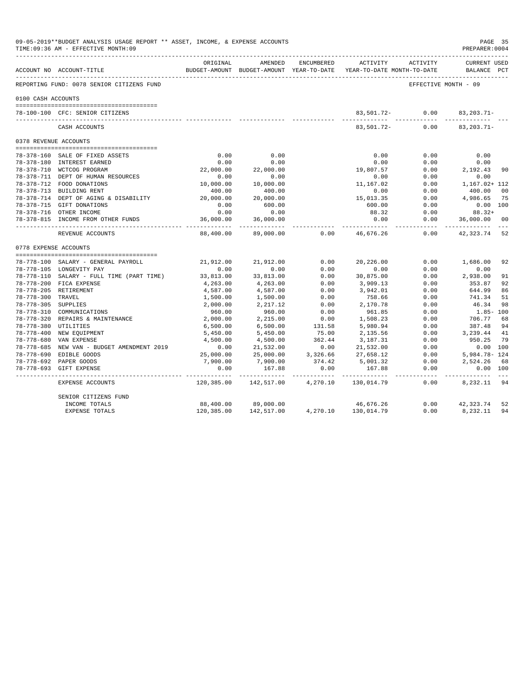|                       | 09-05-2019**BUDGET ANALYSIS USAGE REPORT ** ASSET, INCOME, & EXPENSE ACCOUNTS<br>TIME: 09:36 AM - EFFECTIVE MONTH: 09 |                                |                                                     |                                  |                                        |                      | PAGE 35<br>PREPARER: 0004          |
|-----------------------|-----------------------------------------------------------------------------------------------------------------------|--------------------------------|-----------------------------------------------------|----------------------------------|----------------------------------------|----------------------|------------------------------------|
|                       | ACCOUNT NO ACCOUNT-TITLE                                                                                              | ORIGINAL                       | AMENDED<br>BUDGET-AMOUNT BUDGET-AMOUNT YEAR-TO-DATE | ENCUMBERED                       | ACTIVITY<br>YEAR-TO-DATE MONTH-TO-DATE | ACTIVITY             | <b>CURRENT USED</b><br>BALANCE PCT |
|                       | REPORTING FUND: 0078 SENIOR CITIZENS FUND                                                                             |                                |                                                     |                                  |                                        | EFFECTIVE MONTH - 09 |                                    |
| 0100 CASH ACCOUNTS    |                                                                                                                       |                                |                                                     |                                  |                                        |                      |                                    |
|                       | 78-100-100 CFC: SENIOR CITIZENS                                                                                       |                                |                                                     |                                  |                                        | 83,501.72- 0.00      | $83, 203, 71 -$                    |
|                       | CASH ACCOUNTS                                                                                                         |                                |                                                     |                                  | 83,501.72-                             | 0.00                 | $83, 203.71 -$                     |
| 0378 REVENUE ACCOUNTS |                                                                                                                       |                                |                                                     |                                  |                                        |                      |                                    |
|                       |                                                                                                                       | 0.00                           | 0.00                                                |                                  | 0.00                                   | 0.00                 | 0.00                               |
|                       | 78-378-160 SALE OF FIXED ASSETS<br>78-378-180 INTEREST EARNED                                                         | 0.00                           | 0.00                                                |                                  | 0.00                                   | 0.00                 | 0.00                               |
|                       | 78-378-710 WCTCOG PROGRAM                                                                                             | 22,000.00                      | 22,000.00                                           |                                  | 19,807.57                              | 0.00                 | 2,192.43<br>90                     |
|                       | 78-378-711 DEPT OF HUMAN RESOURCES                                                                                    | 0.00                           | 0.00                                                |                                  | 0.00                                   | 0.00                 | 0.00                               |
|                       | 78-378-712 FOOD DONATIONS                                                                                             | 10,000.00                      | 10,000.00                                           |                                  | 11,167.02                              | 0.00                 | 1,167.02+ 112                      |
|                       | 78-378-713 BUILDING RENT                                                                                              | 400.00                         | 400.00                                              |                                  | 0.00                                   | 0.00                 | 400.00<br>0 <sub>0</sub>           |
|                       | 78-378-714 DEPT OF AGING & DISABILITY                                                                                 | 20,000.00                      | 20,000.00                                           |                                  | 15,013.35                              | 0.00                 | 4,986.65<br>75                     |
|                       | 78-378-715 GIFT DONATIONS                                                                                             | 0.00                           | 600.00                                              |                                  | 600.00                                 | 0.00                 | 0.00 100                           |
|                       | 78-378-716 OTHER INCOME                                                                                               | 0.00                           | 0.00                                                |                                  | 88.32                                  | 0.00                 | $88.32+$                           |
|                       | 78-378-815 INCOME FROM OTHER FUNDS                                                                                    | 36,000.00<br>. _ _ _ _ _ _ _ _ | 36,000.00<br>------------                           |                                  | 0.00<br>.                              | 0.00<br>---------    | 36,000.00<br>00                    |
|                       | REVENUE ACCOUNTS                                                                                                      | 88,400.00                      | 89,000.00                                           | 0.00                             | 46,676.26                              | 0.00                 | 42, 323. 74 52                     |
| 0778 EXPENSE ACCOUNTS |                                                                                                                       |                                |                                                     |                                  |                                        |                      |                                    |
|                       |                                                                                                                       |                                |                                                     |                                  |                                        |                      |                                    |
|                       | 78-778-100 SALARY - GENERAL PAYROLL                                                                                   | 21,912.00                      | 21,912.00                                           | 0.00                             | 20,226.00                              | 0.00                 | 1,686.00<br>92                     |
|                       | 78-778-105 LONGEVITY PAY                                                                                              | 0.00                           | 0.00                                                | 0.00                             | 0.00                                   | 0.00                 | 0.00                               |
|                       | 78-778-110 SALARY - FULL TIME (PART TIME)                                                                             | 33,813.00                      | 33,813.00                                           | 0.00                             | 30,875.00                              | 0.00                 | 2,938.00<br>91                     |
|                       | 78-778-200 FICA EXPENSE                                                                                               | 4,263.00                       | 4,263.00                                            | 0.00                             | 3,909.13                               | 0.00                 | 353.87<br>92                       |
| 78-778-300 TRAVEL     | 78-778-205 RETIREMENT                                                                                                 | 4,587.00                       | 4,587.00                                            | 0.00<br>0.00                     | 3,942.01<br>758.66                     | 0.00<br>0.00         | 644.99<br>86<br>741.34<br>51       |
| 78-778-305 SUPPLIES   |                                                                                                                       | 1,500.00<br>2,000.00           | 1,500.00<br>2, 217.12                               | 0.00                             | 2,170.78                               | 0.00                 | 46.34<br>98                        |
|                       | 78-778-310 COMMUNICATIONS                                                                                             | 960.00                         | 960.00                                              | 0.00                             | 961.85                                 | 0.00                 | $1.85 - 100$                       |
|                       | 78-778-320 REPAIRS & MAINTENANCE                                                                                      | 2,000.00                       | 2,215.00                                            | 0.00                             | 1,508.23                               | 0.00                 | 706.77<br>68                       |
| 78-778-380 UTILITIES  |                                                                                                                       | 6,500.00                       | 6,500.00                                            | 131.58                           | 5,980.94                               | 0.00                 | 387.48<br>94                       |
|                       | 78-778-400 NEW EQUIPMENT                                                                                              | 5,450.00                       | 5,450.00                                            | 75.00                            | 2,135.56                               | 0.00                 | 3,239.44<br>41                     |
|                       | 78-778-680 VAN EXPENSE                                                                                                | 4,500.00                       | 4,500.00                                            | 362.44                           | 3,187.31                               | 0.00                 | 79<br>950.25                       |
|                       | 78-778-685 NEW VAN - BUDGET AMENDMENT 2019                                                                            | 0.00                           | 21,532.00                                           | 0.00                             | 21,532.00                              | 0.00                 | 0.00 100                           |
|                       | 78-778-690 EDIBLE GOODS                                                                                               | 25,000.00                      | 25,000.00                                           | 3,326.66                         | 27,658.12                              | 0.00                 | 5,984.78-124                       |
|                       | 78-778-692 PAPER GOODS                                                                                                | 7,900.00                       | 7,900.00                                            | 374.42                           | 5,001.32                               | 0.00                 | 2,524.26<br>68                     |
|                       | 78-778-693 GIFT EXPENSE                                                                                               | 0.00                           | 167.88                                              | 0.00                             | 167.88                                 | 0.00                 | 0.00 100                           |
|                       | EXPENSE ACCOUNTS                                                                                                      | ----------<br>120,385.00       | ------------<br>142,517.00                          | ------------<br>4,270.10         | 130,014.79                             | ------------<br>0.00 | 8, 232. 11 94                      |
|                       | SENIOR CITIZENS FUND                                                                                                  |                                |                                                     |                                  |                                        |                      |                                    |
|                       | INCOME TOTALS                                                                                                         | 88,400.00                      | 89,000.00                                           |                                  | 46,676.26                              | 0.00                 | 42,323.74<br>52                    |
|                       | <b>EXPENSE TOTALS</b>                                                                                                 | 120,385.00                     |                                                     | 142,517.00  4,270.10  130,014.79 |                                        | 0.00                 | 8,232.11<br>94                     |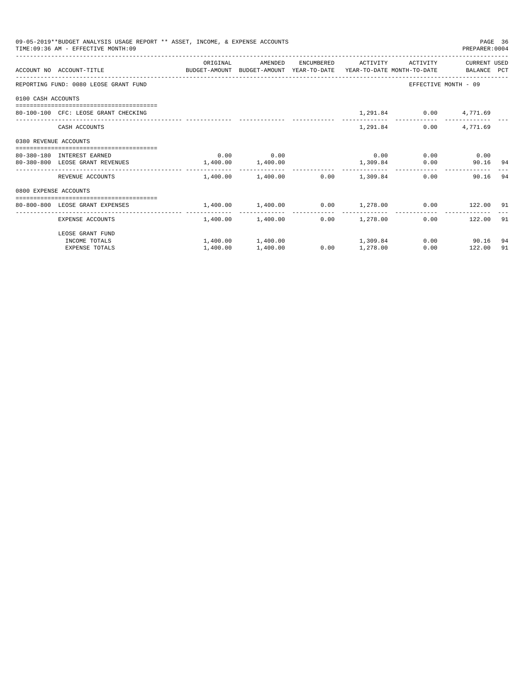|                       | 09-05-2019**BUDGET ANALYSIS USAGE REPORT ** ASSET, INCOME, & EXPENSE ACCOUNTS<br>TIME: 09:36 AM - EFFECTIVE MONTH: 09 |                       |                                                              |                 |          |                              | PREPARER: 0004       | PAGE 36 |
|-----------------------|-----------------------------------------------------------------------------------------------------------------------|-----------------------|--------------------------------------------------------------|-----------------|----------|------------------------------|----------------------|---------|
|                       | ACCOUNT NO ACCOUNT-TITLE COMPUTE BUDGET-AMOUNT BUDGET-AMOUNT YEAR-TO-DATE YEAR-TO-DATE MONTH-TO-DATE BALANCE PCT      | ORIGINAL              | AMENDED                                                      |                 |          | ENCUMBERED ACTIVITY ACTIVITY | CURRENT USED         |         |
|                       | REPORTING FUND: 0080 LEOSE GRANT FUND                                                                                 |                       |                                                              |                 |          |                              | EFFECTIVE MONTH - 09 |         |
| 0100 CASH ACCOUNTS    |                                                                                                                       |                       |                                                              |                 |          |                              |                      |         |
|                       | 80-100-100 CFC: LEOSE GRANT CHECKING                                                                                  |                       |                                                              |                 |          | 1,291.84 0.00 4,771.69       |                      |         |
|                       | CASH ACCOUNTS                                                                                                         |                       |                                                              |                 | 1,291.84 |                              | $0.00$ 4,771.69      |         |
| 0380 REVENUE ACCOUNTS |                                                                                                                       |                       |                                                              |                 |          |                              |                      |         |
|                       | 80-380-180 INTEREST EARNED                                                                                            |                       | $0.00$ 0.00                                                  |                 |          | $0.00$ $0.00$ $0.00$ $0.00$  |                      |         |
|                       | 80-380-800 LEOSE GRANT REVENUES                                                                                       | $1,400.00$ $1,400.00$ |                                                              | 1,309.84        |          |                              | 0.00<br>90.16 94     |         |
|                       | REVENUE ACCOUNTS                                                                                                      |                       | $1,400.00$ $1,400.00$ $0.00$ $1,309.84$                      |                 |          |                              | 90.16 94<br>0.00     |         |
| 0800 EXPENSE ACCOUNTS |                                                                                                                       |                       |                                                              |                 |          |                              |                      |         |
|                       | -------------------------------------<br>80-800-800 LEOSE GRANT EXPENSES                                              |                       | $1,400.00$ $1,400.00$ $0.00$ $1,278.00$ $0.00$ $122.00$ $91$ |                 |          |                              |                      |         |
|                       | EXPENSE ACCOUNTS                                                                                                      |                       | $1,400.00$ $1,400.00$ $0.00$ $1,278.00$                      |                 |          |                              | $0.00$ 122.00 91     |         |
|                       | LEOSE GRANT FUND                                                                                                      |                       |                                                              |                 |          |                              |                      |         |
|                       | INCOME TOTALS                                                                                                         |                       | $1,400.00$ $1,400.00$ $1,309.84$                             |                 |          |                              | $0.00$ 90.16         | -94     |
|                       | <b>EXPENSE TOTALS</b>                                                                                                 | 1,400.00              | 1,400.00                                                     | $0.00$ 1,278.00 |          |                              | 0.00<br>122.00       | 91      |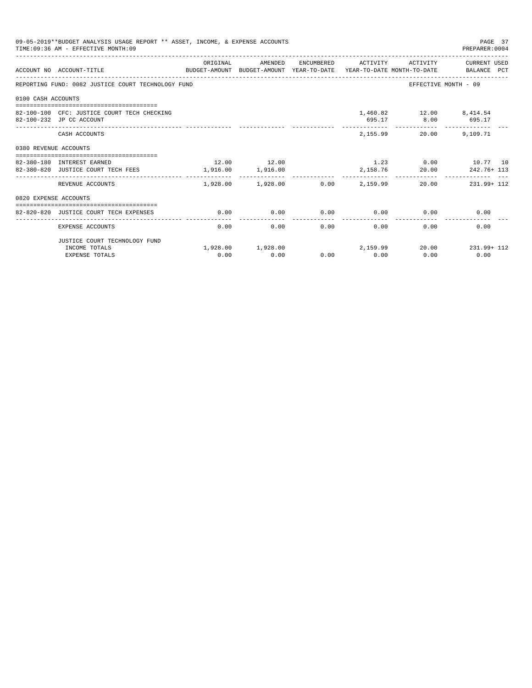|                       | 09-05-2019**BUDGET ANALYSIS USAGE REPORT ** ASSET, INCOME, & EXPENSE ACCOUNTS<br>TIME: 09:36 AM - EFFECTIVE MONTH: 09 |                                  |                                         |      |                              |                                               | PAGE 37<br>PREPARER: 0004                                       |
|-----------------------|-----------------------------------------------------------------------------------------------------------------------|----------------------------------|-----------------------------------------|------|------------------------------|-----------------------------------------------|-----------------------------------------------------------------|
|                       | BUDGET-AMOUNT BUDGET-AMOUNT YEAR-TO-DATE YEAR-TO-DATE MONTH-TO-DATE BALANCE PCT<br>ACCOUNT NO ACCOUNT-TITLE           | ORIGINAL                         | AMENDED                                 |      |                              |                                               | ENCUMBERED ACTIVITY ACTIVITY CURRENT USED                       |
|                       | REPORTING FUND: 0082 JUSTICE COURT TECHNOLOGY FUND                                                                    |                                  |                                         |      |                              |                                               | EFFECTIVE MONTH - 09                                            |
| 0100 CASH ACCOUNTS    |                                                                                                                       |                                  |                                         |      |                              |                                               |                                                                 |
|                       | 82-100-100 CFC: JUSTICE COURT TECH CHECKING<br>82-100-232 JP CC ACCOUNT                                               |                                  |                                         |      |                              | 1,460.82 12.00 8,414.54<br>695.17 8.00 695.17 |                                                                 |
|                       | CASH ACCOUNTS                                                                                                         |                                  |                                         |      | 2,155.99                     | 20.00                                         | 9,109.71                                                        |
| 0380 REVENUE ACCOUNTS |                                                                                                                       |                                  |                                         |      |                              |                                               |                                                                 |
|                       | 82-380-180 INTEREST EARNED<br>82-380-820 JUSTICE COURT TECH FEES                                                      | 12.00 12.00<br>1,916.00 1,916.00 |                                         |      |                              |                                               | $1.23$ 0.00 $10.77$ 10<br>2,158.76 20.00 242.76+113             |
|                       | REVENUE ACCOUNTS                                                                                                      | .                                | $1,928.00$ $1,928.00$ $0.00$ $2,159.99$ |      | .                            | ------------                                  | 20.00 231.99+112                                                |
| 0820 EXPENSE ACCOUNTS |                                                                                                                       |                                  |                                         |      |                              |                                               |                                                                 |
|                       | 82-820-820 JUSTICE COURT TECH EXPENSES                                                                                | 0.00                             | 0.00                                    |      |                              | $0.00$ $0.00$ $0.00$ $0.00$                   | 0.00                                                            |
|                       | EXPENSE ACCOUNTS                                                                                                      | 0.00                             | 0.00                                    |      | ------------<br>0.00<br>0.00 | 0.00                                          | 0.00                                                            |
|                       | JUSTICE COURT TECHNOLOGY FUND                                                                                         |                                  |                                         |      |                              |                                               |                                                                 |
|                       | INCOME TOTALS<br><b>EXPENSE TOTALS</b>                                                                                | 0.00                             | 0.00                                    | 0.00 | 0.00                         | 0.00                                          | $1,928.00$ $1,928.00$ $2,159.99$ $20.00$ $231.99 + 112$<br>0.00 |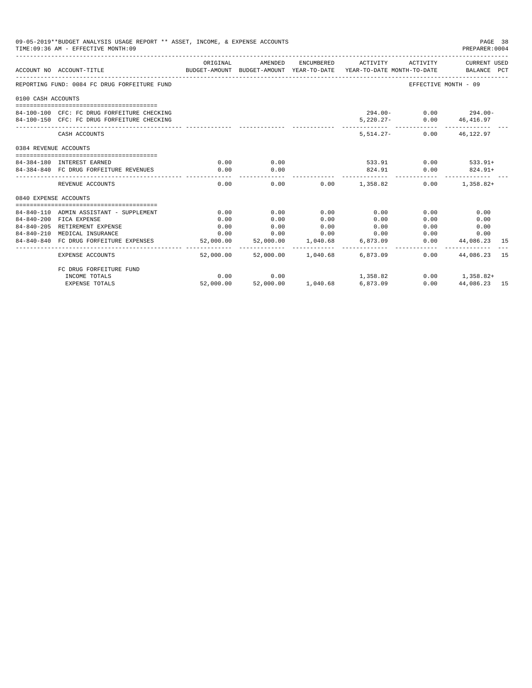| 09-05-2019**BUDGET ANALYSIS USAGE REPORT ** ASSET, INCOME, & EXPENSE ACCOUNTS<br>TIME: 09:36 AM - EFFECTIVE MONTH: 09 |                                                                                            |                              |                |                             |                                                                                                        |                                                     |                       | PAGE 38<br>PREPARER: 0004 |
|-----------------------------------------------------------------------------------------------------------------------|--------------------------------------------------------------------------------------------|------------------------------|----------------|-----------------------------|--------------------------------------------------------------------------------------------------------|-----------------------------------------------------|-----------------------|---------------------------|
|                                                                                                                       | ACCOUNT NO ACCOUNT-TITLE                                                                   | ORIGINAL                     | AMENDED        |                             | ENCUMBERED ACTIVITY<br>BUDGET-AMOUNT BUDGET-AMOUNT YEAR-TO-DATE YEAR-TO-DATE MONTH-TO-DATE BALANCE PCT | ACTIVITY                                            | CURRENT USED          |                           |
|                                                                                                                       | REPORTING FUND: 0084 FC DRUG FORFEITURE FUND                                               |                              |                |                             |                                                                                                        | EFFECTIVE MONTH - 09                                |                       |                           |
| 0100 CASH ACCOUNTS                                                                                                    |                                                                                            |                              |                |                             |                                                                                                        |                                                     |                       |                           |
|                                                                                                                       | 84-100-100 CFC: FC DRUG FORFEITURE CHECKING<br>84-100-150 CFC: FC DRUG FORFEITURE CHECKING |                              |                |                             |                                                                                                        | $294.00 - 0.00$ 294.00-<br>5,220.27- 0.00 46,416.97 |                       |                           |
|                                                                                                                       | CASH ACCOUNTS                                                                              |                              |                |                             | $5.514.27-$                                                                                            |                                                     | $0.00$ $46,122.97$    |                           |
| 0384 REVENUE ACCOUNTS                                                                                                 |                                                                                            |                              |                |                             |                                                                                                        |                                                     |                       |                           |
|                                                                                                                       |                                                                                            |                              |                |                             |                                                                                                        |                                                     |                       |                           |
|                                                                                                                       | 84-384-180 INTEREST EARNED<br>84-384-840 FC DRUG FORFEITURE REVENUES                       | 0.00<br>0.00                 | 0.00<br>0.00   |                             | $533.91$ 0.00 $533.91+$<br>824.91                                                                      |                                                     | $0.00$ $824.91+$      |                           |
|                                                                                                                       | REVENUE ACCOUNTS                                                                           | 0.00                         | -------------- |                             | ---------------<br>$0.00$ $0.00$ $1,358.82$                                                            | --------------                                      | $0.00$ 1,358.82+      |                           |
| 0840 EXPENSE ACCOUNTS                                                                                                 |                                                                                            |                              |                |                             |                                                                                                        |                                                     |                       |                           |
|                                                                                                                       |                                                                                            |                              |                |                             |                                                                                                        |                                                     |                       |                           |
|                                                                                                                       | 84-840-110 ADMIN ASSISTANT - SUPPLEMENT                                                    | 0.00                         | 0.00           | 0.00                        | 0.00                                                                                                   | 0.00                                                | 0.00                  |                           |
|                                                                                                                       | 84-840-200 FICA EXPENSE                                                                    | 0.00                         | 0.00           | 0.00                        | 0.00                                                                                                   | 0.00                                                | 0.00                  |                           |
|                                                                                                                       | 84-840-205 RETIREMENT EXPENSE                                                              | 0.00                         | 0.00           | 0.00                        | 0.00                                                                                                   | 0.00                                                | 0.00                  |                           |
|                                                                                                                       | 84-840-210 MEDICAL INSURANCE                                                               | 0.00                         | 0.00           | 0.00                        | 0.00                                                                                                   | 0.00                                                | 0.00                  |                           |
|                                                                                                                       | 84-840-840 FC DRUG FORFEITURE EXPENSES                                                     | 52,000.00<br>. _ _ _ _ _ _ _ |                | 52,000.00 1,040.68          | 6,873.09                                                                                               | 0.00                                                | 44,086.23 15          |                           |
|                                                                                                                       | <b>EXPENSE ACCOUNTS</b>                                                                    | 52,000.00                    |                | 52.000.00 1.040.68          | 6,873.09                                                                                               |                                                     | $0.00$ $44.086.23$ 15 |                           |
|                                                                                                                       | FC DRUG FORFEITURE FUND                                                                    |                              |                |                             |                                                                                                        |                                                     |                       |                           |
|                                                                                                                       | INCOME TOTALS                                                                              | 0.00                         | 0.00           |                             | 1,358.82                                                                                               |                                                     | $0.00$ 1,358.82+      |                           |
|                                                                                                                       | <b>EXPENSE TOTALS</b>                                                                      | 52,000.00                    |                | 52,000.00 1,040.68 6,873.09 |                                                                                                        | 0.00                                                | 44,086.23 15          |                           |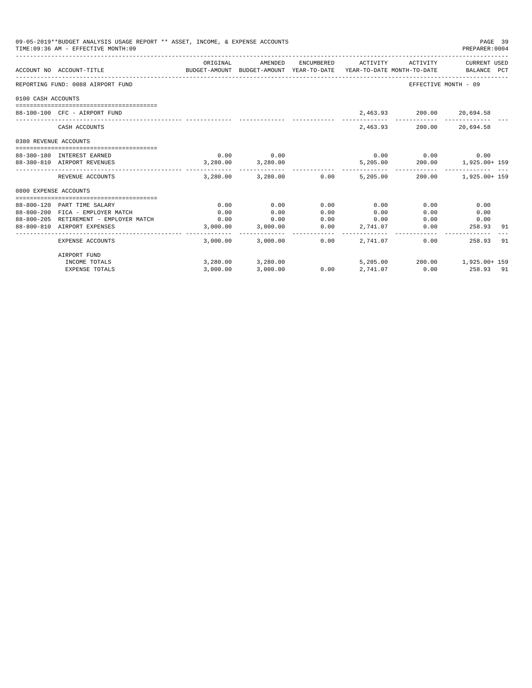| 09-05-2019**BUDGET ANALYSIS USAGE REPORT ** ASSET, INCOME, & EXPENSE ACCOUNTS<br>TIME: 09:36 AM - EFFECTIVE MONTH: 09 |                                        |                                                                                             |                   |      |                                 |                           |                                  |  |
|-----------------------------------------------------------------------------------------------------------------------|----------------------------------------|---------------------------------------------------------------------------------------------|-------------------|------|---------------------------------|---------------------------|----------------------------------|--|
|                                                                                                                       | ACCOUNT NO ACCOUNT-TITLE               | ORIGINAL<br>BUDGET-AMOUNT BUDGET-AMOUNT YEAR-TO-DATE YEAR-TO-DATE MONTH-TO-DATE BALANCE PCT | AMENDED           |      | ENCUMBERED ACTIVITY             |                           | ACTIVITY CURRENT USED            |  |
|                                                                                                                       | REPORTING FUND: 0088 AIRPORT FUND      |                                                                                             |                   |      |                                 | EFFECTIVE MONTH - 09      |                                  |  |
| 0100 CASH ACCOUNTS                                                                                                    |                                        |                                                                                             |                   |      |                                 |                           |                                  |  |
|                                                                                                                       | 88-100-100 CFC - AIRPORT FUND          |                                                                                             |                   |      |                                 | 2,463.93 200.00 20,694.58 |                                  |  |
|                                                                                                                       | CASH ACCOUNTS                          |                                                                                             |                   |      |                                 | 2,463.93 200.00 20,694.58 |                                  |  |
| 0380 REVENUE ACCOUNTS                                                                                                 |                                        |                                                                                             |                   |      |                                 |                           |                                  |  |
|                                                                                                                       | 88-380-180 INTEREST EARNED             |                                                                                             | $0.00$ $0.00$     |      |                                 | $0.00$ 0.00 0.00          |                                  |  |
|                                                                                                                       | 88-380-810 AIRPORT REVENUES            | 3,280.00                                                                                    | 3,280.00          |      |                                 |                           | $5,205.00$ 200.00 $1,925.00+159$ |  |
|                                                                                                                       | REVENUE ACCOUNTS                       |                                                                                             |                   |      | 3,280.00 3,280.00 0.00 5,205.00 |                           | 200.00 1,925.00+ 159             |  |
| 0800 EXPENSE ACCOUNTS                                                                                                 |                                        |                                                                                             |                   |      |                                 |                           |                                  |  |
|                                                                                                                       | 88-800-120 PART TIME SALARY            | 0.00                                                                                        | 0.00              | 0.00 | 0.00                            | 0.00                      | 0.00                             |  |
|                                                                                                                       | 88-800-200 FICA - EMPLOYER MATCH       | 0.00                                                                                        | 0.00              | 0.00 | 0.00                            | 0.00                      | 0.00                             |  |
|                                                                                                                       | 88-800-205 RETIREMENT - EMPLOYER MATCH | 0.00                                                                                        | 0.00              | 0.00 | 0.00                            | 0.00                      | 0.00                             |  |
|                                                                                                                       | 88-800-810 AIRPORT EXPENSES            |                                                                                             | 3,000.00 3,000.00 | 0.00 | 2,741.07                        | 0.00                      | 258.93<br>- 91                   |  |
|                                                                                                                       | EXPENSE ACCOUNTS                       |                                                                                             | 3,000.00 3,000.00 | 0.00 | 2,741.07                        | 0.00                      | 258.93<br>91                     |  |
|                                                                                                                       | AIRPORT FUND                           |                                                                                             |                   |      |                                 |                           |                                  |  |
|                                                                                                                       | INCOME TOTALS                          |                                                                                             | 3,280.00 3,280.00 |      |                                 |                           | 5,205.00 200.00 1,925.00+159     |  |
|                                                                                                                       | <b>EXPENSE TOTALS</b>                  | 3.000.00                                                                                    | 3,000.00          |      | $0.00$ 2.741.07                 |                           | $0.00$ 258.93 91                 |  |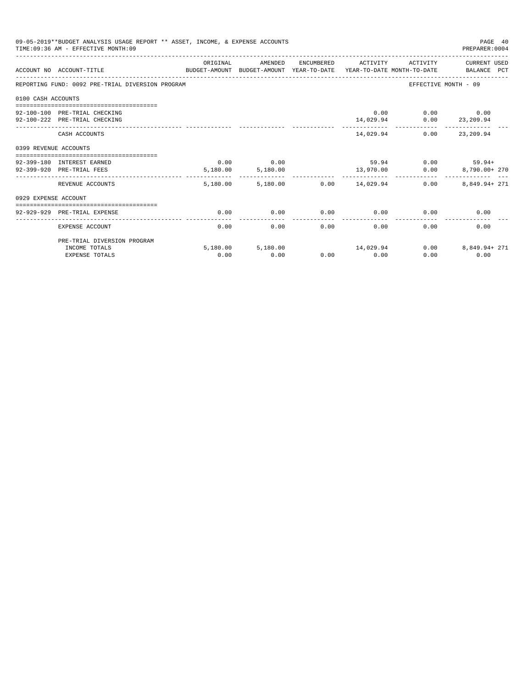|                       | 09-05-2019**BUDGET ANALYSIS USAGE REPORT ** ASSET, INCOME, & EXPENSE ACCOUNTS<br>TIME: 09:36 AM - EFFECTIVE MONTH: 09 |               |                           |      |                                |                                        | PAGE 40<br>PREPARER: 0004     |
|-----------------------|-----------------------------------------------------------------------------------------------------------------------|---------------|---------------------------|------|--------------------------------|----------------------------------------|-------------------------------|
|                       | ACCOUNT NO ACCOUNT-TITLE<br>BUDGET-AMOUNT BUDGET-AMOUNT YEAR-TO-DATE YEAR-TO-DATE MONTH-TO-DATE BALANCE PCT           | ORIGINAL      | AMENDED                   |      | ENCUMBERED ACTIVITY            | ACTIVITY                               | CURRENT USED                  |
|                       | REPORTING FUND: 0092 PRE-TRIAL DIVERSION PROGRAM                                                                      |               |                           |      |                                | EFFECTIVE MONTH - 09                   |                               |
| 0100 CASH ACCOUNTS    |                                                                                                                       |               |                           |      |                                |                                        |                               |
|                       | =====================================<br>92-100-100 PRE-TRIAL CHECKING<br>92-100-222 PRE-TRIAL CHECKING               |               |                           |      |                                | 0.00<br>$14,029.94$ $0.00$ $23,209.94$ | $0.00$ 0.00                   |
|                       | CASH ACCOUNTS                                                                                                         |               |                           |      | 14,029.94                      | 0.00                                   | --------------<br>23, 209, 94 |
| 0399 REVENUE ACCOUNTS |                                                                                                                       |               |                           |      |                                |                                        |                               |
|                       | 92-399-180 INTEREST EARNED<br>92-399-920 PRE-TRIAL FEES                                                               | 0.00          | 0.00<br>5,180.00 5,180.00 |      |                                | $59.94$ 0.00 $59.94+$                  | $13,970.00$ 0.00 8,790.00+270 |
|                       | REVENUE ACCOUNTS                                                                                                      | .<br>5,180.00 | -------------<br>5,180.00 |      | ------------<br>0.00 14,029.94 | 0.00                                   | 8,849.94+ 271                 |
| 0929 EXPENSE ACCOUNT  |                                                                                                                       |               |                           |      |                                |                                        |                               |
|                       | 92-929-929 PRE-TRIAL EXPENSE                                                                                          | 0.00          | 0.00                      | 0.00 | 0.00                           |                                        | 0.00<br>0.00                  |
|                       | EXPENSE ACCOUNT                                                                                                       | 0.00          | 0.00                      | 0.00 | 0.00                           | 0.00                                   | 0.00                          |
|                       | PRE-TRIAL DIVERSION PROGRAM                                                                                           |               |                           |      |                                |                                        |                               |
|                       | INCOME TOTALS<br><b>EXPENSE TOTALS</b>                                                                                | 0.00          | 5,180.00 5,180.00<br>0.00 | 0.00 | 14,029.94<br>0.00              | 0.00<br>0.00                           | 8,849.94+ 271<br>0.00         |